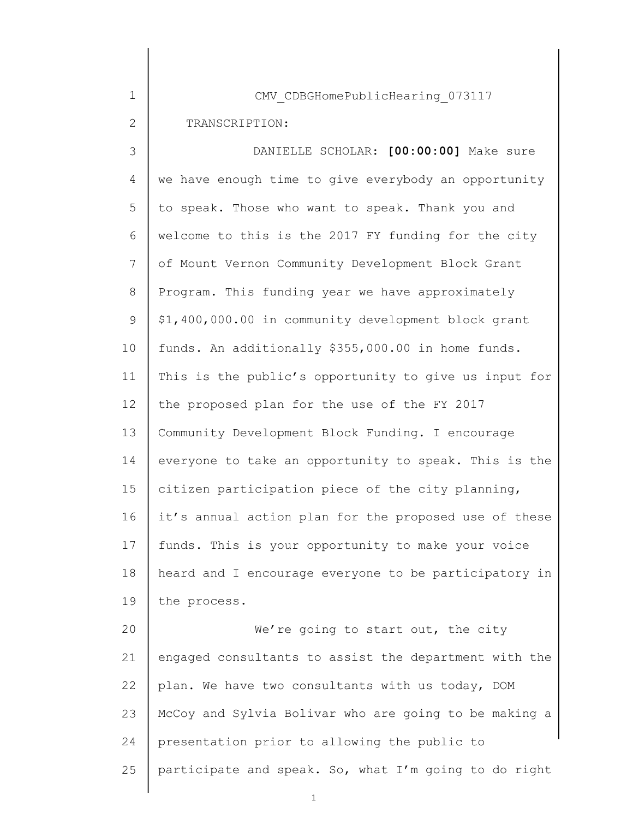| $\mathbf 1$  | CMV CDBGHomePublicHearing 073117                      |
|--------------|-------------------------------------------------------|
| $\mathbf{2}$ | TRANSCRIPTION:                                        |
| 3            | DANIELLE SCHOLAR: [00:00:00] Make sure                |
| 4            | we have enough time to give everybody an opportunity  |
| 5            | to speak. Those who want to speak. Thank you and      |
| 6            | welcome to this is the 2017 FY funding for the city   |
| 7            | of Mount Vernon Community Development Block Grant     |
| 8            | Program. This funding year we have approximately      |
| 9            | \$1,400,000.00 in community development block grant   |
| 10           | funds. An additionally \$355,000.00 in home funds.    |
| 11           | This is the public's opportunity to give us input for |
| 12           | the proposed plan for the use of the FY 2017          |
| 13           | Community Development Block Funding. I encourage      |
| 14           | everyone to take an opportunity to speak. This is the |
| 15           | citizen participation piece of the city planning,     |
| 16           | it's annual action plan for the proposed use of these |
| 17           | funds. This is your opportunity to make your voice    |
| 18           | heard and I encourage everyone to be participatory in |
| 19           | the process.                                          |
| 20           | We're going to start out, the city                    |
| 21           | engaged consultants to assist the department with the |
| 22           | plan. We have two consultants with us today, DOM      |
| 23           | McCoy and Sylvia Bolivar who are going to be making a |
| 24           | presentation prior to allowing the public to          |
| 25           | participate and speak. So, what I'm going to do right |
|              |                                                       |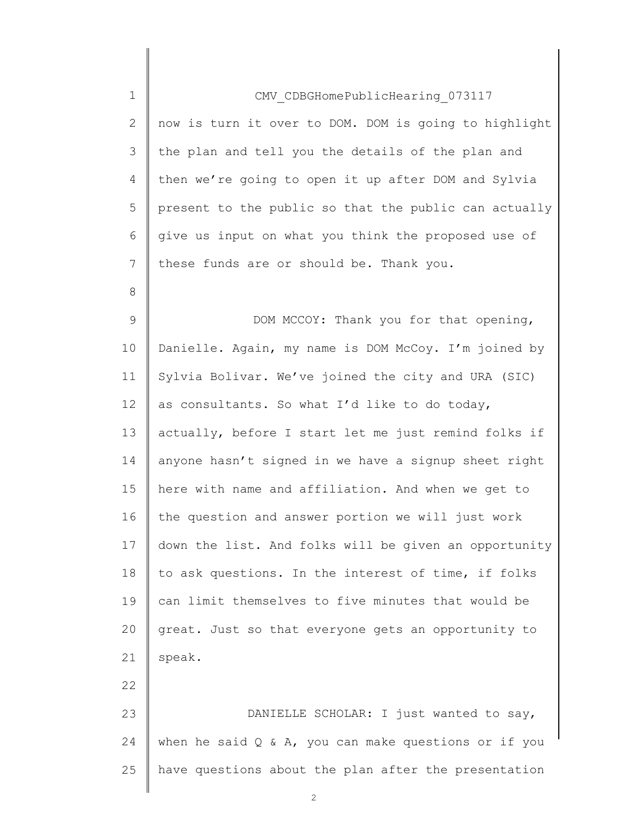| 1            | CMV CDBGHomePublicHearing 073117                         |
|--------------|----------------------------------------------------------|
| $\mathbf{2}$ | now is turn it over to DOM. DOM is going to highlight    |
| 3            | the plan and tell you the details of the plan and        |
| 4            | then we're going to open it up after DOM and Sylvia      |
| 5            | present to the public so that the public can actually    |
| 6            | give us input on what you think the proposed use of      |
| 7            | these funds are or should be. Thank you.                 |
| 8            |                                                          |
| $\mathsf 9$  | DOM MCCOY: Thank you for that opening,                   |
| 10           | Danielle. Again, my name is DOM McCoy. I'm joined by     |
| 11           | Sylvia Bolivar. We've joined the city and URA (SIC)      |
| 12           | as consultants. So what I'd like to do today,            |
| 13           | actually, before I start let me just remind folks if     |
| 14           | anyone hasn't signed in we have a signup sheet right     |
| 15           | here with name and affiliation. And when we get to       |
| 16           | the question and answer portion we will just work        |
| 17           | down the list. And folks will be given an opportunity    |
| 18           | to ask questions. In the interest of time, if folks      |
| 19           | can limit themselves to five minutes that would be       |
| 20           | great. Just so that everyone gets an opportunity to      |
| 21           | speak.                                                   |
| 22           |                                                          |
| 23           | DANIELLE SCHOLAR: I just wanted to say,                  |
| 24           | when he said $Q \& A$ , you can make questions or if you |
| 25           | have questions about the plan after the presentation     |
|              |                                                          |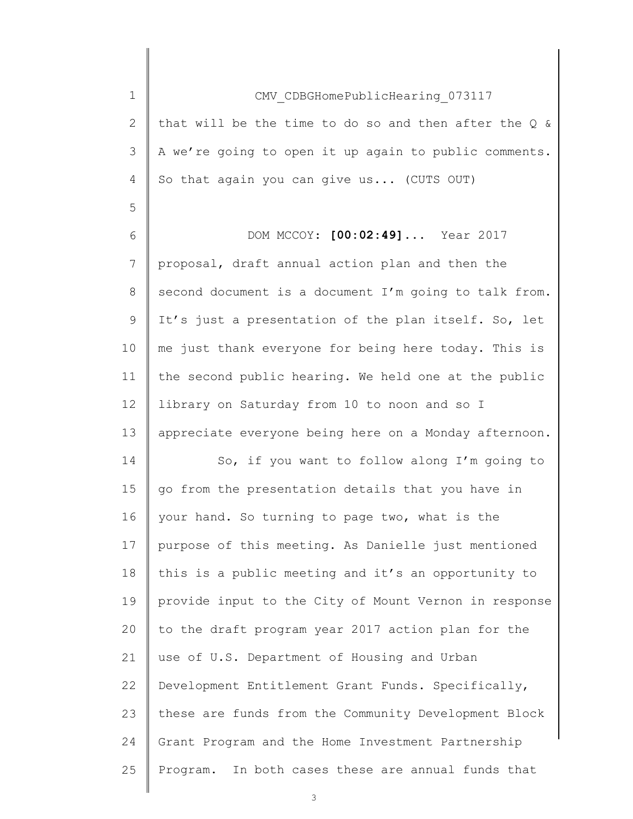| $\mathbf 1$  | CMV CDBGHomePublicHearing 073117                         |
|--------------|----------------------------------------------------------|
| $\mathbf{2}$ | that will be the time to do so and then after the $Q \&$ |
| 3            | A we're going to open it up again to public comments.    |
| 4            | So that again you can give us (CUTS OUT)                 |
| 5            |                                                          |
| 6            | DOM MCCOY: [00:02:49]  Year 2017                         |
| 7            | proposal, draft annual action plan and then the          |
| 8            | second document is a document I'm going to talk from.    |
| $\mathsf 9$  | It's just a presentation of the plan itself. So, let     |
| 10           | me just thank everyone for being here today. This is     |
| 11           | the second public hearing. We held one at the public     |
| 12           | library on Saturday from 10 to noon and so I             |
| 13           | appreciate everyone being here on a Monday afternoon.    |
| 14           | So, if you want to follow along I'm going to             |
| 15           | go from the presentation details that you have in        |
| 16           | your hand. So turning to page two, what is the           |
| 17           | purpose of this meeting. As Danielle just mentioned      |
| 18           | this is a public meeting and it's an opportunity to      |
| 19           | provide input to the City of Mount Vernon in response    |
| 20           | to the draft program year 2017 action plan for the       |
| 21           | use of U.S. Department of Housing and Urban              |
| 22           | Development Entitlement Grant Funds. Specifically,       |
| 23           | these are funds from the Community Development Block     |
| 24           | Grant Program and the Home Investment Partnership        |
| 25           | Program. In both cases these are annual funds that       |
|              |                                                          |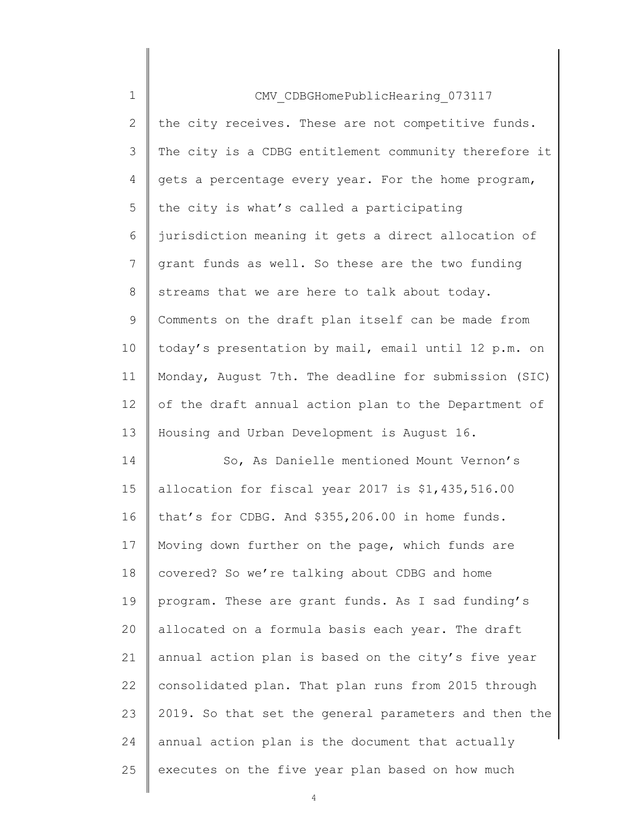| $\mathbf 1$ | CMV CDBGHomePublicHearing 073117                      |
|-------------|-------------------------------------------------------|
| 2           | the city receives. These are not competitive funds.   |
| 3           | The city is a CDBG entitlement community therefore it |
| 4           | gets a percentage every year. For the home program,   |
| 5           | the city is what's called a participating             |
| 6           | jurisdiction meaning it gets a direct allocation of   |
| 7           | grant funds as well. So these are the two funding     |
| 8           | streams that we are here to talk about today.         |
| 9           | Comments on the draft plan itself can be made from    |
| 10          | today's presentation by mail, email until 12 p.m. on  |
| 11          | Monday, August 7th. The deadline for submission (SIC) |
| 12          | of the draft annual action plan to the Department of  |
| 13          | Housing and Urban Development is August 16.           |
| 14          | So, As Danielle mentioned Mount Vernon's              |
| 15          | allocation for fiscal year 2017 is \$1,435,516.00     |
| 16          | that's for CDBG. And \$355,206.00 in home funds.      |
| 17          | Moving down further on the page, which funds are      |
| 18          | covered? So we're talking about CDBG and home         |
| 19          | program. These are grant funds. As I sad funding's    |
| 20          | allocated on a formula basis each year. The draft     |
| 21          | annual action plan is based on the city's five year   |
| 22          | consolidated plan. That plan runs from 2015 through   |
| 23          | 2019. So that set the general parameters and then the |
| 24          | annual action plan is the document that actually      |
| 25          | executes on the five year plan based on how much      |
|             |                                                       |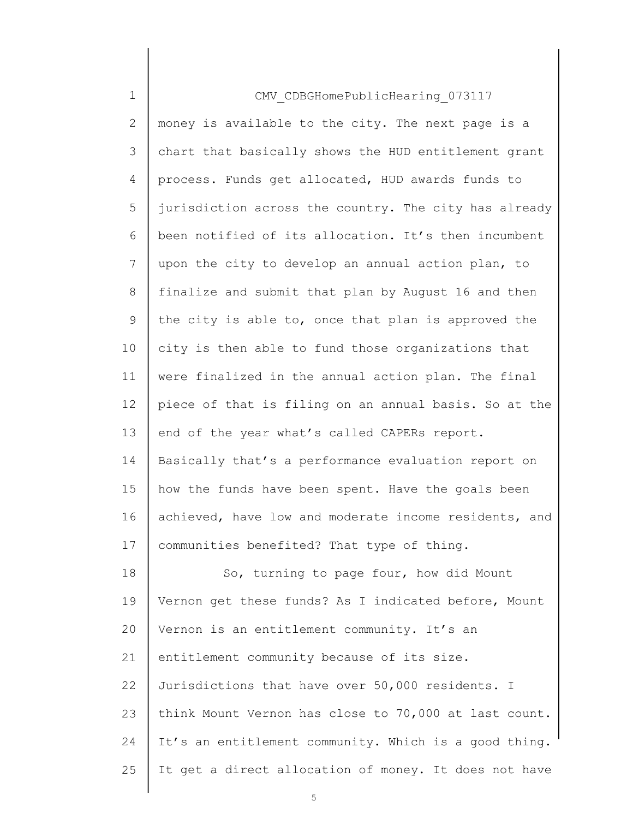| $\mathbf 1$    | CMV CDBGHomePublicHearing 073117                      |
|----------------|-------------------------------------------------------|
| $\overline{2}$ | money is available to the city. The next page is a    |
| 3              | chart that basically shows the HUD entitlement grant  |
| 4              | process. Funds get allocated, HUD awards funds to     |
| 5              | jurisdiction across the country. The city has already |
| 6              | been notified of its allocation. It's then incumbent  |
| 7              | upon the city to develop an annual action plan, to    |
| 8              | finalize and submit that plan by August 16 and then   |
| 9              | the city is able to, once that plan is approved the   |
| 10             | city is then able to fund those organizations that    |
| 11             | were finalized in the annual action plan. The final   |
| 12             | piece of that is filing on an annual basis. So at the |
| 13             | end of the year what's called CAPERs report.          |
| 14             | Basically that's a performance evaluation report on   |
| 15             | how the funds have been spent. Have the goals been    |
| 16             | achieved, have low and moderate income residents, and |
| 17             | communities benefited? That type of thing.            |
| 18             | So, turning to page four, how did Mount               |
| 19             | Vernon get these funds? As I indicated before, Mount  |
| 20             | Vernon is an entitlement community. It's an           |
| 21             | entitlement community because of its size.            |
| 22             | Jurisdictions that have over 50,000 residents. I      |
| 23             | think Mount Vernon has close to 70,000 at last count. |
| 24             | It's an entitlement community. Which is a good thing. |
| 25             | It get a direct allocation of money. It does not have |
|                |                                                       |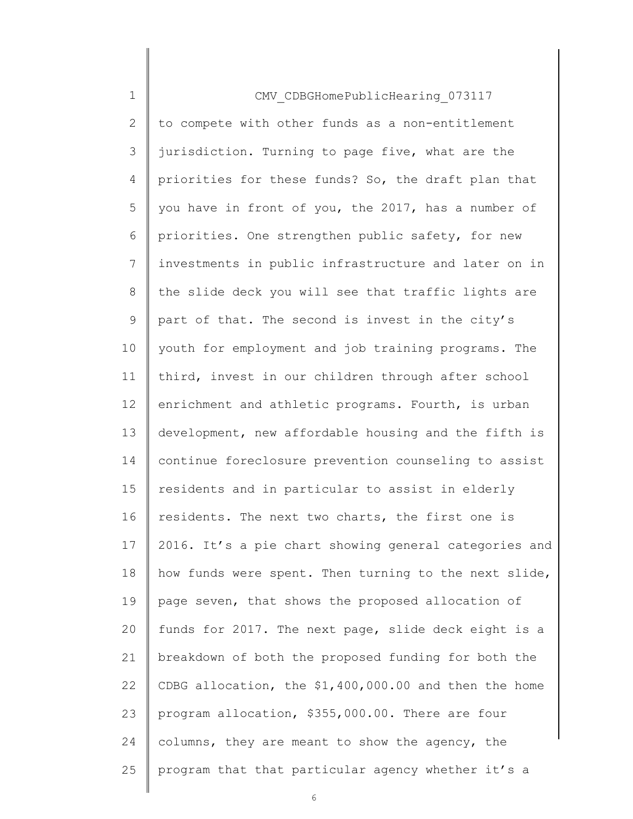| $\mathbf 1$    | CMV CDBGHomePublicHearing 073117                      |
|----------------|-------------------------------------------------------|
| $\mathbf{2}$   | to compete with other funds as a non-entitlement      |
| 3              | jurisdiction. Turning to page five, what are the      |
| $\overline{4}$ | priorities for these funds? So, the draft plan that   |
| 5              | you have in front of you, the 2017, has a number of   |
| 6              | priorities. One strengthen public safety, for new     |
| 7              | investments in public infrastructure and later on in  |
| 8              | the slide deck you will see that traffic lights are   |
| 9              | part of that. The second is invest in the city's      |
| 10             | youth for employment and job training programs. The   |
| 11             | third, invest in our children through after school    |
| 12             | enrichment and athletic programs. Fourth, is urban    |
| 13             | development, new affordable housing and the fifth is  |
| 14             | continue foreclosure prevention counseling to assist  |
| 15             | residents and in particular to assist in elderly      |
| 16             | residents. The next two charts, the first one is      |
| 17             | 2016. It's a pie chart showing general categories and |
| 18             | how funds were spent. Then turning to the next slide, |
| 19             | page seven, that shows the proposed allocation of     |
| 20             | funds for 2017. The next page, slide deck eight is a  |
| 21             | breakdown of both the proposed funding for both the   |
| 22             | CDBG allocation, the \$1,400,000.00 and then the home |
| 23             | program allocation, \$355,000.00. There are four      |
| 24             | columns, they are meant to show the agency, the       |
| 25             | program that that particular agency whether it's a    |
|                |                                                       |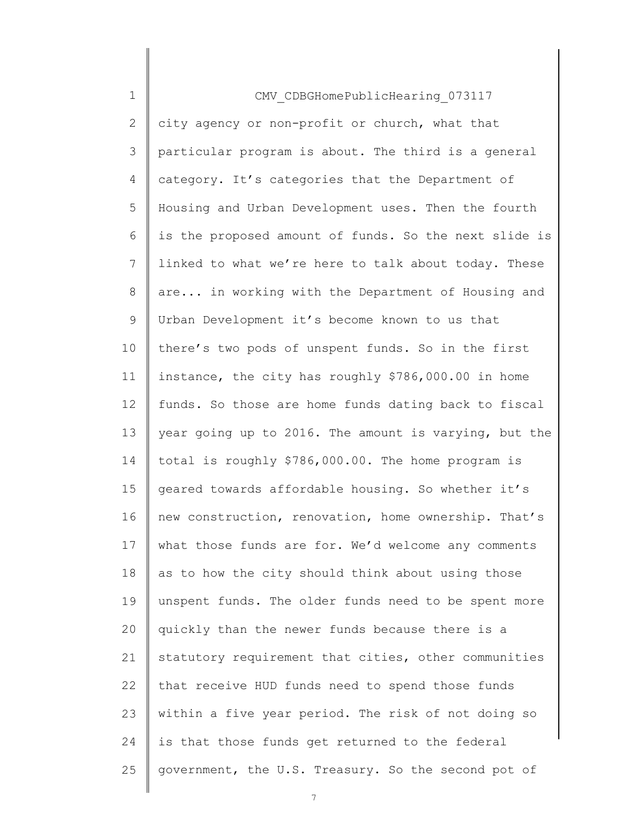| $\mathbf 1$    | CMV CDBGHomePublicHearing 073117                      |
|----------------|-------------------------------------------------------|
| $\mathbf{2}$   | city agency or non-profit or church, what that        |
| 3              | particular program is about. The third is a general   |
| $\overline{4}$ | category. It's categories that the Department of      |
| 5              | Housing and Urban Development uses. Then the fourth   |
| 6              | is the proposed amount of funds. So the next slide is |
| 7              | linked to what we're here to talk about today. These  |
| 8              | are in working with the Department of Housing and     |
| 9              | Urban Development it's become known to us that        |
| 10             | there's two pods of unspent funds. So in the first    |
| 11             | instance, the city has roughly \$786,000.00 in home   |
| 12             | funds. So those are home funds dating back to fiscal  |
| 13             | year going up to 2016. The amount is varying, but the |
| 14             | total is roughly \$786,000.00. The home program is    |
| 15             | geared towards affordable housing. So whether it's    |
| 16             | new construction, renovation, home ownership. That's  |
| 17             | what those funds are for. We'd welcome any comments   |
| 18             | as to how the city should think about using those     |
| 19             | unspent funds. The older funds need to be spent more  |
| 20             | quickly than the newer funds because there is a       |
| 21             | statutory requirement that cities, other communities  |
| 22             | that receive HUD funds need to spend those funds      |
| 23             | within a five year period. The risk of not doing so   |
| 24             | is that those funds get returned to the federal       |
| 25             | government, the U.S. Treasury. So the second pot of   |
|                |                                                       |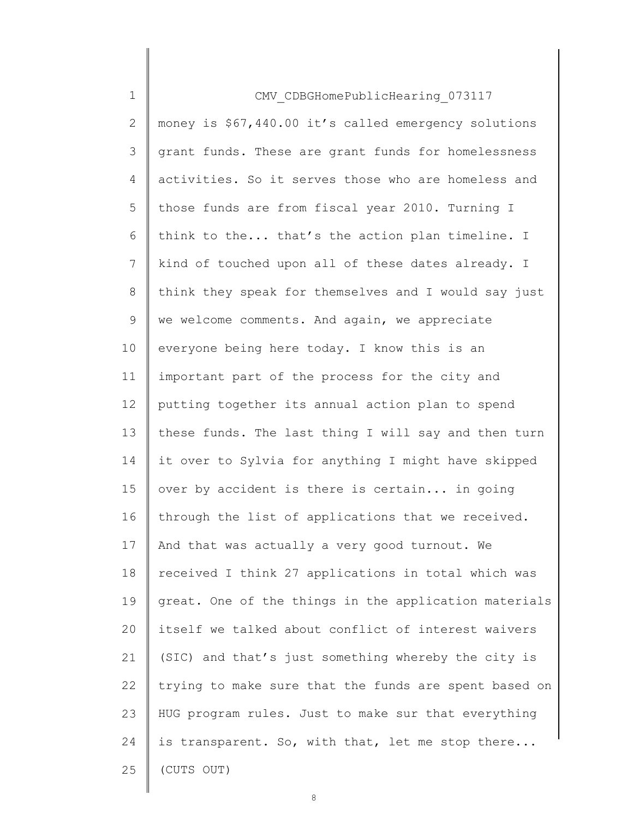| $\mathbf 1$    | CMV CDBGHomePublicHearing 073117                      |
|----------------|-------------------------------------------------------|
| $\mathbf{2}$   | money is \$67,440.00 it's called emergency solutions  |
| 3              | grant funds. These are grant funds for homelessness   |
| $\overline{4}$ | activities. So it serves those who are homeless and   |
| 5              | those funds are from fiscal year 2010. Turning I      |
| 6              | think to the that's the action plan timeline. I       |
| 7              | kind of touched upon all of these dates already. I    |
| 8              | think they speak for themselves and I would say just  |
| 9              | we welcome comments. And again, we appreciate         |
| 10             | everyone being here today. I know this is an          |
| 11             | important part of the process for the city and        |
| 12             | putting together its annual action plan to spend      |
| 13             | these funds. The last thing I will say and then turn  |
| 14             | it over to Sylvia for anything I might have skipped   |
| 15             | over by accident is there is certain in going         |
| 16             | through the list of applications that we received.    |
| 17             | And that was actually a very good turnout. We         |
| 18             | received I think 27 applications in total which was   |
| 19             | great. One of the things in the application materials |
| 20             | itself we talked about conflict of interest waivers   |
| 21             | (SIC) and that's just something whereby the city is   |
| 22             | trying to make sure that the funds are spent based on |
| 23             | HUG program rules. Just to make sur that everything   |
| 24             | is transparent. So, with that, let me stop there      |
| 25             | (CUTS OUT)                                            |
|                |                                                       |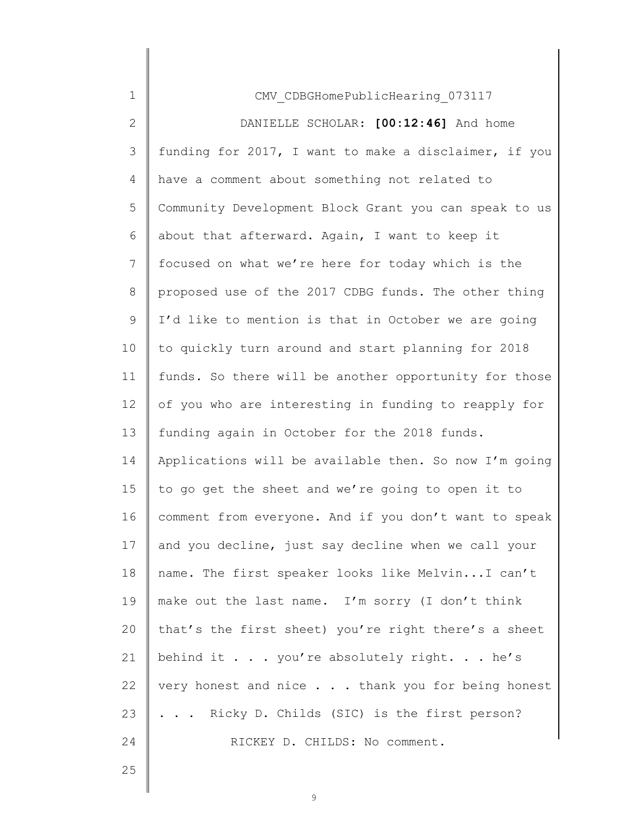| 1            | CMV CDBGHomePublicHearing 073117                      |
|--------------|-------------------------------------------------------|
| $\mathbf{2}$ | DANIELLE SCHOLAR: [00:12:46] And home                 |
| 3            | funding for 2017, I want to make a disclaimer, if you |
| 4            | have a comment about something not related to         |
| 5            | Community Development Block Grant you can speak to us |
| 6            | about that afterward. Again, I want to keep it        |
| 7            | focused on what we're here for today which is the     |
| 8            | proposed use of the 2017 CDBG funds. The other thing  |
| 9            | I'd like to mention is that in October we are going   |
| 10           | to quickly turn around and start planning for 2018    |
| 11           | funds. So there will be another opportunity for those |
| 12           | of you who are interesting in funding to reapply for  |
| 13           | funding again in October for the 2018 funds.          |
| 14           | Applications will be available then. So now I'm going |
| 15           | to go get the sheet and we're going to open it to     |
| 16           | comment from everyone. And if you don't want to speak |
| 17           | and you decline, just say decline when we call your   |
| 18           | name. The first speaker looks like MelvinI can't      |
| 19           | make out the last name. I'm sorry (I don't think      |
| 20           | that's the first sheet) you're right there's a sheet  |
| 21           | behind it you're absolutely right. he's               |
| 22           | very honest and nice thank you for being honest       |
| 23           | Ricky D. Childs (SIC) is the first person?            |
| 24           | RICKEY D. CHILDS: No comment.                         |
| 25           |                                                       |
|              |                                                       |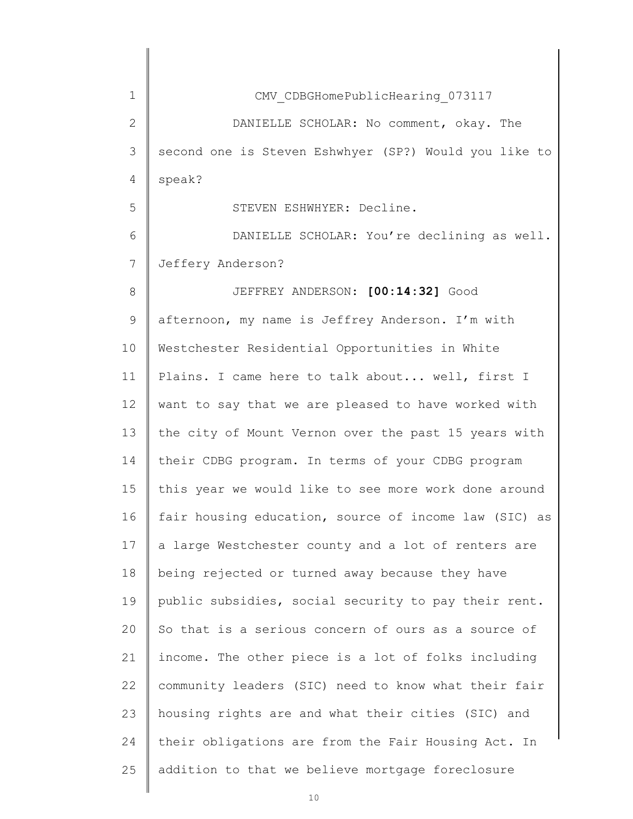| 1  | CMV CDBGHomePublicHearing 073117                      |
|----|-------------------------------------------------------|
| 2  | DANIELLE SCHOLAR: No comment, okay. The               |
| 3  | second one is Steven Eshwhyer (SP?) Would you like to |
| 4  | speak?                                                |
| 5  | STEVEN ESHWHYER: Decline.                             |
| 6  | DANIELLE SCHOLAR: You're declining as well.           |
| 7  | Jeffery Anderson?                                     |
| 8  | JEFFREY ANDERSON: [00:14:32] Good                     |
| 9  | afternoon, my name is Jeffrey Anderson. I'm with      |
| 10 | Westchester Residential Opportunities in White        |
| 11 | Plains. I came here to talk about well, first I       |
| 12 | want to say that we are pleased to have worked with   |
| 13 | the city of Mount Vernon over the past 15 years with  |
| 14 | their CDBG program. In terms of your CDBG program     |
| 15 | this year we would like to see more work done around  |
| 16 | fair housing education, source of income law (SIC) as |
| 17 | a large Westchester county and a lot of renters are   |
| 18 | being rejected or turned away because they have       |
| 19 | public subsidies, social security to pay their rent.  |
| 20 | So that is a serious concern of ours as a source of   |
| 21 | income. The other piece is a lot of folks including   |
| 22 | community leaders (SIC) need to know what their fair  |
| 23 | housing rights are and what their cities (SIC) and    |
| 24 | their obligations are from the Fair Housing Act. In   |
| 25 | addition to that we believe mortgage foreclosure      |
|    |                                                       |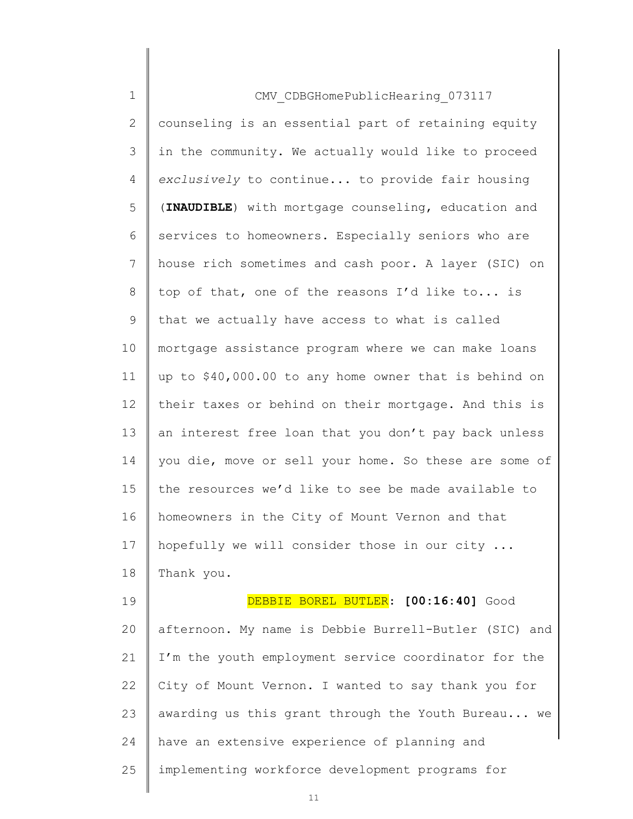| $\mathbf 1$    | CMV CDBGHomePublicHearing 073117                      |
|----------------|-------------------------------------------------------|
| $\mathbf{2}$   | counseling is an essential part of retaining equity   |
| $\mathfrak{Z}$ | in the community. We actually would like to proceed   |
| 4              | exclusively to continue to provide fair housing       |
| 5              | (INAUDIBLE) with mortgage counseling, education and   |
| 6              | services to homeowners. Especially seniors who are    |
| 7              | house rich sometimes and cash poor. A layer (SIC) on  |
| 8              | top of that, one of the reasons I'd like to is        |
| 9              | that we actually have access to what is called        |
| 10             | mortgage assistance program where we can make loans   |
| 11             | up to \$40,000.00 to any home owner that is behind on |
| 12             | their taxes or behind on their mortgage. And this is  |
| 13             | an interest free loan that you don't pay back unless  |
| 14             | you die, move or sell your home. So these are some of |
| 15             | the resources we'd like to see be made available to   |
| 16             | homeowners in the City of Mount Vernon and that       |
| 17             | hopefully we will consider those in our city          |
| 18             | Thank you.                                            |
| 19             | DEBBIE BOREL BUTLER: [00:16:40] Good                  |
| 20             | afternoon. My name is Debbie Burrell-Butler (SIC) and |
| 21             | I'm the youth employment service coordinator for the  |
| 22             | City of Mount Vernon. I wanted to say thank you for   |
| 23             | awarding us this grant through the Youth Bureau we    |
| 24             | have an extensive experience of planning and          |
| 25             | implementing workforce development programs for       |
|                |                                                       |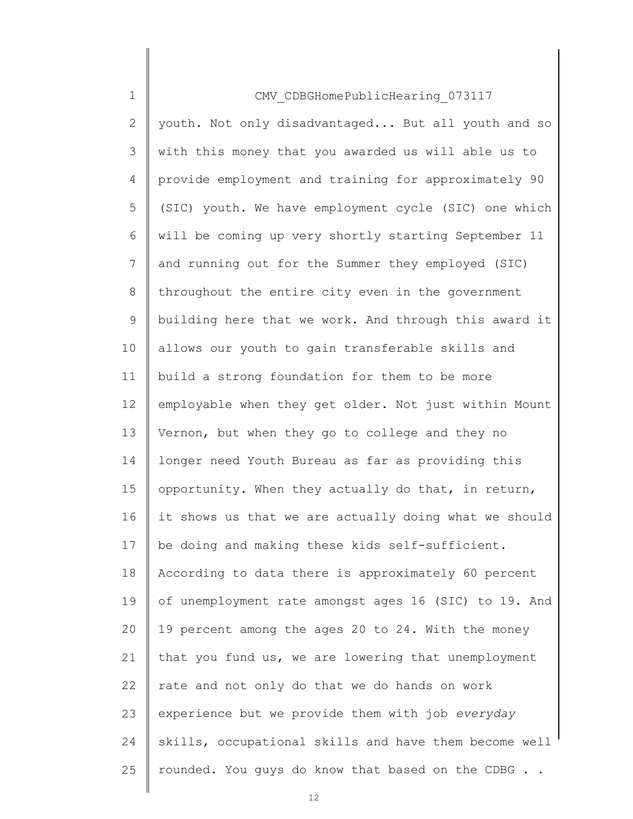| $\mathbf 1$    | CMV CDBGHomePublicHearing 073117                      |
|----------------|-------------------------------------------------------|
| 2              | youth. Not only disadvantaged But all youth and so    |
| 3              | with this money that you awarded us will able us to   |
| 4              | provide employment and training for approximately 90  |
| 5              | (SIC) youth. We have employment cycle (SIC) one which |
| 6              | will be coming up very shortly starting September 11  |
| $\overline{7}$ | and running out for the Summer they employed (SIC)    |
| 8              | throughout the entire city even in the government     |
| 9              | building here that we work. And through this award it |
| 10             | allows our youth to gain transferable skills and      |
| 11             | build a strong foundation for them to be more         |
| 12             | employable when they get older. Not just within Mount |
| 13             | Vernon, but when they go to college and they no       |
| 14             | longer need Youth Bureau as far as providing this     |
| 15             | opportunity. When they actually do that, in return,   |
| 16             | it shows us that we are actually doing what we should |
| 17             | be doing and making these kids self-sufficient.       |
| 18             | According to data there is approximately 60 percent   |
| 19             | of unemployment rate amongst ages 16 (SIC) to 19. And |
| 20             | 19 percent among the ages 20 to 24. With the money    |
| 21             | that you fund us, we are lowering that unemployment   |
| 22             | rate and not only do that we do hands on work         |
| 23             | experience but we provide them with job everyday      |
| 24             | skills, occupational skills and have them become well |
| 25             | rounded. You guys do know that based on the CDBG      |
|                |                                                       |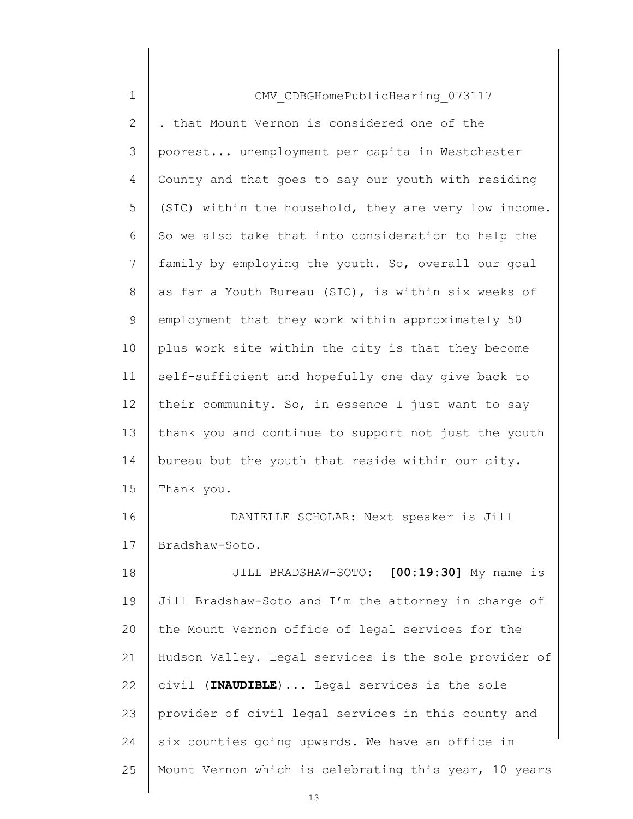| $\mathbf 1$    | CMV CDBGHomePublicHearing 073117                      |
|----------------|-------------------------------------------------------|
| $\overline{2}$ | - that Mount Vernon is considered one of the          |
| 3              | poorest unemployment per capita in Westchester        |
| 4              | County and that goes to say our youth with residing   |
| 5              | (SIC) within the household, they are very low income. |
| 6              | So we also take that into consideration to help the   |
| 7              | family by employing the youth. So, overall our goal   |
| 8              | as far a Youth Bureau (SIC), is within six weeks of   |
| 9              | employment that they work within approximately 50     |
| 10             | plus work site within the city is that they become    |
| 11             | self-sufficient and hopefully one day give back to    |
| 12             | their community. So, in essence I just want to say    |
| 13             | thank you and continue to support not just the youth  |
| 14             | bureau but the youth that reside within our city.     |
| 15             | Thank you.                                            |
| 16             | DANIELLE SCHOLAR: Next speaker is Jill                |
| 17             | Bradshaw-Soto.                                        |
| 18             | JILL BRADSHAW-SOTO: [00:19:30] My name is             |
| 19             | Jill Bradshaw-Soto and I'm the attorney in charge of  |
| 20             | the Mount Vernon office of legal services for the     |
| 21             | Hudson Valley. Legal services is the sole provider of |
| 22             | civil (INAUDIBLE) Legal services is the sole          |
| 23             | provider of civil legal services in this county and   |
| 24             | six counties going upwards. We have an office in      |
| 25             | Mount Vernon which is celebrating this year, 10 years |
|                |                                                       |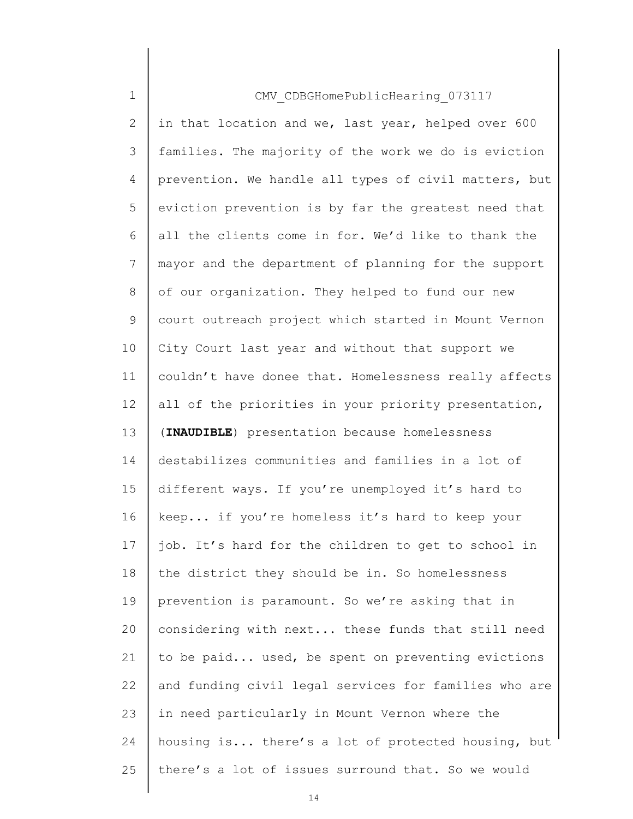| $\mathbf 1$    | CMV CDBGHomePublicHearing 073117                      |
|----------------|-------------------------------------------------------|
| $\overline{2}$ | in that location and we, last year, helped over 600   |
| 3              | families. The majority of the work we do is eviction  |
| 4              | prevention. We handle all types of civil matters, but |
| 5              | eviction prevention is by far the greatest need that  |
| 6              | all the clients come in for. We'd like to thank the   |
| $7\phantom{.}$ | mayor and the department of planning for the support  |
| 8              | of our organization. They helped to fund our new      |
| 9              | court outreach project which started in Mount Vernon  |
| 10             | City Court last year and without that support we      |
| 11             | couldn't have donee that. Homelessness really affects |
| 12             | all of the priorities in your priority presentation,  |
| 13             | (INAUDIBLE) presentation because homelessness         |
| 14             | destabilizes communities and families in a lot of     |
| 15             | different ways. If you're unemployed it's hard to     |
| 16             | keep if you're homeless it's hard to keep your        |
| 17             | job. It's hard for the children to get to school in   |
| 18             | the district they should be in. So homelessness       |
| 19             | prevention is paramount. So we're asking that in      |
| 20             | considering with next these funds that still need     |
| 21             | to be paid used, be spent on preventing evictions     |
| 22             | and funding civil legal services for families who are |
| 23             | in need particularly in Mount Vernon where the        |
| 24             | housing is there's a lot of protected housing, but    |
| 25             | there's a lot of issues surround that. So we would    |
|                |                                                       |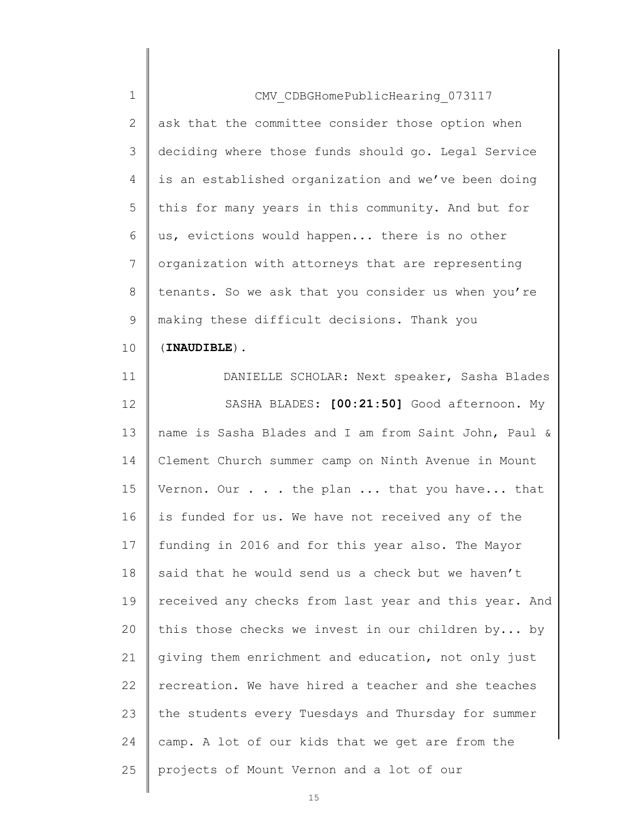| $\mathbf 1$    | CMV CDBGHomePublicHearing 073117                      |
|----------------|-------------------------------------------------------|
| $\mathbf{2}$   | ask that the committee consider those option when     |
| 3              | deciding where those funds should go. Legal Service   |
| 4              | is an established organization and we've been doing   |
| 5              | this for many years in this community. And but for    |
| 6              | us, evictions would happen there is no other          |
| $\overline{7}$ | organization with attorneys that are representing     |
| 8              | tenants. So we ask that you consider us when you're   |
| $\mathsf 9$    | making these difficult decisions. Thank you           |
| 10             | $(INAUDIBLE)$ .                                       |
| 11             | DANIELLE SCHOLAR: Next speaker, Sasha Blades          |
| 12             | SASHA BLADES: [00:21:50] Good afternoon. My           |
| 13             | name is Sasha Blades and I am from Saint John, Paul & |
| 14             | Clement Church summer camp on Ninth Avenue in Mount   |
| 15             | Vernon. Our the plan  that you have that              |
| 16             | is funded for us. We have not received any of the     |
| 17             | funding in 2016 and for this year also. The Mayor     |
| 18             | said that he would send us a check but we haven't     |
| 19             | received any checks from last year and this year. And |
| 20             | this those checks we invest in our children by by     |
| 21             | giving them enrichment and education, not only just   |
| 22             | recreation. We have hired a teacher and she teaches   |
| 23             | the students every Tuesdays and Thursday for summer   |
| 24             | camp. A lot of our kids that we get are from the      |
| 25             | projects of Mount Vernon and a lot of our             |
|                |                                                       |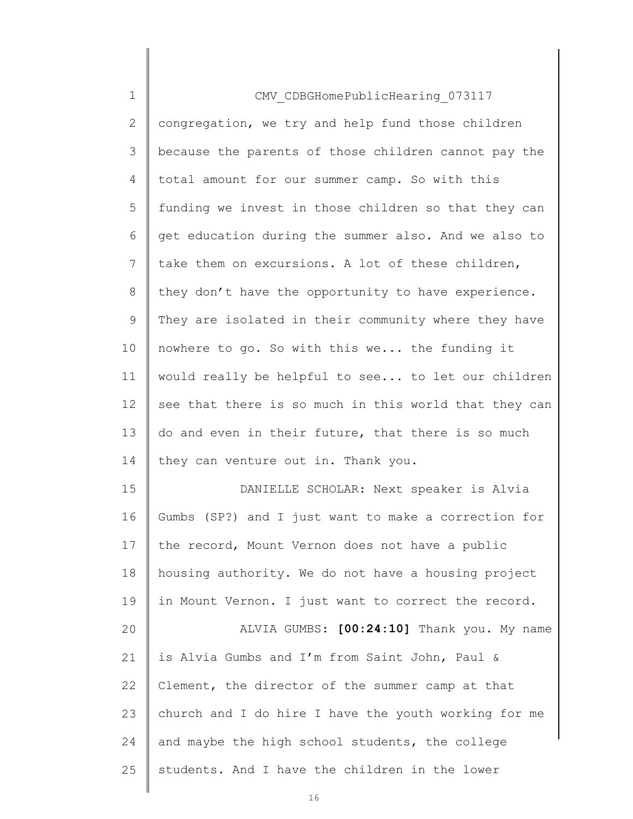| $\mathbf 1$    | CMV CDBGHomePublicHearing 073117                      |
|----------------|-------------------------------------------------------|
| $\mathbf{2}$   | congregation, we try and help fund those children     |
| 3              | because the parents of those children cannot pay the  |
| 4              | total amount for our summer camp. So with this        |
| 5              | funding we invest in those children so that they can  |
| 6              | get education during the summer also. And we also to  |
| $7\phantom{.}$ | take them on excursions. A lot of these children,     |
| $8\,$          | they don't have the opportunity to have experience.   |
| $\mathsf 9$    | They are isolated in their community where they have  |
| 10             | nowhere to go. So with this we the funding it         |
| 11             | would really be helpful to see to let our children    |
| 12             | see that there is so much in this world that they can |
| 13             | do and even in their future, that there is so much    |
| 14             | they can venture out in. Thank you.                   |
| 15             | DANIELLE SCHOLAR: Next speaker is Alvia               |
| 16             | Gumbs (SP?) and I just want to make a correction for  |
| 17             | the record, Mount Vernon does not have a public       |
| 18             | housing authority. We do not have a housing project   |
| 19             | in Mount Vernon. I just want to correct the record.   |
| 20             | ALVIA GUMBS: [00:24:10] Thank you. My name            |
| 21             | is Alvia Gumbs and I'm from Saint John, Paul &        |
| 22             | Clement, the director of the summer camp at that      |
| 23             | church and I do hire I have the youth working for me  |
| 24             | and maybe the high school students, the college       |
| 25             | students. And I have the children in the lower        |
|                |                                                       |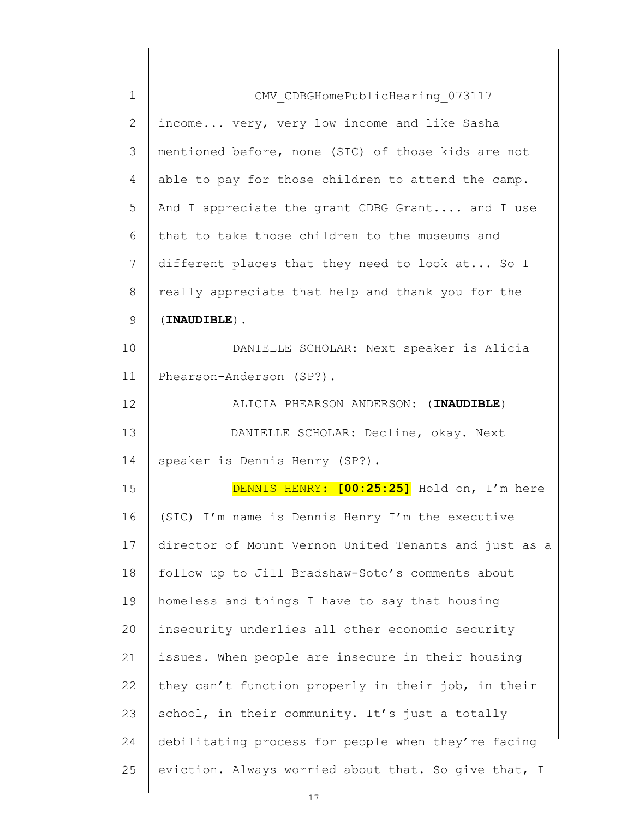| 1  | CMV CDBGHomePublicHearing 073117                      |
|----|-------------------------------------------------------|
| 2  | income very, very low income and like Sasha           |
| 3  | mentioned before, none (SIC) of those kids are not    |
| 4  | able to pay for those children to attend the camp.    |
| 5  | And I appreciate the grant CDBG Grant and I use       |
| 6  | that to take those children to the museums and        |
| 7  | different places that they need to look at So I       |
| 8  | really appreciate that help and thank you for the     |
| 9  | $(INAUDIBLE)$ .                                       |
| 10 | DANIELLE SCHOLAR: Next speaker is Alicia              |
| 11 | Phearson-Anderson (SP?).                              |
| 12 | ALICIA PHEARSON ANDERSON: (INAUDIBLE)                 |
| 13 | DANIELLE SCHOLAR: Decline, okay. Next                 |
| 14 | speaker is Dennis Henry (SP?).                        |
| 15 | DENNIS HENRY: [00:25:25] Hold on, I'm here            |
| 16 | (SIC) I'm name is Dennis Henry I'm the executive      |
| 17 | director of Mount Vernon United Tenants and just as a |
| 18 | follow up to Jill Bradshaw-Soto's comments about      |
| 19 | homeless and things I have to say that housing        |
| 20 | insecurity underlies all other economic security      |
| 21 | issues. When people are insecure in their housing     |
| 22 | they can't function properly in their job, in their   |
| 23 | school, in their community. It's just a totally       |
| 24 | debilitating process for people when they're facing   |
| 25 | eviction. Always worried about that. So give that, I  |
|    |                                                       |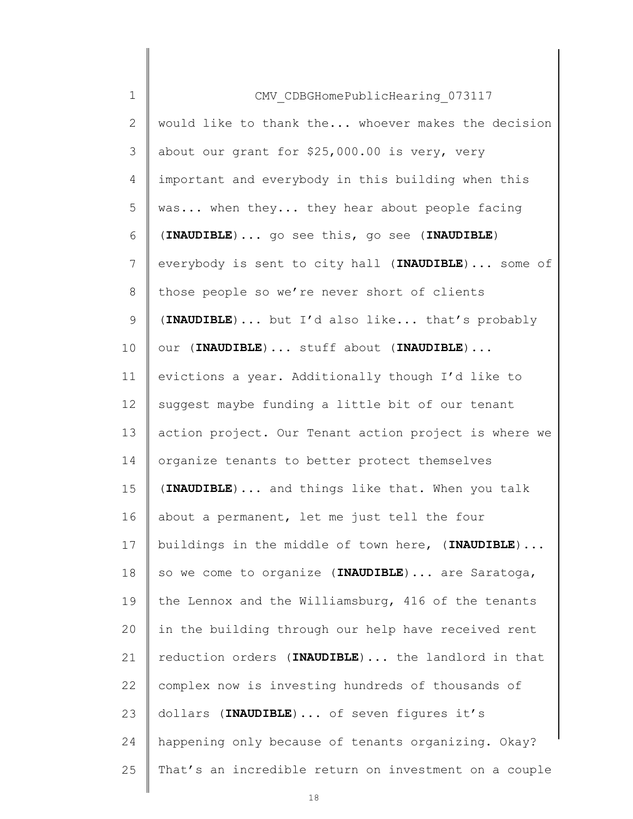| $\mathbf 1$     | CMV CDBGHomePublicHearing 073117                      |
|-----------------|-------------------------------------------------------|
| 2               | would like to thank the whoever makes the decision    |
| 3               | about our grant for \$25,000.00 is very, very         |
| 4               | important and everybody in this building when this    |
| 5               | was when they they hear about people facing           |
| 6               | (INAUDIBLE)  go see this, go see (INAUDIBLE)          |
| $\overline{7}$  | everybody is sent to city hall (INAUDIBLE)  some of   |
| 8               | those people so we're never short of clients          |
| $\mathsf 9$     | (INAUDIBLE)  but I'd also like that's probably        |
| 10              | our (INAUDIBLE)  stuff about (INAUDIBLE)              |
| 11              | evictions a year. Additionally though I'd like to     |
| 12              | suggest maybe funding a little bit of our tenant      |
| 13              | action project. Our Tenant action project is where we |
| 14              | organize tenants to better protect themselves         |
| 15              | (INAUDIBLE) and things like that. When you talk       |
| 16              | about a permanent, let me just tell the four          |
| 17 <sup>1</sup> | buildings in the middle of town here, (INAUDIBLE)     |
| 18              | so we come to organize (INAUDIBLE)  are Saratoga,     |
| 19              | the Lennox and the Williamsburg, 416 of the tenants   |
| 20              | in the building through our help have received rent   |
| 21              | reduction orders (INAUDIBLE)  the landlord in that    |
| 22              | complex now is investing hundreds of thousands of     |
| 23              | dollars (INAUDIBLE)  of seven figures it's            |
| 24              | happening only because of tenants organizing. Okay?   |
| 25              | That's an incredible return on investment on a couple |
|                 |                                                       |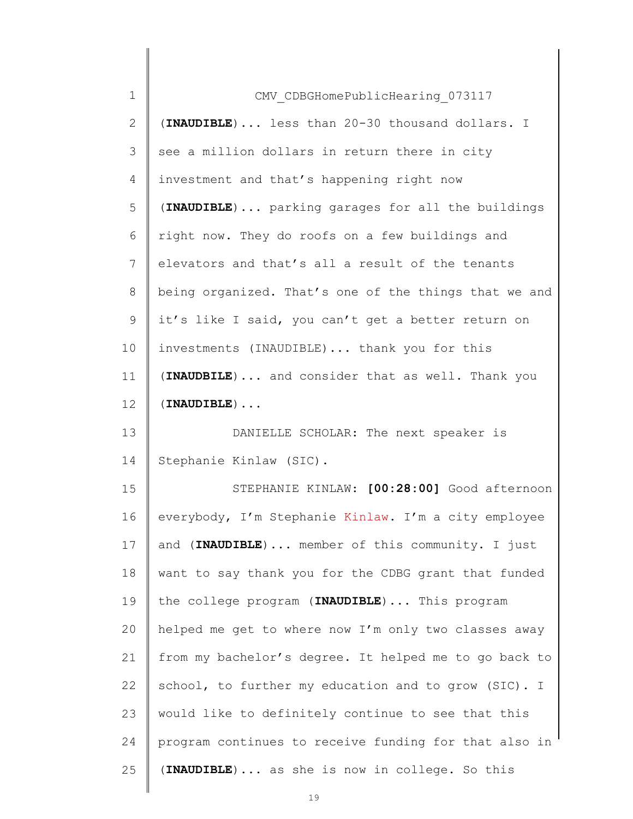| $\mathbf 1$    | CMV CDBGHomePublicHearing 073117                      |
|----------------|-------------------------------------------------------|
| $\mathbf{2}$   | (INAUDIBLE)  less than 20-30 thousand dollars. I      |
| 3              | see a million dollars in return there in city         |
| 4              | investment and that's happening right now             |
| 5              | (INAUDIBLE)  parking garages for all the buildings    |
| 6              | right now. They do roofs on a few buildings and       |
| $7\phantom{.}$ | elevators and that's all a result of the tenants      |
| 8              | being organized. That's one of the things that we and |
| 9              | it's like I said, you can't get a better return on    |
| 10             | investments (INAUDIBLE)  thank you for this           |
| 11             | (INAUDBILE)  and consider that as well. Thank you     |
| 12             | $(INAUDIBLE)$                                         |
| 13             | DANIELLE SCHOLAR: The next speaker is                 |
| 14             | Stephanie Kinlaw (SIC).                               |
| 15             | STEPHANIE KINLAW: [00:28:00] Good afternoon           |
| 16             | everybody, I'm Stephanie Kinlaw. I'm a city employee  |
| 17             | and (INAUDIBLE)  member of this community. I just     |
| 18             | want to say thank you for the CDBG grant that funded  |
| 19             | the college program (INAUDIBLE)  This program         |
| 20             | helped me get to where now I'm only two classes away  |
| 21             | from my bachelor's degree. It helped me to go back to |
| 22             | school, to further my education and to grow (SIC). I  |
| 23             | would like to definitely continue to see that this    |
| 24             | program continues to receive funding for that also in |
| 25             | (INAUDIBLE)  as she is now in college. So this        |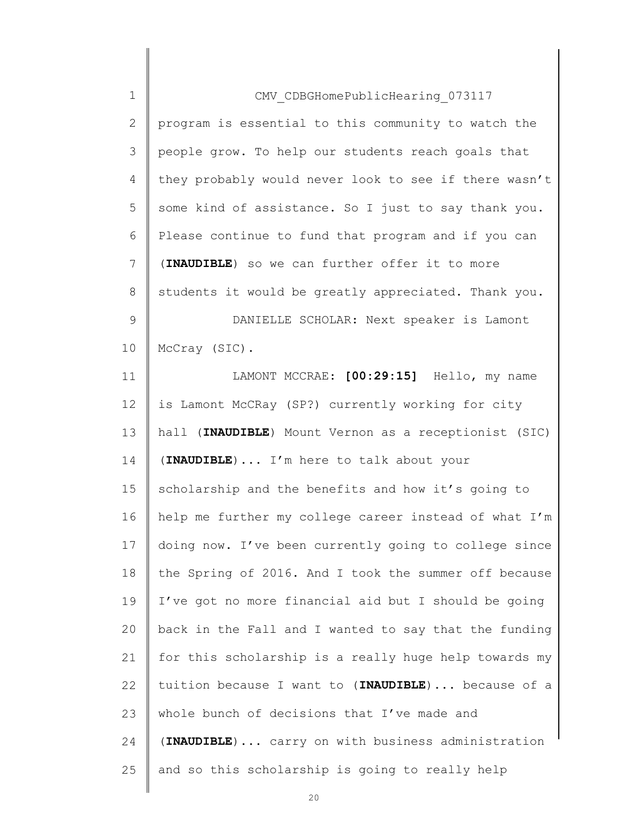| $\mathbf 1$    | CMV CDBGHomePublicHearing 073117                      |
|----------------|-------------------------------------------------------|
| $\mathbf{2}$   | program is essential to this community to watch the   |
| 3              | people grow. To help our students reach goals that    |
| $\overline{4}$ | they probably would never look to see if there wasn't |
| 5              | some kind of assistance. So I just to say thank you.  |
| 6              | Please continue to fund that program and if you can   |
| 7              | (INAUDIBLE) so we can further offer it to more        |
| 8              | students it would be greatly appreciated. Thank you.  |
| $\mathsf 9$    | DANIELLE SCHOLAR: Next speaker is Lamont              |
| 10             | McCray (SIC).                                         |
| 11             | LAMONT MCCRAE: [00:29:15] Hello, my name              |
| 12             | is Lamont McCRay (SP?) currently working for city     |
| 13             | hall (INAUDIBLE) Mount Vernon as a receptionist (SIC) |
| 14             | (INAUDIBLE)  I'm here to talk about your              |
| 15             | scholarship and the benefits and how it's going to    |
| 16             | help me further my college career instead of what I'm |
| 17             | doing now. I've been currently going to college since |
| 18             | the Spring of 2016. And I took the summer off because |
| 19             | I've got no more financial aid but I should be going  |
| 20             | back in the Fall and I wanted to say that the funding |
| 21             | for this scholarship is a really huge help towards my |
| 22             | tuition because I want to (INAUDIBLE) because of a    |
| 23             | whole bunch of decisions that I've made and           |
| 24             | (INAUDIBLE)  carry on with business administration    |
| 25             | and so this scholarship is going to really help       |
|                |                                                       |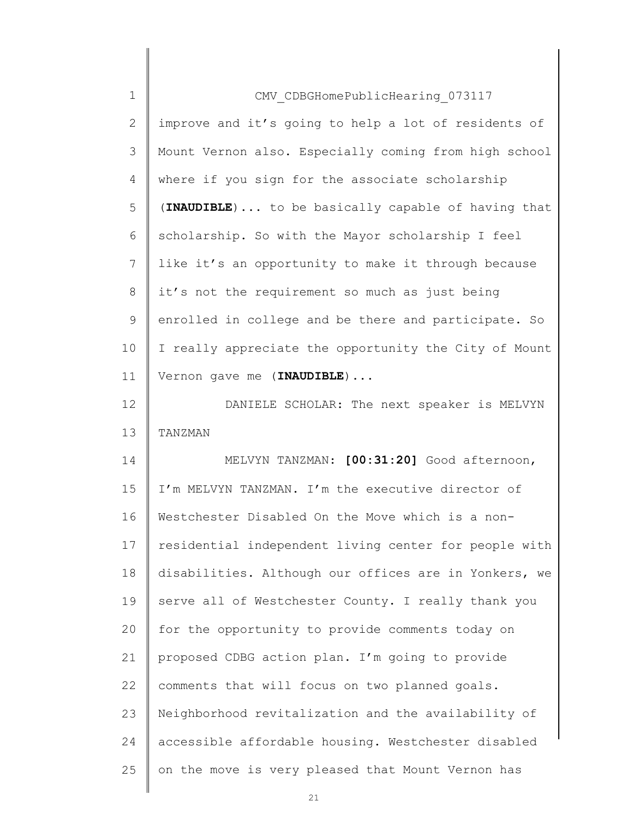| $\mathbf 1$  | CMV CDBGHomePublicHearing 073117                      |
|--------------|-------------------------------------------------------|
| $\mathbf{2}$ | improve and it's going to help a lot of residents of  |
| 3            | Mount Vernon also. Especially coming from high school |
| 4            | where if you sign for the associate scholarship       |
| 5            | (INAUDIBLE)  to be basically capable of having that   |
| 6            | scholarship. So with the Mayor scholarship I feel     |
| 7            | like it's an opportunity to make it through because   |
| 8            | it's not the requirement so much as just being        |
| $\mathsf{S}$ | enrolled in college and be there and participate. So  |
| 10           | I really appreciate the opportunity the City of Mount |
| 11           | Vernon gave me (INAUDIBLE)                            |
| 12           | DANIELE SCHOLAR: The next speaker is MELVYN           |
| 13           | TANZMAN                                               |
| 14           | MELVYN TANZMAN: [00:31:20] Good afternoon,            |
| 15           | I'm MELVYN TANZMAN. I'm the executive director of     |
| 16           | Westchester Disabled On the Move which is a non-      |
| 17           | residential independent living center for people with |
| 18           | disabilities. Although our offices are in Yonkers, we |
| 19           | serve all of Westchester County. I really thank you   |
| 20           | for the opportunity to provide comments today on      |
| 21           | proposed CDBG action plan. I'm going to provide       |
| 22           | comments that will focus on two planned goals.        |
| 23           | Neighborhood revitalization and the availability of   |
| 24           | accessible affordable housing. Westchester disabled   |
| 25           | on the move is very pleased that Mount Vernon has     |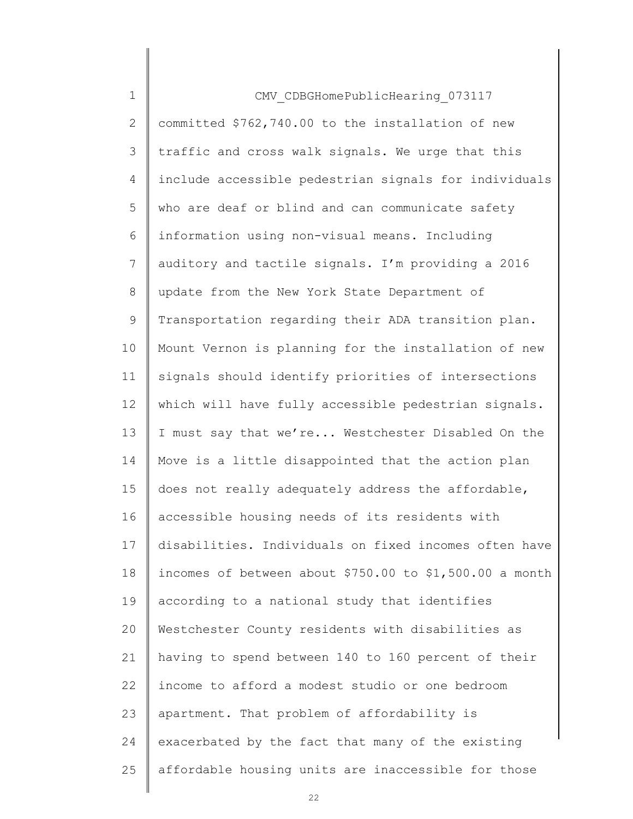| $\mathbf 1$    | CMV CDBGHomePublicHearing 073117                        |
|----------------|---------------------------------------------------------|
| $\overline{2}$ | committed \$762,740.00 to the installation of new       |
| 3              | traffic and cross walk signals. We urge that this       |
| 4              | include accessible pedestrian signals for individuals   |
| 5              | who are deaf or blind and can communicate safety        |
| 6              | information using non-visual means. Including           |
| 7              | auditory and tactile signals. I'm providing a 2016      |
| 8              | update from the New York State Department of            |
| 9              | Transportation regarding their ADA transition plan.     |
| 10             | Mount Vernon is planning for the installation of new    |
| 11             | signals should identify priorities of intersections     |
| 12             | which will have fully accessible pedestrian signals.    |
| 13             | I must say that we're Westchester Disabled On the       |
| 14             | Move is a little disappointed that the action plan      |
| 15             | does not really adequately address the affordable,      |
| 16             | accessible housing needs of its residents with          |
| 17             | disabilities. Individuals on fixed incomes often have   |
| 18             | incomes of between about \$750.00 to \$1,500.00 a month |
| 19             | according to a national study that identifies           |
| 20             | Westchester County residents with disabilities as       |
| 21             | having to spend between 140 to 160 percent of their     |
| 22             | income to afford a modest studio or one bedroom         |
| 23             | apartment. That problem of affordability is             |
| 24             | exacerbated by the fact that many of the existing       |
| 25             | affordable housing units are inaccessible for those     |
|                |                                                         |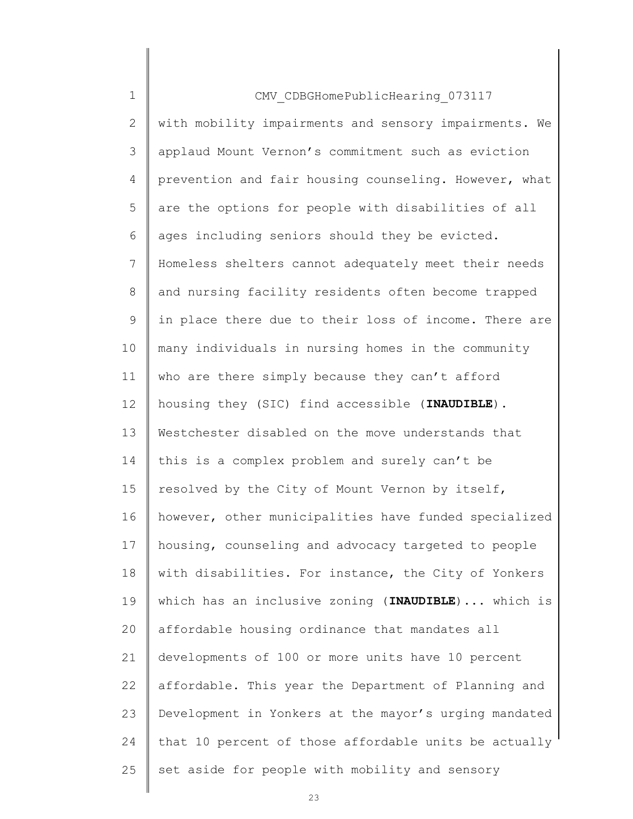| $\mathbf 1$    | CMV CDBGHomePublicHearing 073117                      |
|----------------|-------------------------------------------------------|
| $\overline{2}$ | with mobility impairments and sensory impairments. We |
| 3              | applaud Mount Vernon's commitment such as eviction    |
| 4              | prevention and fair housing counseling. However, what |
| 5              | are the options for people with disabilities of all   |
| 6              | ages including seniors should they be evicted.        |
| $7\phantom{.}$ | Homeless shelters cannot adequately meet their needs  |
| 8              | and nursing facility residents often become trapped   |
| 9              | in place there due to their loss of income. There are |
| 10             | many individuals in nursing homes in the community    |
| 11             | who are there simply because they can't afford        |
| 12             | housing they (SIC) find accessible (INAUDIBLE).       |
| 13             | Westchester disabled on the move understands that     |
| 14             | this is a complex problem and surely can't be         |
| 15             | resolved by the City of Mount Vernon by itself,       |
| 16             | however, other municipalities have funded specialized |
| 17             | housing, counseling and advocacy targeted to people   |
| 18             | with disabilities. For instance, the City of Yonkers  |
| 19             | which has an inclusive zoning (INAUDIBLE)  which is   |
| 20             | affordable housing ordinance that mandates all        |
| 21             | developments of 100 or more units have 10 percent     |
| 22             | affordable. This year the Department of Planning and  |
| 23             | Development in Yonkers at the mayor's urging mandated |
| 24             | that 10 percent of those affordable units be actually |
| 25             | set aside for people with mobility and sensory        |
|                |                                                       |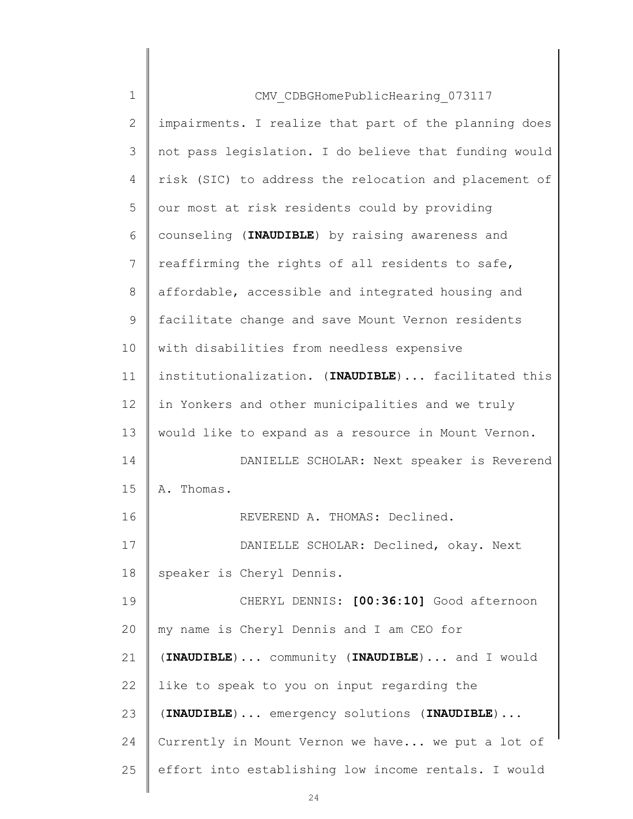| $\mathbf 1$  | CMV CDBGHomePublicHearing 073117                      |
|--------------|-------------------------------------------------------|
| $\mathbf{2}$ | impairments. I realize that part of the planning does |
| 3            | not pass legislation. I do believe that funding would |
| 4            | risk (SIC) to address the relocation and placement of |
| 5            | our most at risk residents could by providing         |
| 6            | counseling (INAUDIBLE) by raising awareness and       |
| 7            | reaffirming the rights of all residents to safe,      |
| 8            | affordable, accessible and integrated housing and     |
| $\mathsf{S}$ | facilitate change and save Mount Vernon residents     |
| 10           | with disabilities from needless expensive             |
| 11           | institutionalization. (INAUDIBLE)  facilitated this   |
| 12           | in Yonkers and other municipalities and we truly      |
| 13           | would like to expand as a resource in Mount Vernon.   |
| 14           | DANIELLE SCHOLAR: Next speaker is Reverend            |
| 15           | A. Thomas.                                            |
| 16           | REVEREND A. THOMAS: Declined.                         |
| 17           | DANIELLE SCHOLAR: Declined, okay. Next                |
| 18           | speaker is Cheryl Dennis.                             |
| 19           | CHERYL DENNIS: [00:36:10] Good afternoon              |
| 20           | my name is Cheryl Dennis and I am CEO for             |
| 21           | (INAUDIBLE)  community (INAUDIBLE)  and I would       |
| 22           | like to speak to you on input regarding the           |
| 23           | (INAUDIBLE)  emergency solutions (INAUDIBLE)          |
| 24           | Currently in Mount Vernon we have we put a lot of     |
| 25           | effort into establishing low income rentals. I would  |
|              |                                                       |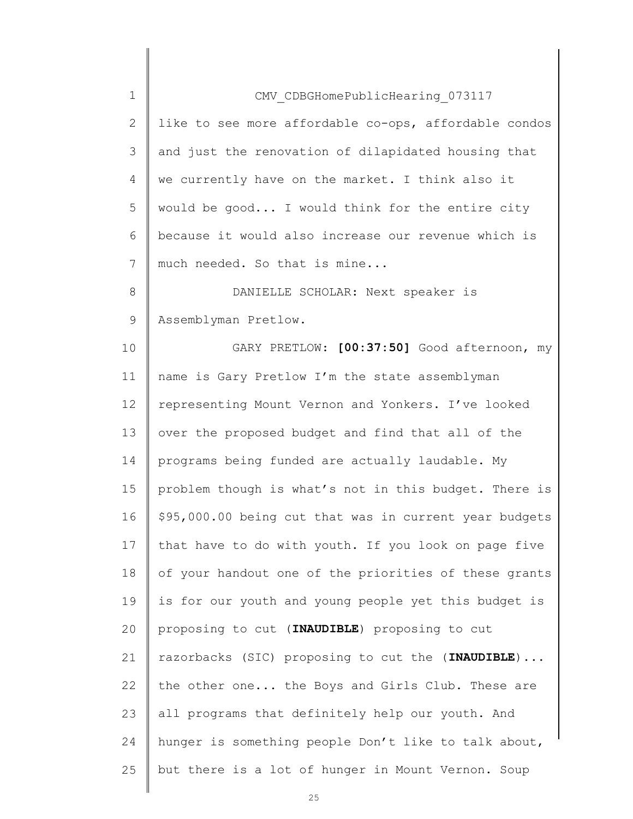| $\mathbf 1$    | CMV CDBGHomePublicHearing 073117                       |
|----------------|--------------------------------------------------------|
| $\mathbf{2}$   | like to see more affordable co-ops, affordable condos  |
| 3              | and just the renovation of dilapidated housing that    |
| $\overline{4}$ | we currently have on the market. I think also it       |
| 5              | would be good I would think for the entire city        |
| 6              | because it would also increase our revenue which is    |
| 7              | much needed. So that is mine                           |
| 8              | DANIELLE SCHOLAR: Next speaker is                      |
| $\mathsf{S}$   | Assemblyman Pretlow.                                   |
| 10             | GARY PRETLOW: [00:37:50] Good afternoon, my            |
| 11             | name is Gary Pretlow I'm the state assemblyman         |
| 12             | representing Mount Vernon and Yonkers. I've looked     |
| 13             | over the proposed budget and find that all of the      |
| 14             | programs being funded are actually laudable. My        |
| 15             | problem though is what's not in this budget. There is  |
| 16             | \$95,000.00 being cut that was in current year budgets |
| 17             | that have to do with youth. If you look on page five   |
| 18             | of your handout one of the priorities of these grants  |
| 19             | is for our youth and young people yet this budget is   |
| 20             | proposing to cut (INAUDIBLE) proposing to cut          |
| 21             | razorbacks (SIC) proposing to cut the (INAUDIBLE)      |
| 22             | the other one the Boys and Girls Club. These are       |
| 23             | all programs that definitely help our youth. And       |
| 24             | hunger is something people Don't like to talk about,   |
| 25             | but there is a lot of hunger in Mount Vernon. Soup     |
|                |                                                        |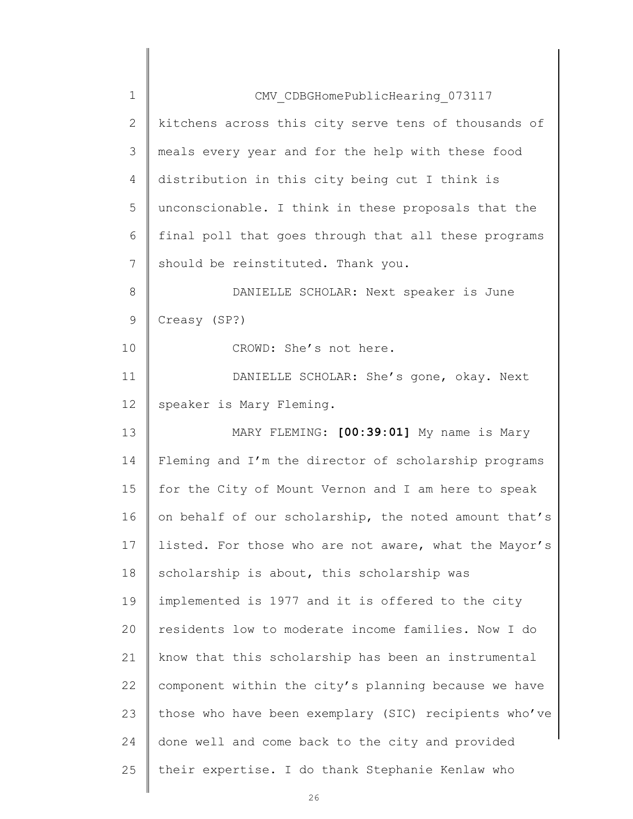| $\mathbf 1$  | CMV CDBGHomePublicHearing 073117                      |
|--------------|-------------------------------------------------------|
| $\mathbf{2}$ | kitchens across this city serve tens of thousands of  |
| 3            | meals every year and for the help with these food     |
| 4            | distribution in this city being cut I think is        |
| 5            | unconscionable. I think in these proposals that the   |
| 6            | final poll that goes through that all these programs  |
| 7            | should be reinstituted. Thank you.                    |
| 8            | DANIELLE SCHOLAR: Next speaker is June                |
| $\mathsf 9$  | Creasy (SP?)                                          |
| 10           | CROWD: She's not here.                                |
| 11           | DANIELLE SCHOLAR: She's gone, okay. Next              |
| 12           | speaker is Mary Fleming.                              |
| 13           | MARY FLEMING: [00:39:01] My name is Mary              |
| 14           | Fleming and I'm the director of scholarship programs  |
| 15           | for the City of Mount Vernon and I am here to speak   |
| 16           | on behalf of our scholarship, the noted amount that's |
| 17           | listed. For those who are not aware, what the Mayor's |
| 18           | scholarship is about, this scholarship was            |
| 19           | implemented is 1977 and it is offered to the city     |
| 20           | residents low to moderate income families. Now I do   |
| 21           | know that this scholarship has been an instrumental   |
| 22           | component within the city's planning because we have  |
| 23           | those who have been exemplary (SIC) recipients who've |
| 24           | done well and come back to the city and provided      |
| 25           | their expertise. I do thank Stephanie Kenlaw who      |
|              |                                                       |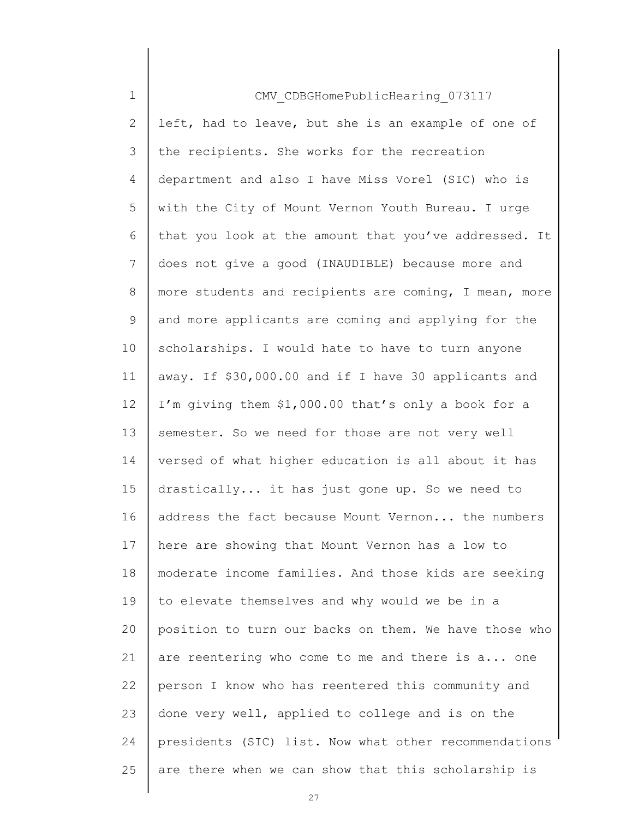| $\mathbf 1$    | CMV CDBGHomePublicHearing 073117                      |
|----------------|-------------------------------------------------------|
| $\overline{2}$ | left, had to leave, but she is an example of one of   |
| 3              | the recipients. She works for the recreation          |
| 4              | department and also I have Miss Vorel (SIC) who is    |
| 5              | with the City of Mount Vernon Youth Bureau. I urge    |
| 6              | that you look at the amount that you've addressed. It |
| 7              | does not give a good (INAUDIBLE) because more and     |
| 8              | more students and recipients are coming, I mean, more |
| 9              | and more applicants are coming and applying for the   |
| 10             | scholarships. I would hate to have to turn anyone     |
| 11             | away. If \$30,000.00 and if I have 30 applicants and  |
| 12             | I'm giving them \$1,000.00 that's only a book for a   |
| 13             | semester. So we need for those are not very well      |
| 14             | versed of what higher education is all about it has   |
| 15             | drastically it has just gone up. So we need to        |
| 16             | address the fact because Mount Vernon the numbers     |
| 17             | here are showing that Mount Vernon has a low to       |
| 18             | moderate income families. And those kids are seeking  |
| 19             | to elevate themselves and why would we be in a        |
| 20             | position to turn our backs on them. We have those who |
| 21             | are reentering who come to me and there is a one      |
| 22             | person I know who has reentered this community and    |
| 23             | done very well, applied to college and is on the      |
| 24             | presidents (SIC) list. Now what other recommendations |
| 25             | are there when we can show that this scholarship is   |
|                |                                                       |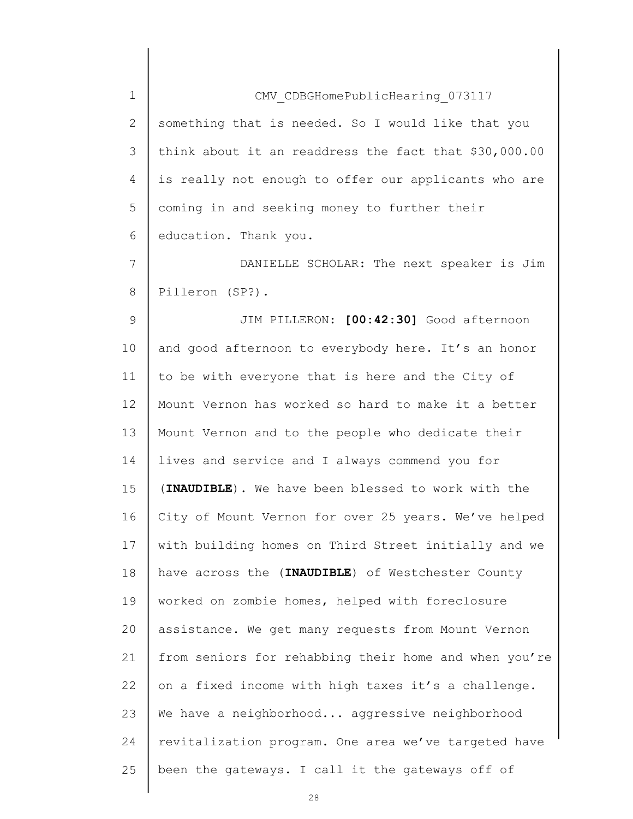| $\mathbf 1$  | CMV CDBGHomePublicHearing 073117                      |
|--------------|-------------------------------------------------------|
| $\mathbf{2}$ | something that is needed. So I would like that you    |
| 3            | think about it an readdress the fact that \$30,000.00 |
| 4            | is really not enough to offer our applicants who are  |
| 5            | coming in and seeking money to further their          |
| 6            | education. Thank you.                                 |
| 7            | DANIELLE SCHOLAR: The next speaker is Jim             |
| 8            | Pilleron (SP?).                                       |
| $\mathsf 9$  | JIM PILLERON: [00:42:30] Good afternoon               |
| 10           | and good afternoon to everybody here. It's an honor   |
| 11           | to be with everyone that is here and the City of      |
| 12           | Mount Vernon has worked so hard to make it a better   |
| 13           | Mount Vernon and to the people who dedicate their     |
| 14           | lives and service and I always commend you for        |
| 15           | (INAUDIBLE). We have been blessed to work with the    |
| 16           | City of Mount Vernon for over 25 years. We've helped  |
| 17           | with building homes on Third Street initially and we  |
| 18           | have across the (INAUDIBLE) of Westchester County     |
| 19           | worked on zombie homes, helped with foreclosure       |
| 20           | assistance. We get many requests from Mount Vernon    |
| 21           | from seniors for rehabbing their home and when you're |
| 22           | on a fixed income with high taxes it's a challenge.   |
| 23           | We have a neighborhood aggressive neighborhood        |
| 24           | revitalization program. One area we've targeted have  |
| 25           | been the gateways. I call it the gateways off of      |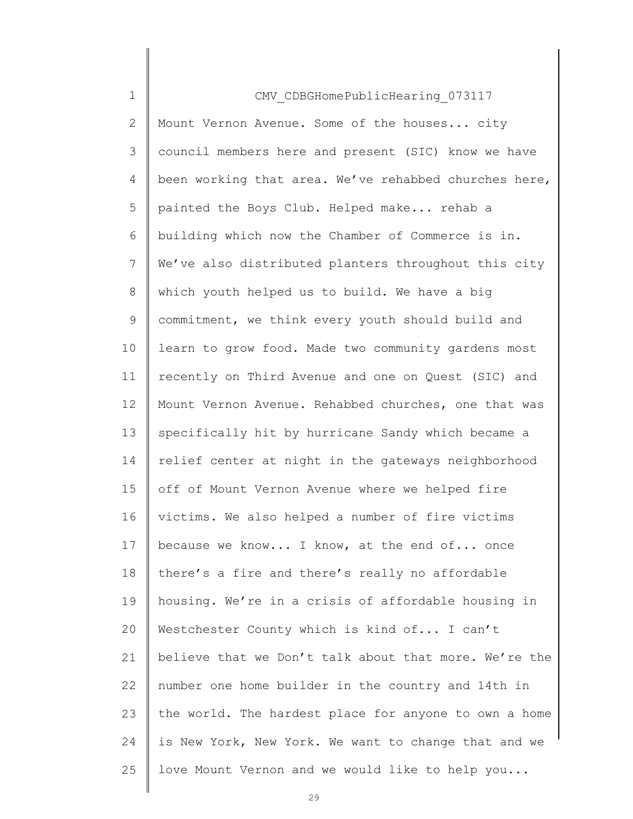| $\mathbf 1$ | CMV CDBGHomePublicHearing 073117                      |
|-------------|-------------------------------------------------------|
| 2           | Mount Vernon Avenue. Some of the houses city          |
| 3           | council members here and present (SIC) know we have   |
| 4           | been working that area. We've rehabbed churches here, |
| 5           | painted the Boys Club. Helped make rehab a            |
| 6           | building which now the Chamber of Commerce is in.     |
| 7           | We've also distributed planters throughout this city  |
| 8           | which youth helped us to build. We have a big         |
| 9           | commitment, we think every youth should build and     |
| 10          | learn to grow food. Made two community gardens most   |
| 11          | recently on Third Avenue and one on Quest (SIC) and   |
| 12          | Mount Vernon Avenue. Rehabbed churches, one that was  |
| 13          | specifically hit by hurricane Sandy which became a    |
| 14          | relief center at night in the gateways neighborhood   |
| 15          | off of Mount Vernon Avenue where we helped fire       |
| 16          | victims. We also helped a number of fire victims      |
| 17          | because we know I know, at the end of once            |
| 18          | there's a fire and there's really no affordable       |
| 19          | housing. We're in a crisis of affordable housing in   |
| 20          | Westchester County which is kind of I can't           |
| 21          | believe that we Don't talk about that more. We're the |
| 22          | number one home builder in the country and 14th in    |
| 23          | the world. The hardest place for anyone to own a home |
| 24          | is New York, New York. We want to change that and we  |
| 25          | love Mount Vernon and we would like to help you       |
|             |                                                       |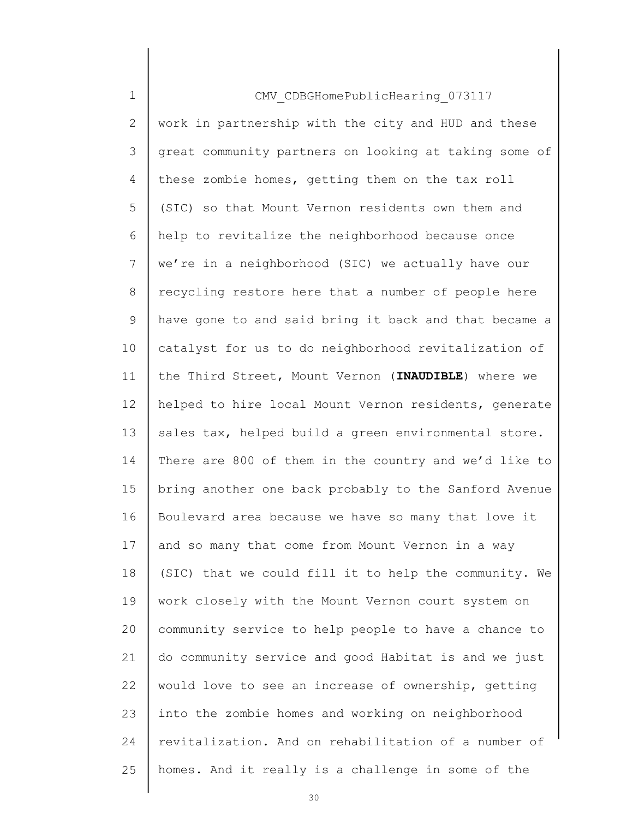| $\mathbf 1$    | CMV CDBGHomePublicHearing 073117                      |
|----------------|-------------------------------------------------------|
| $\mathbf{2}$   | work in partnership with the city and HUD and these   |
| $\mathfrak{Z}$ | great community partners on looking at taking some of |
| 4              | these zombie homes, getting them on the tax roll      |
| 5              | (SIC) so that Mount Vernon residents own them and     |
| 6              | help to revitalize the neighborhood because once      |
| $\overline{7}$ | we're in a neighborhood (SIC) we actually have our    |
| 8              | recycling restore here that a number of people here   |
| $\mathsf 9$    | have gone to and said bring it back and that became a |
| 10             | catalyst for us to do neighborhood revitalization of  |
| 11             | the Third Street, Mount Vernon (INAUDIBLE) where we   |
| 12             | helped to hire local Mount Vernon residents, generate |
| 13             | sales tax, helped build a green environmental store.  |
| 14             | There are 800 of them in the country and we'd like to |
| 15             | bring another one back probably to the Sanford Avenue |
| 16             | Boulevard area because we have so many that love it   |
| 17             | and so many that come from Mount Vernon in a way      |
| 18             | (SIC) that we could fill it to help the community. We |
| 19             | work closely with the Mount Vernon court system on    |
| 20             | community service to help people to have a chance to  |
| 21             | do community service and good Habitat is and we just  |
| 22             | would love to see an increase of ownership, getting   |
| 23             | into the zombie homes and working on neighborhood     |
| 24             | revitalization. And on rehabilitation of a number of  |
| 25             | homes. And it really is a challenge in some of the    |
|                |                                                       |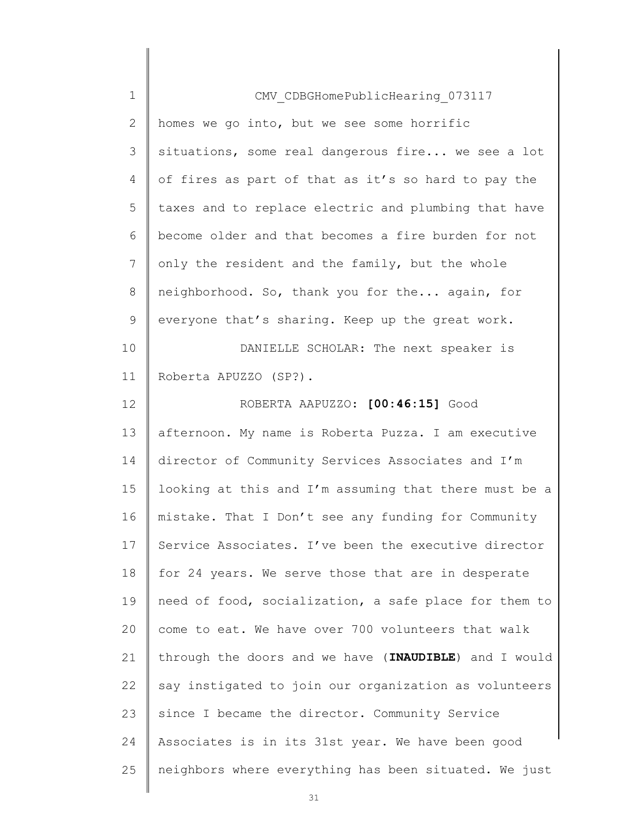| $\mathbf 1$ | CMV CDBGHomePublicHearing 073117                      |
|-------------|-------------------------------------------------------|
| 2           | homes we go into, but we see some horrific            |
| 3           | situations, some real dangerous fire we see a lot     |
| 4           | of fires as part of that as it's so hard to pay the   |
| 5           | taxes and to replace electric and plumbing that have  |
| 6           | become older and that becomes a fire burden for not   |
| 7           | only the resident and the family, but the whole       |
| 8           | neighborhood. So, thank you for the again, for        |
| 9           | everyone that's sharing. Keep up the great work.      |
| 10          | DANIELLE SCHOLAR: The next speaker is                 |
| 11          | Roberta APUZZO (SP?).                                 |
| 12          | ROBERTA AAPUZZO: [00:46:15] Good                      |
| 13          | afternoon. My name is Roberta Puzza. I am executive   |
| 14          | director of Community Services Associates and I'm     |
| 15          | looking at this and I'm assuming that there must be a |
| 16          | mistake. That I Don't see any funding for Community   |
| 17          | Service Associates. I've been the executive director  |
| 18          | for 24 years. We serve those that are in desperate    |
| 19          | need of food, socialization, a safe place for them to |
| 20          | come to eat. We have over 700 volunteers that walk    |
| 21          | through the doors and we have (INAUDIBLE) and I would |
| 22          | say instigated to join our organization as volunteers |
| 23          | since I became the director. Community Service        |
| 24          | Associates is in its 31st year. We have been good     |
| 25          | neighbors where everything has been situated. We just |
|             |                                                       |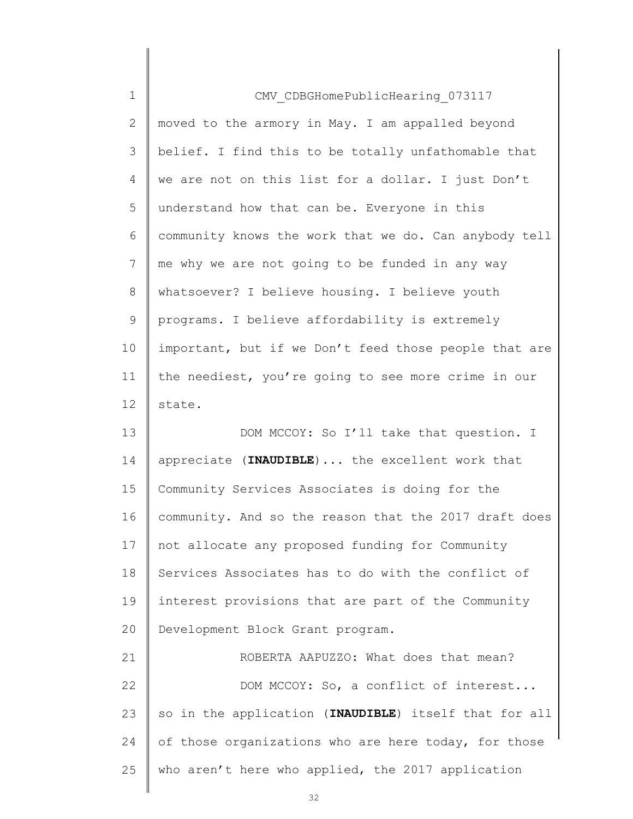| $\mathbf 1$ | CMV CDBGHomePublicHearing 073117                      |
|-------------|-------------------------------------------------------|
| 2           | moved to the armory in May. I am appalled beyond      |
| 3           | belief. I find this to be totally unfathomable that   |
| 4           | we are not on this list for a dollar. I just Don't    |
| 5           | understand how that can be. Everyone in this          |
| 6           | community knows the work that we do. Can anybody tell |
| 7           | me why we are not going to be funded in any way       |
| 8           | whatsoever? I believe housing. I believe youth        |
| 9           | programs. I believe affordability is extremely        |
| 10          | important, but if we Don't feed those people that are |
| 11          | the neediest, you're going to see more crime in our   |
| 12          | state.                                                |
| 13          | DOM MCCOY: So I'll take that question. I              |
|             |                                                       |
| 14          | appreciate (INAUDIBLE)  the excellent work that       |
| 15          | Community Services Associates is doing for the        |
| 16          | community. And so the reason that the 2017 draft does |
| 17          | not allocate any proposed funding for Community       |
| 18          | Services Associates has to do with the conflict of    |
| 19          | interest provisions that are part of the Community    |
| 20          | Development Block Grant program.                      |
| 21          | ROBERTA AAPUZZO: What does that mean?                 |
|             | DOM MCCOY: So, a conflict of interest                 |
| 22<br>23    | so in the application (INAUDIBLE) itself that for all |
| 24          | of those organizations who are here today, for those  |
| 25          | who aren't here who applied, the 2017 application     |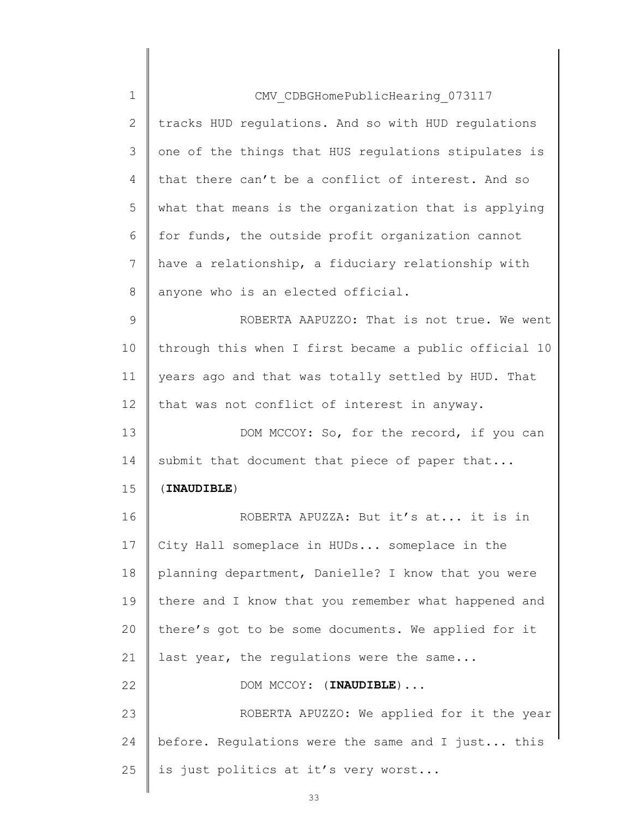| $\mathbf 1$  | CMV CDBGHomePublicHearing 073117                      |
|--------------|-------------------------------------------------------|
| $\mathbf{2}$ | tracks HUD regulations. And so with HUD regulations   |
| 3            | one of the things that HUS regulations stipulates is  |
| 4            | that there can't be a conflict of interest. And so    |
| 5            | what that means is the organization that is applying  |
| 6            | for funds, the outside profit organization cannot     |
| 7            | have a relationship, a fiduciary relationship with    |
| 8            | anyone who is an elected official.                    |
| 9            | ROBERTA AAPUZZO: That is not true. We went            |
| 10           | through this when I first became a public official 10 |
| 11           | years ago and that was totally settled by HUD. That   |
| 12           | that was not conflict of interest in anyway.          |
| 13           | DOM MCCOY: So, for the record, if you can             |
| 14           | submit that document that piece of paper that         |
| 15           | (INAUDIBLE)                                           |
| 16           | ROBERTA APUZZA: But it's at it is in                  |
| 17           | City Hall someplace in HUDs someplace in the          |
| 18           | planning department, Danielle? I know that you were   |
| 19           | there and I know that you remember what happened and  |
| 20           | there's got to be some documents. We applied for it   |
| 21           | last year, the regulations were the same              |
| 22           | DOM MCCOY: (INAUDIBLE)                                |
| 23           | ROBERTA APUZZO: We applied for it the year            |
| 24           | before. Regulations were the same and I just this     |
| 25           | is just politics at it's very worst                   |
|              |                                                       |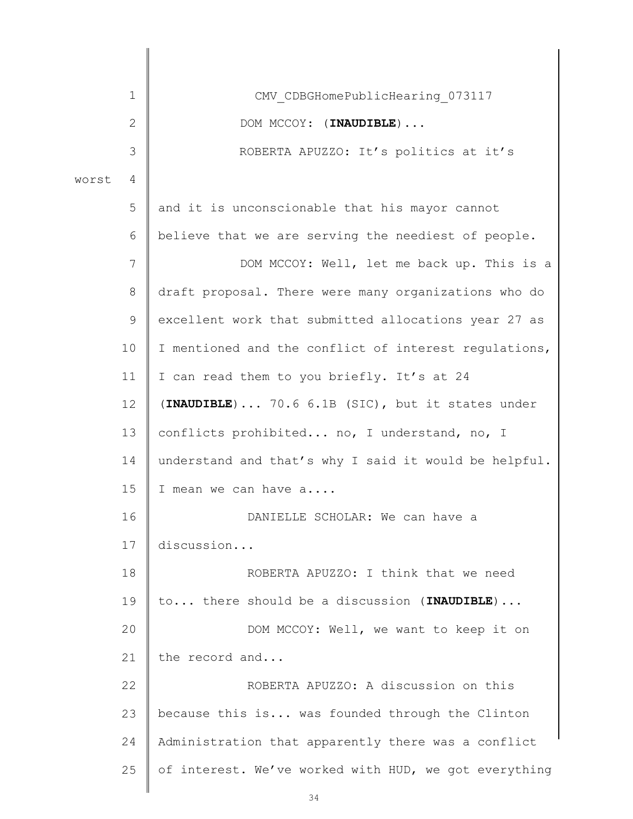|       | 1               | CMV CDBGHomePublicHearing 073117                      |
|-------|-----------------|-------------------------------------------------------|
|       | $\overline{2}$  | DOM MCCOY: (INAUDIBLE)                                |
|       | 3               | ROBERTA APUZZO: It's politics at it's                 |
| worst | 4               |                                                       |
|       | 5               | and it is unconscionable that his mayor cannot        |
|       | 6               | believe that we are serving the neediest of people.   |
|       | 7               | DOM MCCOY: Well, let me back up. This is a            |
|       | 8               | draft proposal. There were many organizations who do  |
|       | 9               | excellent work that submitted allocations year 27 as  |
|       | 10              | I mentioned and the conflict of interest regulations, |
|       | 11              | I can read them to you briefly. It's at 24            |
|       | 12 <sup>°</sup> | (INAUDIBLE)  70.6 6.1B (SIC), but it states under     |
|       | 13              | conflicts prohibited no, I understand, no, I          |
|       | 14              | understand and that's why I said it would be helpful. |
|       | 15              | I mean we can have a                                  |
|       | 16              | DANIELLE SCHOLAR: We can have a                       |
|       | 17              | discussion                                            |
|       | 18              | ROBERTA APUZZO: I think that we need                  |
|       | 19              | to there should be a discussion (INAUDIBLE)           |
|       | 20              | DOM MCCOY: Well, we want to keep it on                |
|       | 21              | the record and                                        |
|       | 22              | ROBERTA APUZZO: A discussion on this                  |
|       | 23              | because this is was founded through the Clinton       |
|       | 24              | Administration that apparently there was a conflict   |
|       | 25              | of interest. We've worked with HUD, we got everything |
|       |                 |                                                       |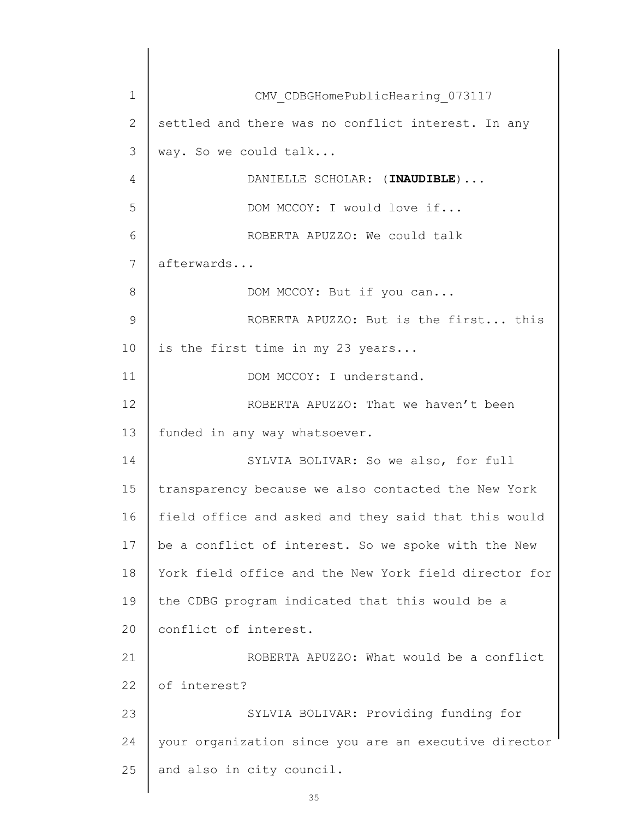1 2 3 4 5 6 7 8 9 10 11 12 13 14 15 16 17 18 19  $20$ 21 22 23 24 25 CMV\_CDBGHomePublicHearing\_073117 settled and there was no conflict interest. In any way. So we could talk... DANIELLE SCHOLAR: (INAUDIBLE)... DOM MCCOY: I would love if... ROBERTA APUZZO: We could talk afterwards... DOM MCCOY: But if you can... ROBERTA APUZZO: But is the first... this is the first time in my 23 years... DOM MCCOY: I understand. ROBERTA APUZZO: That we haven't been funded in any way whatsoever. SYLVIA BOLIVAR: So we also, for full transparency because we also contacted the New York field office and asked and they said that this would be a conflict of interest. So we spoke with the New York field office and the New York field director for the CDBG program indicated that this would be a conflict of interest. ROBERTA APUZZO: What would be a conflict of interest? SYLVIA BOLIVAR: Providing funding for your organization since you are an executive director and also in city council.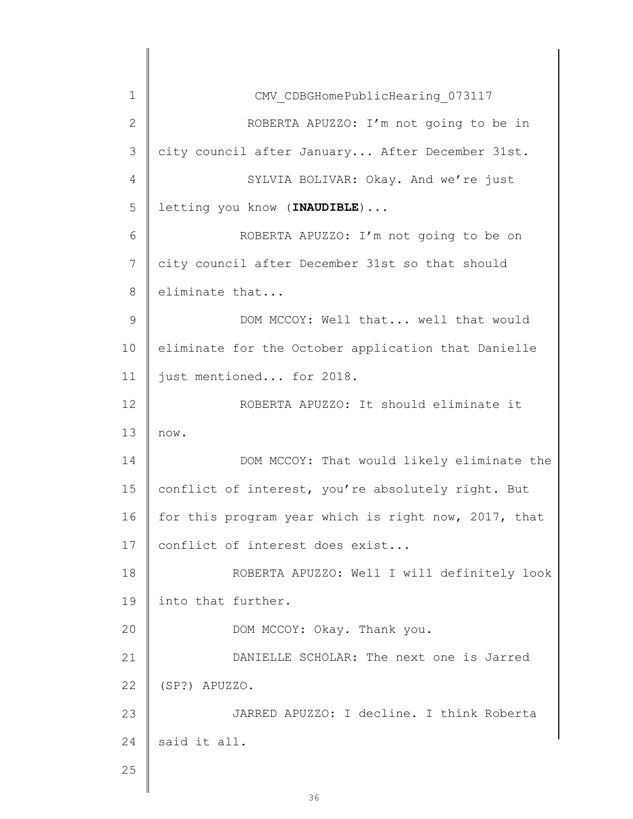| 1            | CMV CDBGHomePublicHearing 073117                     |
|--------------|------------------------------------------------------|
| $\mathbf{2}$ | ROBERTA APUZZO: I'm not going to be in               |
| 3            | city council after January After December 31st.      |
| 4            | SYLVIA BOLIVAR: Okay. And we're just                 |
| 5            | letting you know (INAUDIBLE)                         |
| 6            | ROBERTA APUZZO: I'm not going to be on               |
| 7            | city council after December 31st so that should      |
| 8            | eliminate that                                       |
| 9            | DOM MCCOY: Well that well that would                 |
| 10           | eliminate for the October application that Danielle  |
| 11           | just mentioned for 2018.                             |
| 12           | ROBERTA APUZZO: It should eliminate it               |
| 13           | now.                                                 |
| 14           | DOM MCCOY: That would likely eliminate the           |
| 15           | conflict of interest, you're absolutely right. But   |
| 16           | for this program year which is right now, 2017, that |
| 17           | conflict of interest does exist                      |
| 18           | ROBERTA APUZZO: Well I will definitely look          |
| 19           | into that further.                                   |
| 20           | DOM MCCOY: Okay. Thank you.                          |
| 21           | DANIELLE SCHOLAR: The next one is Jarred             |
| 22           | (SP?) APUZZO.                                        |
| 23           | JARRED APUZZO: I decline. I think Roberta            |
| 24           | said it all.                                         |
| 25           |                                                      |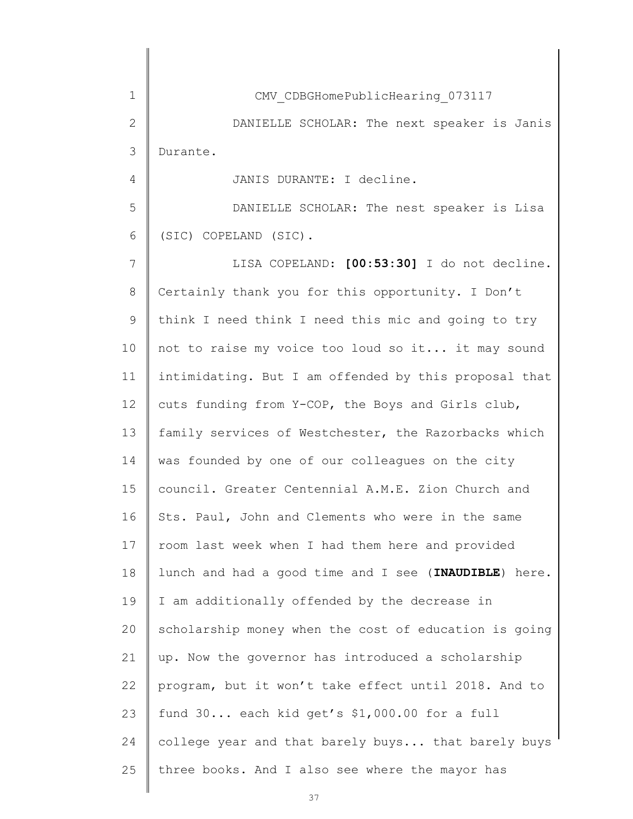1 2 3 4 5 6 7 8 9 10 11 12 13 14 15 16 17 18 19 20 21 22 23 24 25 CMV\_CDBGHomePublicHearing\_073117 DANIELLE SCHOLAR: The next speaker is Janis Durante. JANIS DURANTE: I decline. DANIELLE SCHOLAR: The nest speaker is Lisa (SIC) COPELAND (SIC). LISA COPELAND: [00:53:30] I do not decline. Certainly thank you for this opportunity. I Don't think I need think I need this mic and going to try not to raise my voice too loud so it... it may sound intimidating. But I am offended by this proposal that cuts funding from Y-COP, the Boys and Girls club, family services of Westchester, the Razorbacks which was founded by one of our colleagues on the city council. Greater Centennial A.M.E. Zion Church and Sts. Paul, John and Clements who were in the same room last week when I had them here and provided lunch and had a good time and I see (INAUDIBLE) here. I am additionally offended by the decrease in scholarship money when the cost of education is going up. Now the governor has introduced a scholarship program, but it won't take effect until 2018. And to fund 30... each kid get's \$1,000.00 for a full college year and that barely buys... that barely buys three books. And I also see where the mayor has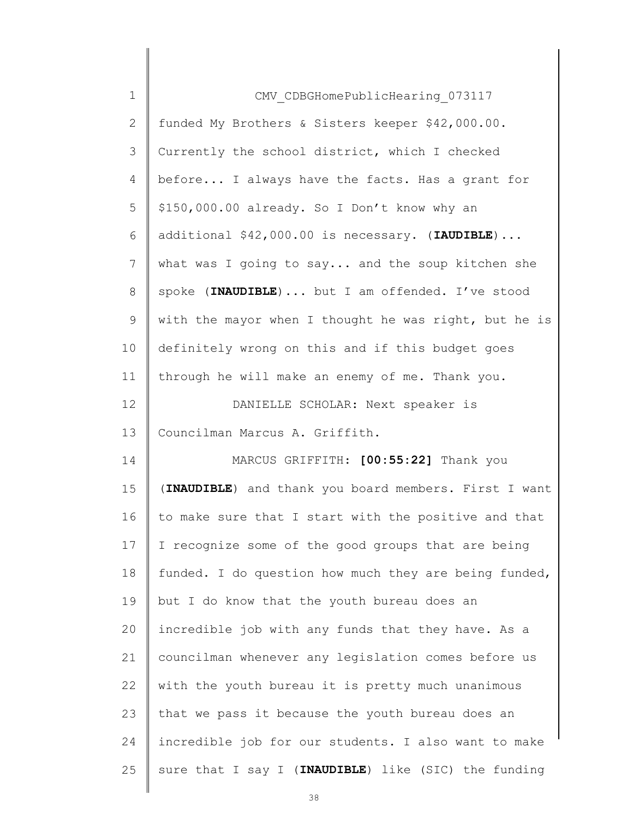| $\mathbf 1$ | CMV CDBGHomePublicHearing 073117                      |
|-------------|-------------------------------------------------------|
| 2           | funded My Brothers & Sisters keeper \$42,000.00.      |
| 3           | Currently the school district, which I checked        |
| 4           | before I always have the facts. Has a grant for       |
| 5           | \$150,000.00 already. So I Don't know why an          |
| 6           | additional \$42,000.00 is necessary. (IAUDIBLE)       |
| 7           | what was I going to say and the soup kitchen she      |
| 8           | spoke (INAUDIBLE)  but I am offended. I've stood      |
| 9           | with the mayor when I thought he was right, but he is |
| 10          | definitely wrong on this and if this budget goes      |
| 11          | through he will make an enemy of me. Thank you.       |
| 12          | DANIELLE SCHOLAR: Next speaker is                     |
| 13          | Councilman Marcus A. Griffith.                        |
| 14          | MARCUS GRIFFITH: [00:55:22] Thank you                 |
| 15          | (INAUDIBLE) and thank you board members. First I want |
| 16          | to make sure that I start with the positive and that  |
| 17          | I recognize some of the good groups that are being    |
| 18          | funded. I do question how much they are being funded, |
| 19          | but I do know that the youth bureau does an           |
| 20          | incredible job with any funds that they have. As a    |
| 21          | councilman whenever any legislation comes before us   |
| 22          | with the youth bureau it is pretty much unanimous     |
| 23          | that we pass it because the youth bureau does an      |
| 24          | incredible job for our students. I also want to make  |
| 25          | sure that I say I (INAUDIBLE) like (SIC) the funding  |
|             |                                                       |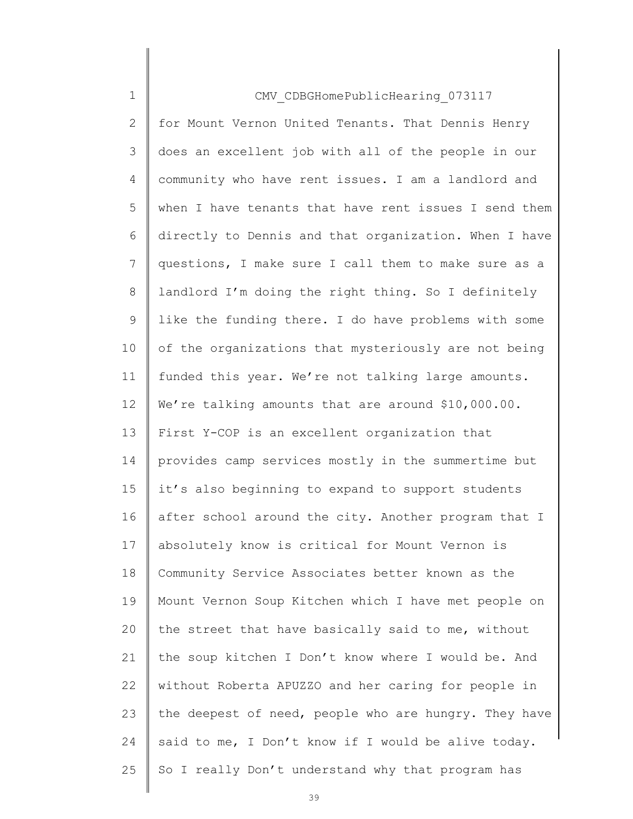| $\mathbf 1$    | CMV CDBGHomePublicHearing 073117                      |
|----------------|-------------------------------------------------------|
| $\mathbf{2}$   | for Mount Vernon United Tenants. That Dennis Henry    |
| 3              | does an excellent job with all of the people in our   |
| $\overline{4}$ | community who have rent issues. I am a landlord and   |
| 5              | when I have tenants that have rent issues I send them |
| 6              | directly to Dennis and that organization. When I have |
| $\overline{7}$ | questions, I make sure I call them to make sure as a  |
| 8              | landlord I'm doing the right thing. So I definitely   |
| 9              | like the funding there. I do have problems with some  |
| 10             | of the organizations that mysteriously are not being  |
| 11             | funded this year. We're not talking large amounts.    |
| 12             | We're talking amounts that are around \$10,000.00.    |
| 13             | First Y-COP is an excellent organization that         |
| 14             | provides camp services mostly in the summertime but   |
| 15             | it's also beginning to expand to support students     |
| 16             | after school around the city. Another program that I  |
| 17             | absolutely know is critical for Mount Vernon is       |
| 18             | Community Service Associates better known as the      |
| 19             | Mount Vernon Soup Kitchen which I have met people on  |
| 20             | the street that have basically said to me, without    |
| 21             | the soup kitchen I Don't know where I would be. And   |
| 22             | without Roberta APUZZO and her caring for people in   |
| 23             | the deepest of need, people who are hungry. They have |
| 24             | said to me, I Don't know if I would be alive today.   |
| 25             | So I really Don't understand why that program has     |
|                |                                                       |

 $\begin{array}{c} \hline \end{array}$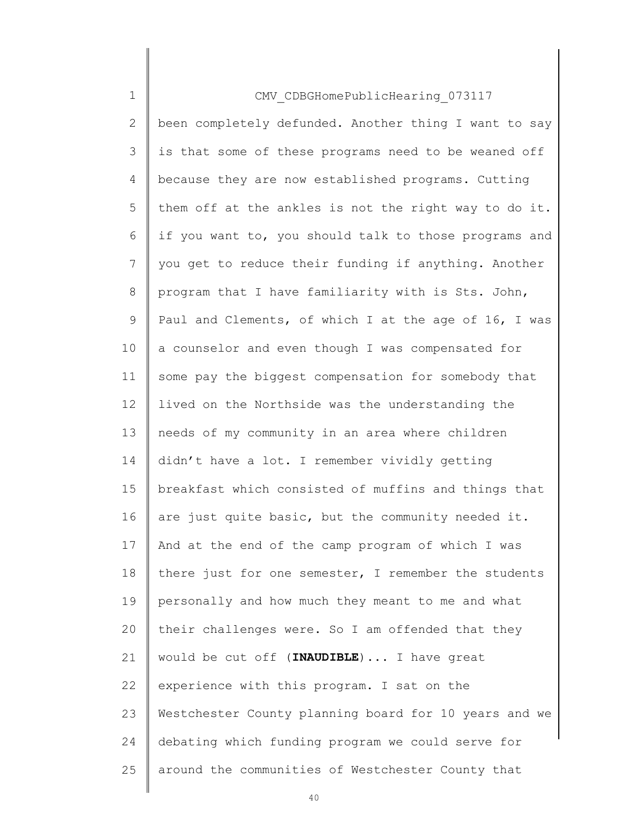| $\mathbf 1$    | CMV CDBGHomePublicHearing 073117                      |
|----------------|-------------------------------------------------------|
| 2              | been completely defunded. Another thing I want to say |
| 3              | is that some of these programs need to be weaned off  |
| 4              | because they are now established programs. Cutting    |
| 5              | them off at the ankles is not the right way to do it. |
| 6              | if you want to, you should talk to those programs and |
| $\overline{7}$ | you get to reduce their funding if anything. Another  |
| 8              | program that I have familiarity with is Sts. John,    |
| 9              | Paul and Clements, of which I at the age of 16, I was |
| 10             | a counselor and even though I was compensated for     |
| 11             | some pay the biggest compensation for somebody that   |
| 12             | lived on the Northside was the understanding the      |
| 13             | needs of my community in an area where children       |
| 14             | didn't have a lot. I remember vividly getting         |
| 15             | breakfast which consisted of muffins and things that  |
| 16             | are just quite basic, but the community needed it.    |
| 17             | And at the end of the camp program of which I was     |
| 18             | there just for one semester, I remember the students  |
| 19             | personally and how much they meant to me and what     |
| 20             | their challenges were. So I am offended that they     |
| 21             | would be cut off (INAUDIBLE)  I have great            |
| 22             | experience with this program. I sat on the            |
| 23             | Westchester County planning board for 10 years and we |
| 24             | debating which funding program we could serve for     |
| 25             | around the communities of Westchester County that     |
|                |                                                       |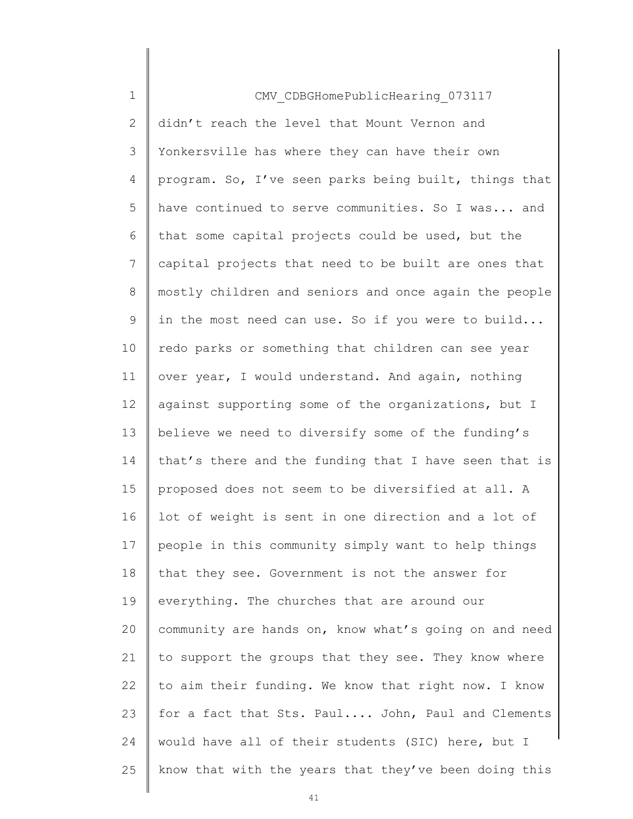| $\mathbf 1$    | CMV CDBGHomePublicHearing 073117                      |
|----------------|-------------------------------------------------------|
| 2              | didn't reach the level that Mount Vernon and          |
| 3              | Yonkersville has where they can have their own        |
| 4              | program. So, I've seen parks being built, things that |
| 5              | have continued to serve communities. So I was and     |
| 6              | that some capital projects could be used, but the     |
| $\overline{7}$ | capital projects that need to be built are ones that  |
| 8              | mostly children and seniors and once again the people |
| 9              | in the most need can use. So if you were to build     |
| 10             | redo parks or something that children can see year    |
| 11             | over year, I would understand. And again, nothing     |
| 12             | against supporting some of the organizations, but I   |
| 13             | believe we need to diversify some of the funding's    |
| 14             | that's there and the funding that I have seen that is |
| 15             | proposed does not seem to be diversified at all. A    |
| 16             | lot of weight is sent in one direction and a lot of   |
| 17             | people in this community simply want to help things   |
| 18             | that they see. Government is not the answer for       |
| 19             | everything. The churches that are around our          |
| 20             | community are hands on, know what's going on and need |
| 21             | to support the groups that they see. They know where  |
| 22             | to aim their funding. We know that right now. I know  |
| 23             | for a fact that Sts. Paul John, Paul and Clements     |
| 24             | would have all of their students (SIC) here, but I    |
| 25             | know that with the years that they've been doing this |
|                |                                                       |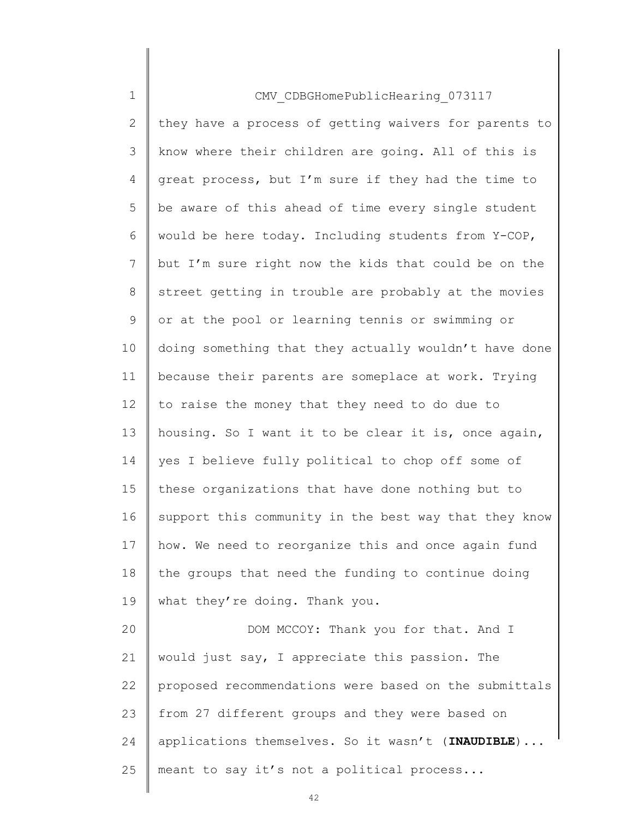| $\mathbf 1$    | CMV CDBGHomePublicHearing 073117                      |
|----------------|-------------------------------------------------------|
| $\overline{2}$ | they have a process of getting waivers for parents to |
| 3              | know where their children are going. All of this is   |
| 4              | great process, but I'm sure if they had the time to   |
| 5              | be aware of this ahead of time every single student   |
| 6              | would be here today. Including students from Y-COP,   |
| 7              | but I'm sure right now the kids that could be on the  |
| 8              | street getting in trouble are probably at the movies  |
| 9              | or at the pool or learning tennis or swimming or      |
| 10             | doing something that they actually wouldn't have done |
| 11             | because their parents are someplace at work. Trying   |
| 12             | to raise the money that they need to do due to        |
| 13             | housing. So I want it to be clear it is, once again,  |
| 14             | yes I believe fully political to chop off some of     |
| 15             | these organizations that have done nothing but to     |
| 16             | support this community in the best way that they know |
| 17             | how. We need to reorganize this and once again fund   |
| 18             | the groups that need the funding to continue doing    |
| 19             | what they're doing. Thank you.                        |
| 20             | DOM MCCOY: Thank you for that. And I                  |
| 21             | would just say, I appreciate this passion. The        |
| 22             | proposed recommendations were based on the submittals |
| 23             | from 27 different groups and they were based on       |
| 24             | applications themselves. So it wasn't (INAUDIBLE)     |
| 25             | meant to say it's not a political process             |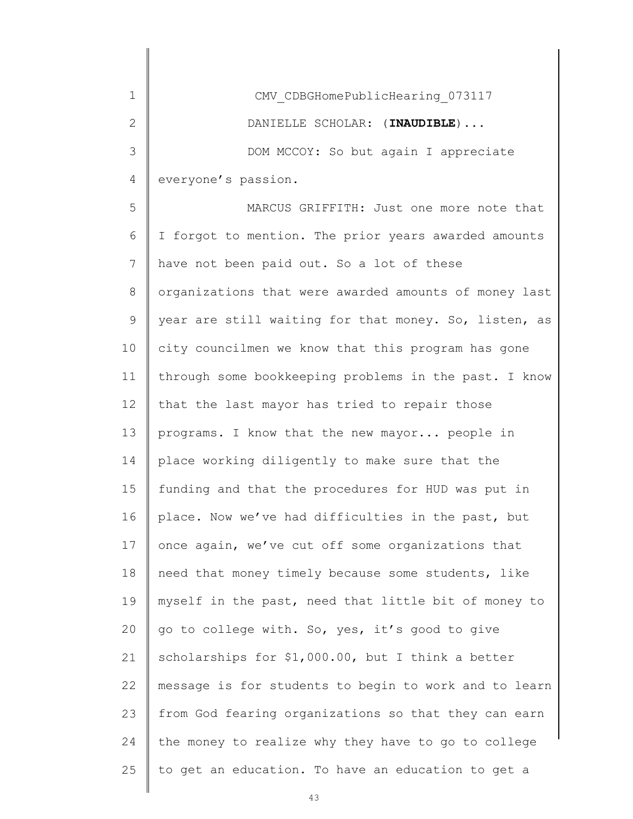| 1              | CMV CDBGHomePublicHearing 073117                      |
|----------------|-------------------------------------------------------|
| 2              | DANIELLE SCHOLAR: (INAUDIBLE)                         |
| 3              | DOM MCCOY: So but again I appreciate                  |
| $\overline{4}$ | everyone's passion.                                   |
| 5              | MARCUS GRIFFITH: Just one more note that              |
| 6              | I forgot to mention. The prior years awarded amounts  |
| 7              | have not been paid out. So a lot of these             |
| 8              | organizations that were awarded amounts of money last |
| 9              | year are still waiting for that money. So, listen, as |
| 10             | city councilmen we know that this program has gone    |
| 11             | through some bookkeeping problems in the past. I know |
| 12             | that the last mayor has tried to repair those         |
| 13             | programs. I know that the new mayor people in         |
| 14             | place working diligently to make sure that the        |
| 15             | funding and that the procedures for HUD was put in    |
| 16             | place. Now we've had difficulties in the past, but    |
| 17             | once again, we've cut off some organizations that     |
| 18             | need that money timely because some students, like    |
| 19             | myself in the past, need that little bit of money to  |
| 20             | go to college with. So, yes, it's good to give        |
| 21             | scholarships for \$1,000.00, but I think a better     |
| 22             | message is for students to begin to work and to learn |
| 23             | from God fearing organizations so that they can earn  |
| 24             | the money to realize why they have to go to college   |
| 25             | to get an education. To have an education to get a    |
|                |                                                       |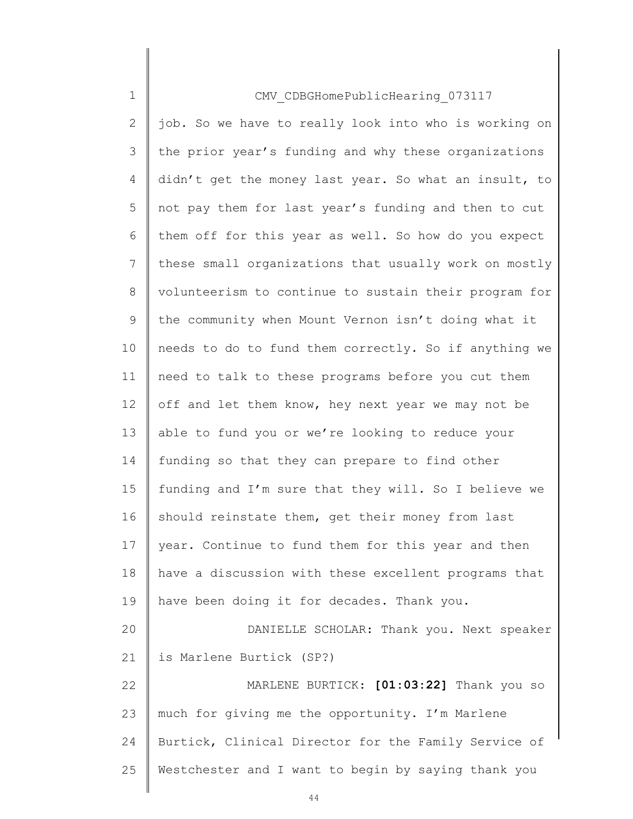| $\mathbf 1$    | CMV CDBGHomePublicHearing 073117                      |
|----------------|-------------------------------------------------------|
| $\mathbf{2}$   | job. So we have to really look into who is working on |
| 3              | the prior year's funding and why these organizations  |
| 4              | didn't get the money last year. So what an insult, to |
| 5              | not pay them for last year's funding and then to cut  |
| 6              | them off for this year as well. So how do you expect  |
| $7\phantom{.}$ | these small organizations that usually work on mostly |
| 8              | volunteerism to continue to sustain their program for |
| $\mathsf 9$    | the community when Mount Vernon isn't doing what it   |
| 10             | needs to do to fund them correctly. So if anything we |
| 11             | need to talk to these programs before you cut them    |
| 12             | off and let them know, hey next year we may not be    |
| 13             | able to fund you or we're looking to reduce your      |
| 14             | funding so that they can prepare to find other        |
| 15             | funding and I'm sure that they will. So I believe we  |
| 16             | should reinstate them, get their money from last      |
| 17             | year. Continue to fund them for this year and then    |
| 18             | have a discussion with these excellent programs that  |
| 19             | have been doing it for decades. Thank you.            |
| 20             | DANIELLE SCHOLAR: Thank you. Next speaker             |
| 21             | is Marlene Burtick (SP?)                              |
| 22             | MARLENE BURTICK: [01:03:22] Thank you so              |
| 23             | much for giving me the opportunity. I'm Marlene       |
| 24             | Burtick, Clinical Director for the Family Service of  |
| 25             | Westchester and I want to begin by saying thank you   |
|                |                                                       |

 $\begin{array}{c} \hline \end{array}$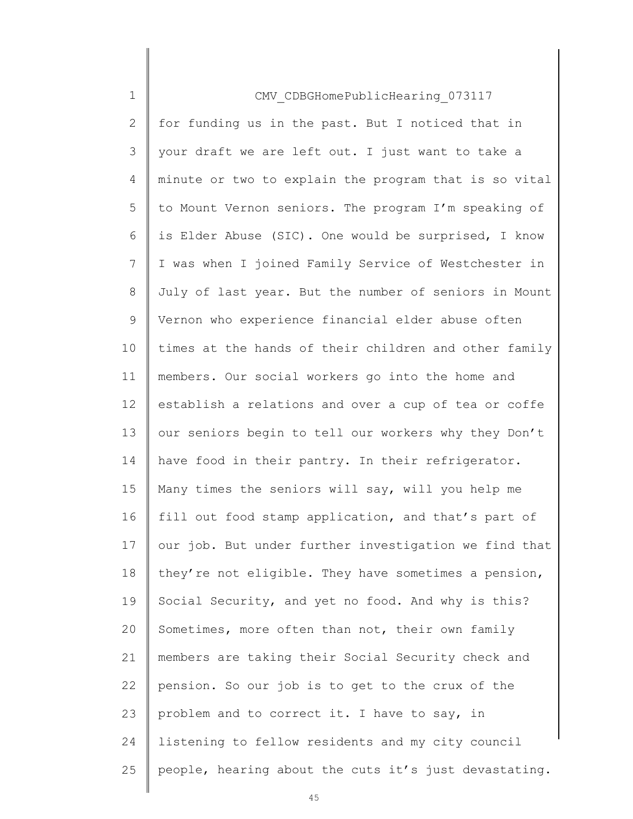| $\mathbf 1$    | CMV CDBGHomePublicHearing 073117                      |
|----------------|-------------------------------------------------------|
| $\overline{2}$ | for funding us in the past. But I noticed that in     |
| 3              | your draft we are left out. I just want to take a     |
| 4              | minute or two to explain the program that is so vital |
| 5              | to Mount Vernon seniors. The program I'm speaking of  |
| 6              | is Elder Abuse (SIC). One would be surprised, I know  |
| 7              | I was when I joined Family Service of Westchester in  |
| 8              | July of last year. But the number of seniors in Mount |
| 9              | Vernon who experience financial elder abuse often     |
| 10             | times at the hands of their children and other family |
| 11             | members. Our social workers go into the home and      |
| 12             | establish a relations and over a cup of tea or coffe  |
| 13             | our seniors begin to tell our workers why they Don't  |
| 14             | have food in their pantry. In their refrigerator.     |
| 15             | Many times the seniors will say, will you help me     |
| 16             | fill out food stamp application, and that's part of   |
| 17             | our job. But under further investigation we find that |
| 18             | they're not eligible. They have sometimes a pension,  |
| 19             | Social Security, and yet no food. And why is this?    |
| 20             | Sometimes, more often than not, their own family      |
| 21             | members are taking their Social Security check and    |
| 22             | pension. So our job is to get to the crux of the      |
| 23             | problem and to correct it. I have to say, in          |
| 24             | listening to fellow residents and my city council     |
| 25             | people, hearing about the cuts it's just devastating. |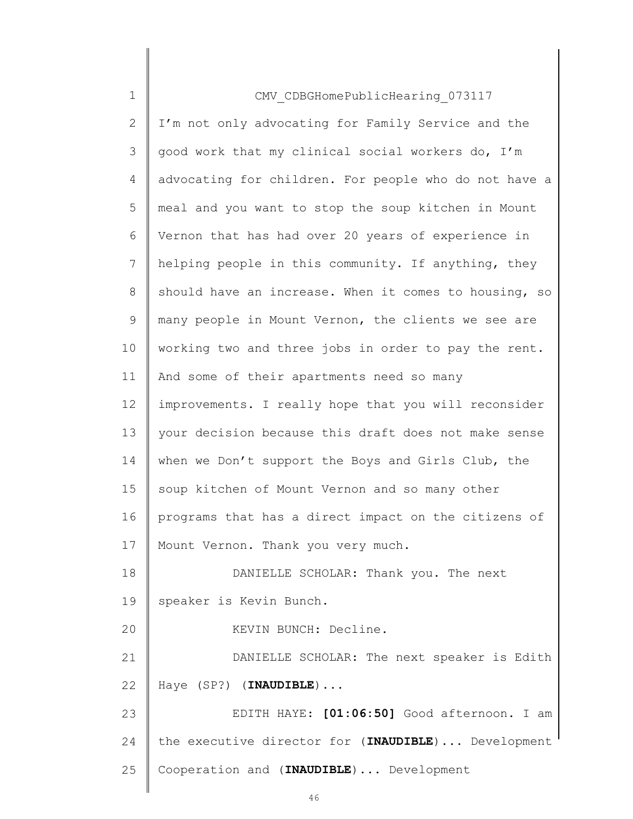| $\mathbf 1$    | CMV CDBGHomePublicHearing 073117                      |
|----------------|-------------------------------------------------------|
| $\overline{2}$ | I'm not only advocating for Family Service and the    |
| 3              | good work that my clinical social workers do, I'm     |
| 4              | advocating for children. For people who do not have a |
| 5              | meal and you want to stop the soup kitchen in Mount   |
| 6              | Vernon that has had over 20 years of experience in    |
| 7              | helping people in this community. If anything, they   |
| 8              | should have an increase. When it comes to housing, so |
| 9              | many people in Mount Vernon, the clients we see are   |
| 10             | working two and three jobs in order to pay the rent.  |
| 11             | And some of their apartments need so many             |
| 12             | improvements. I really hope that you will reconsider  |
| 13             | your decision because this draft does not make sense  |
| 14             | when we Don't support the Boys and Girls Club, the    |
| 15             | soup kitchen of Mount Vernon and so many other        |
| 16             | programs that has a direct impact on the citizens of  |
| 17             | Mount Vernon. Thank you very much.                    |
| 18             | DANIELLE SCHOLAR: Thank you. The next                 |
| 19             | speaker is Kevin Bunch.                               |
| 20             | KEVIN BUNCH: Decline.                                 |
| 21             | DANIELLE SCHOLAR: The next speaker is Edith           |
| 22             | Haye (SP?) (INAUDIBLE)                                |
| 23             | EDITH HAYE: [01:06:50] Good afternoon. I am           |
| 24             | the executive director for (INAUDIBLE)  Development   |
| 25             | Cooperation and (INAUDIBLE)  Development              |
|                |                                                       |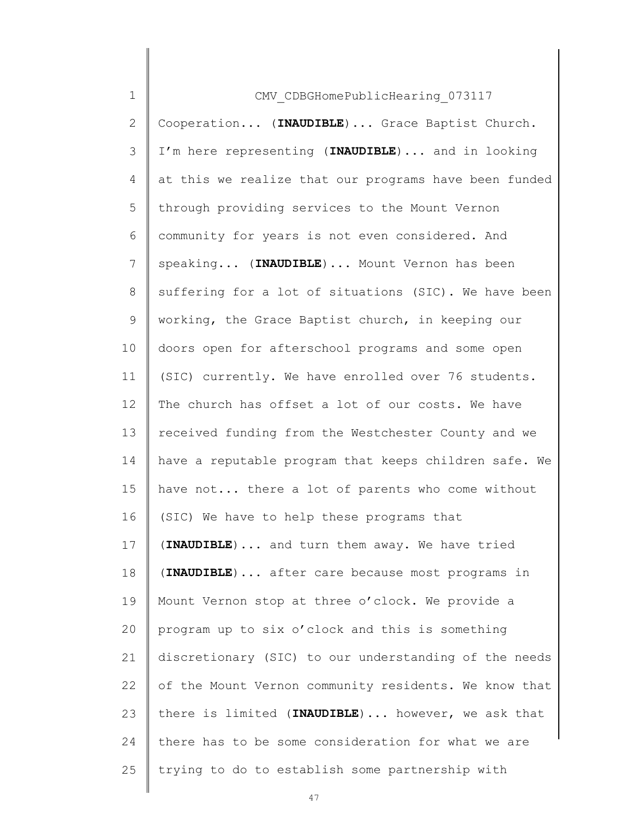| $\mathbf 1$     | CMV CDBGHomePublicHearing 073117                      |
|-----------------|-------------------------------------------------------|
| $\mathbf{2}$    | Cooperation (INAUDIBLE) Grace Baptist Church.         |
| 3               | I'm here representing (INAUDIBLE) and in looking      |
| 4               | at this we realize that our programs have been funded |
| 5               | through providing services to the Mount Vernon        |
| 6               | community for years is not even considered. And       |
| $7\phantom{.}$  | speaking (INAUDIBLE)  Mount Vernon has been           |
| 8               | suffering for a lot of situations (SIC). We have been |
| 9               | working, the Grace Baptist church, in keeping our     |
| 10              | doors open for afterschool programs and some open     |
| 11              | (SIC) currently. We have enrolled over 76 students.   |
| 12 <sup>°</sup> | The church has offset a lot of our costs. We have     |
| 13              | received funding from the Westchester County and we   |
| 14              | have a reputable program that keeps children safe. We |
| 15              | have not there a lot of parents who come without      |
| 16              | (SIC) We have to help these programs that             |
| 17              | (INAUDIBLE)  and turn them away. We have tried        |
| 18              | (INAUDIBLE) after care because most programs in       |
| 19              | Mount Vernon stop at three o'clock. We provide a      |
| 20              | program up to six o'clock and this is something       |
| 21              | discretionary (SIC) to our understanding of the needs |
| 22              | of the Mount Vernon community residents. We know that |
| 23              | there is limited (INAUDIBLE) however, we ask that     |
| 24              | there has to be some consideration for what we are    |
| 25              | trying to do to establish some partnership with       |
|                 |                                                       |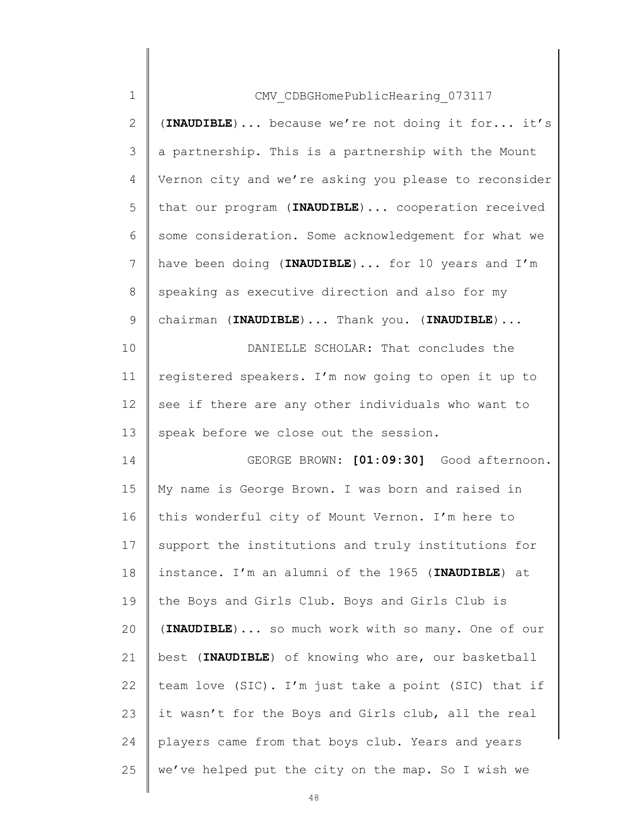| $\mathbf 1$  | CMV CDBGHomePublicHearing 073117                      |
|--------------|-------------------------------------------------------|
| $\mathbf{2}$ | (INAUDIBLE)  because we're not doing it for it's      |
| 3            | a partnership. This is a partnership with the Mount   |
| 4            | Vernon city and we're asking you please to reconsider |
| 5            | that our program (INAUDIBLE)  cooperation received    |
| 6            | some consideration. Some acknowledgement for what we  |
| 7            | have been doing (INAUDIBLE)  for 10 years and I'm     |
| 8            | speaking as executive direction and also for my       |
| $\mathsf 9$  | chairman (INAUDIBLE)  Thank you. (INAUDIBLE)          |
| 10           | DANIELLE SCHOLAR: That concludes the                  |
| 11           | registered speakers. I'm now going to open it up to   |
| 12           | see if there are any other individuals who want to    |
| 13           | speak before we close out the session.                |
| 14           | GEORGE BROWN: [01:09:30] Good afternoon.              |
| 15           | My name is George Brown. I was born and raised in     |
| 16           | this wonderful city of Mount Vernon. I'm here to      |
| 17           | support the institutions and truly institutions for   |
| 18           | instance. I'm an alumni of the 1965 (INAUDIBLE) at    |
| 19           | the Boys and Girls Club. Boys and Girls Club is       |
| 20           | (INAUDIBLE)  so much work with so many. One of our    |
| 21           | best (INAUDIBLE) of knowing who are, our basketball   |
| 22           | team love (SIC). I'm just take a point (SIC) that if  |
| 23           | it wasn't for the Boys and Girls club, all the real   |
| 24           | players came from that boys club. Years and years     |
| 25           | we've helped put the city on the map. So I wish we    |
|              |                                                       |

 $\begin{array}{c} \hline \end{array}$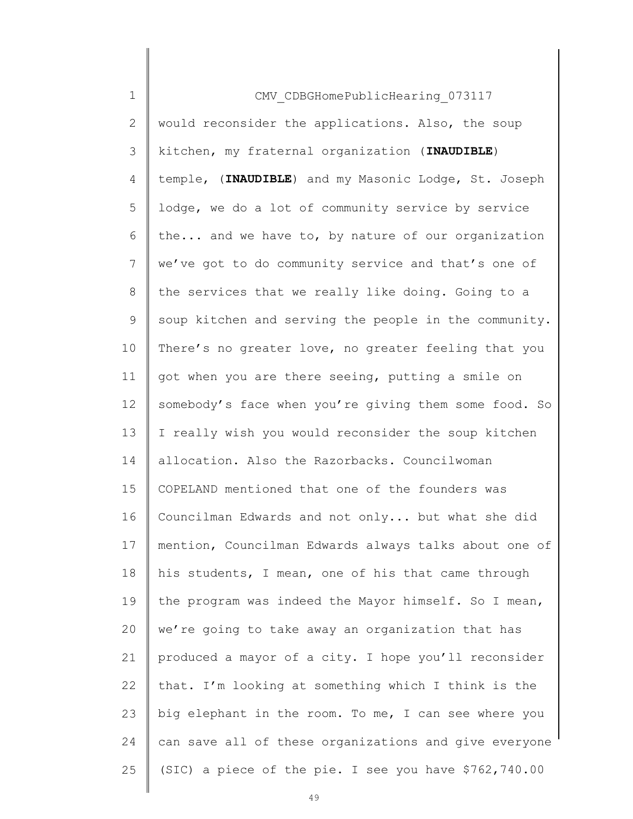| $\mathbf 1$    | CMV CDBGHomePublicHearing 073117                      |
|----------------|-------------------------------------------------------|
| $\overline{2}$ | would reconsider the applications. Also, the soup     |
| 3              | kitchen, my fraternal organization (INAUDIBLE)        |
| 4              | temple, (INAUDIBLE) and my Masonic Lodge, St. Joseph  |
| 5              | lodge, we do a lot of community service by service    |
| 6              | the and we have to, by nature of our organization     |
| $\overline{7}$ | we've got to do community service and that's one of   |
| 8              | the services that we really like doing. Going to a    |
| 9              | soup kitchen and serving the people in the community. |
| 10             | There's no greater love, no greater feeling that you  |
| 11             | got when you are there seeing, putting a smile on     |
| 12             | somebody's face when you're giving them some food. So |
| 13             | I really wish you would reconsider the soup kitchen   |
| 14             | allocation. Also the Razorbacks. Councilwoman         |
| 15             | COPELAND mentioned that one of the founders was       |
| 16             | Councilman Edwards and not only but what she did      |
| 17             | mention, Councilman Edwards always talks about one of |
| 18             | his students, I mean, one of his that came through    |
| 19             | the program was indeed the Mayor himself. So I mean,  |
| 20             | we're going to take away an organization that has     |
| 21             | produced a mayor of a city. I hope you'll reconsider  |
| 22             | that. I'm looking at something which I think is the   |
| 23             | big elephant in the room. To me, I can see where you  |
| 24             | can save all of these organizations and give everyone |
| 25             | (SIC) a piece of the pie. I see you have \$762,740.00 |
|                |                                                       |

 $\begin{array}{c} \hline \end{array}$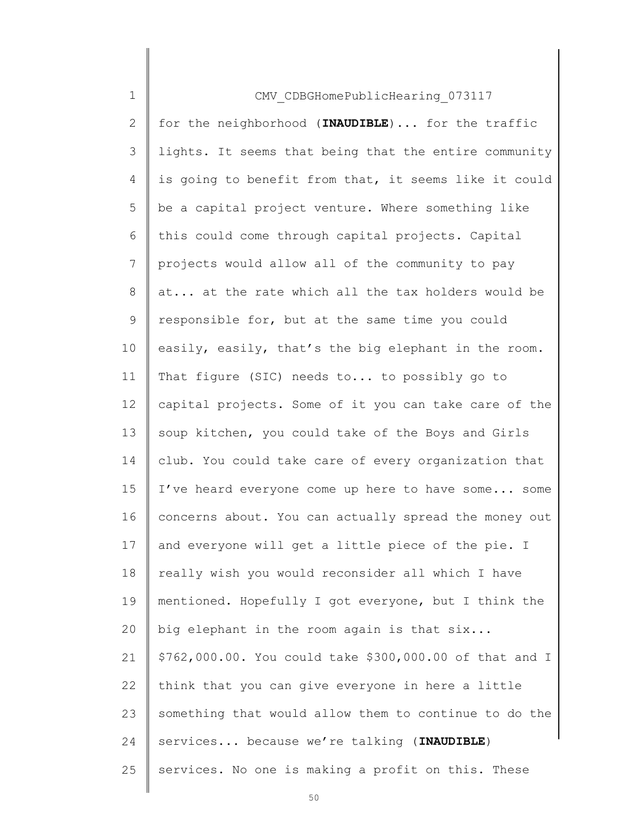| $\mathbf 1$    | CMV CDBGHomePublicHearing 073117                        |
|----------------|---------------------------------------------------------|
| $\overline{2}$ | for the neighborhood (INAUDIBLE)  for the traffic       |
| $\mathfrak{Z}$ | lights. It seems that being that the entire community   |
| 4              | is going to benefit from that, it seems like it could   |
| 5              | be a capital project venture. Where something like      |
| 6              | this could come through capital projects. Capital       |
| 7              | projects would allow all of the community to pay        |
| 8              | at at the rate which all the tax holders would be       |
| 9              | responsible for, but at the same time you could         |
| 10             | easily, easily, that's the big elephant in the room.    |
| 11             | That figure (SIC) needs to to possibly go to            |
| 12             | capital projects. Some of it you can take care of the   |
| 13             | soup kitchen, you could take of the Boys and Girls      |
| 14             | club. You could take care of every organization that    |
| 15             | I've heard everyone come up here to have some some      |
| 16             | concerns about. You can actually spread the money out   |
| 17             | and everyone will get a little piece of the pie. I      |
| 18             | really wish you would reconsider all which I have       |
| 19             | mentioned. Hopefully I got everyone, but I think the    |
| 20             | big elephant in the room again is that six              |
| 21             | \$762,000.00. You could take \$300,000.00 of that and I |
| 22             | think that you can give everyone in here a little       |
| 23             | something that would allow them to continue to do the   |
| 24             | services because we're talking (INAUDIBLE)              |
| 25             | services. No one is making a profit on this. These      |
|                |                                                         |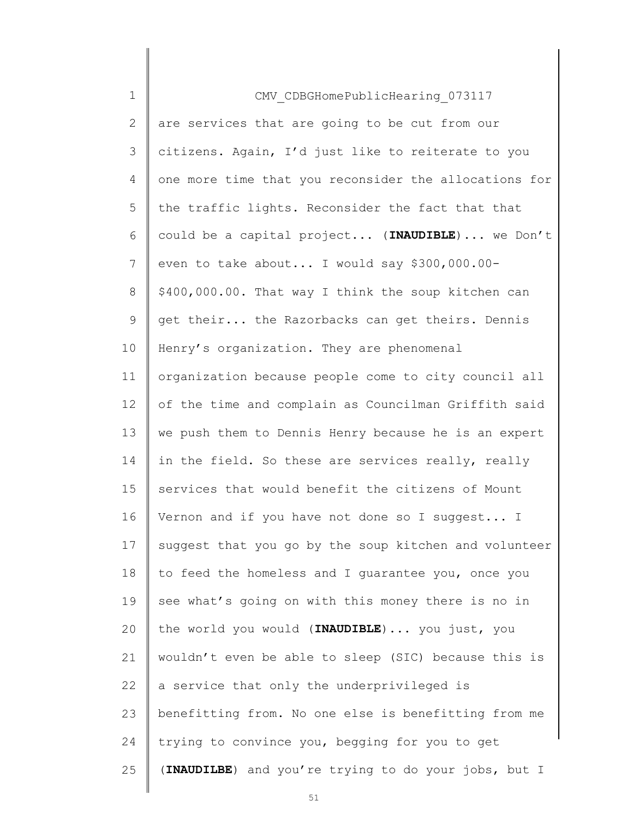| $\mathbf 1$ | CMV CDBGHomePublicHearing 073117                      |
|-------------|-------------------------------------------------------|
| 2           | are services that are going to be cut from our        |
| 3           | citizens. Again, I'd just like to reiterate to you    |
| 4           | one more time that you reconsider the allocations for |
| 5           | the traffic lights. Reconsider the fact that that     |
| 6           | could be a capital project (INAUDIBLE) we Don't       |
| 7           | even to take about I would say \$300,000.00-          |
| 8           | \$400,000.00. That way I think the soup kitchen can   |
| $\mathsf 9$ | get their the Razorbacks can get theirs. Dennis       |
| 10          | Henry's organization. They are phenomenal             |
| 11          | organization because people come to city council all  |
| 12          | of the time and complain as Councilman Griffith said  |
| 13          | we push them to Dennis Henry because he is an expert  |
| 14          | in the field. So these are services really, really    |
| 15          | services that would benefit the citizens of Mount     |
| 16          | Vernon and if you have not done so I suggest I        |
| 17          | suggest that you go by the soup kitchen and volunteer |
| 18          | to feed the homeless and I quarantee you, once you    |
| 19          | see what's going on with this money there is no in    |
| 20          | the world you would (INAUDIBLE)  you just, you        |
| 21          | wouldn't even be able to sleep (SIC) because this is  |
| 22          | a service that only the underprivileged is            |
| 23          | benefitting from. No one else is benefitting from me  |
| 24          | trying to convince you, begging for you to get        |
| 25          | (INAUDILBE) and you're trying to do your jobs, but I  |
|             |                                                       |

 $\begin{array}{c} \hline \end{array}$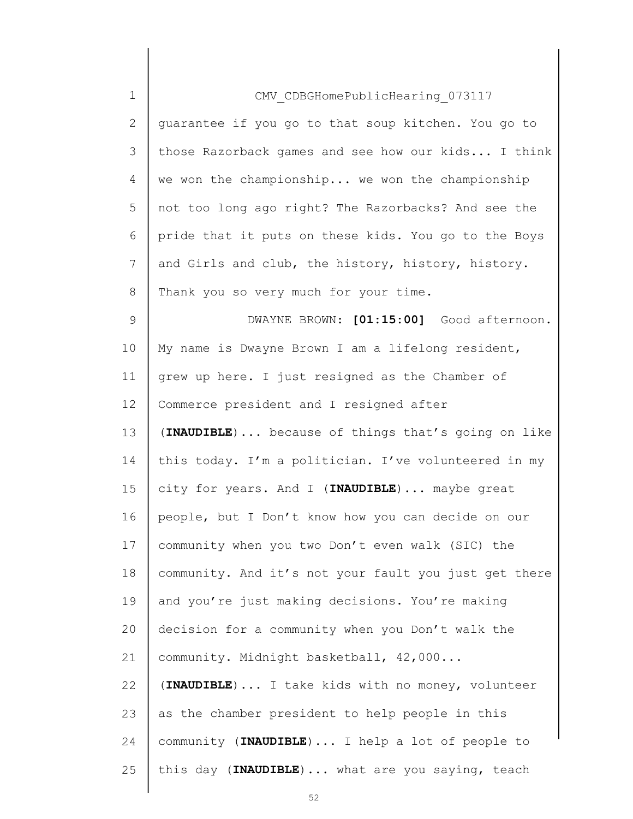| $\mathbf 1$                                              | CMV CDBGHomePublicHearing 073117                      |
|----------------------------------------------------------|-------------------------------------------------------|
| $\overline{2}$                                           | guarantee if you go to that soup kitchen. You go to   |
| 3                                                        | those Razorback games and see how our kids I think    |
| 4                                                        | we won the championship we won the championship       |
| 5                                                        | not too long ago right? The Razorbacks? And see the   |
| 6                                                        | pride that it puts on these kids. You go to the Boys  |
| $7\phantom{.}$                                           | and Girls and club, the history, history, history.    |
| 8                                                        | Thank you so very much for your time.                 |
| 9                                                        | DWAYNE BROWN: [01:15:00] Good afternoon.              |
| 10                                                       | My name is Dwayne Brown I am a lifelong resident,     |
| 11                                                       | grew up here. I just resigned as the Chamber of       |
| 12                                                       | Commerce president and I resigned after               |
| 13                                                       | (INAUDIBLE) because of things that's going on like    |
| 14                                                       | this today. I'm a politician. I've volunteered in my  |
| 15                                                       | city for years. And I (INAUDIBLE) maybe great         |
|                                                          |                                                       |
|                                                          | people, but I Don't know how you can decide on our    |
|                                                          | community when you two Don't even walk (SIC) the      |
|                                                          | community. And it's not your fault you just get there |
|                                                          | and you're just making decisions. You're making       |
|                                                          | decision for a community when you Don't walk the      |
|                                                          | community. Midnight basketball, 42,000                |
|                                                          | (INAUDIBLE)  I take kids with no money, volunteer     |
|                                                          | as the chamber president to help people in this       |
|                                                          | community (INAUDIBLE)  I help a lot of people to      |
| 16<br>17<br>18<br>19<br>20<br>21<br>22<br>23<br>24<br>25 | this day (INAUDIBLE)  what are you saying, teach      |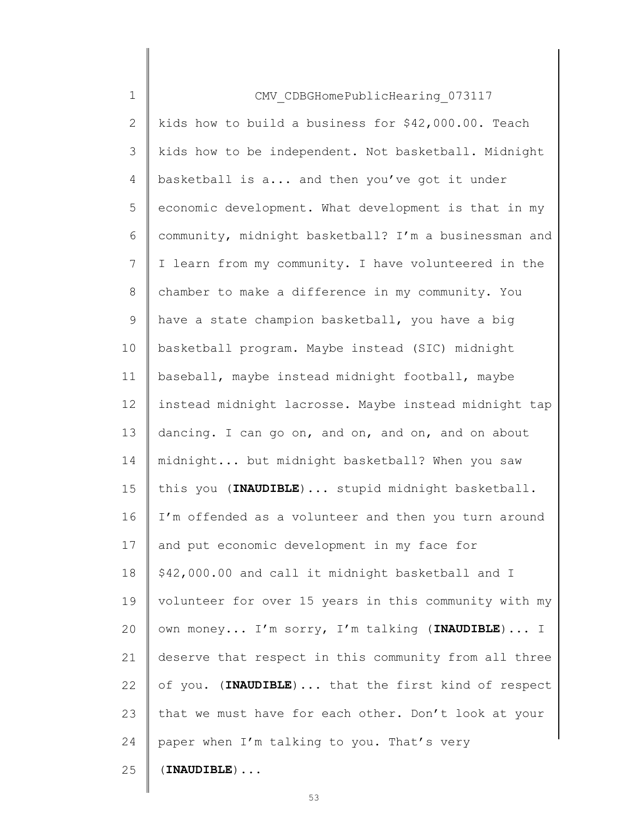| $\mathbf 1$    | CMV CDBGHomePublicHearing 073117                      |
|----------------|-------------------------------------------------------|
| $\overline{2}$ | kids how to build a business for \$42,000.00. Teach   |
| 3              | kids how to be independent. Not basketball. Midnight  |
| 4              | basketball is a and then you've got it under          |
| 5              | economic development. What development is that in my  |
| 6              | community, midnight basketball? I'm a businessman and |
| 7              | I learn from my community. I have volunteered in the  |
| 8              | chamber to make a difference in my community. You     |
| $\mathsf 9$    | have a state champion basketball, you have a big      |
| 10             | basketball program. Maybe instead (SIC) midnight      |
| 11             | baseball, maybe instead midnight football, maybe      |
| 12             | instead midnight lacrosse. Maybe instead midnight tap |
| 13             | dancing. I can go on, and on, and on, and on about    |
| 14             | midnight but midnight basketball? When you saw        |
| 15             | this you (INAUDIBLE)  stupid midnight basketball.     |
| 16             | I'm offended as a volunteer and then you turn around  |
| 17             | and put economic development in my face for           |
| 18             | \$42,000.00 and call it midnight basketball and I     |
| 19             | volunteer for over 15 years in this community with my |
| 20             | own money I'm sorry, I'm talking (INAUDIBLE) I        |
| 21             | deserve that respect in this community from all three |
| 22             | of you. (INAUDIBLE)  that the first kind of respect   |
| 23             | that we must have for each other. Don't look at your  |
| 24             | paper when I'm talking to you. That's very            |
| 25             | $(INAUDIBLE) \ldots$                                  |
|                |                                                       |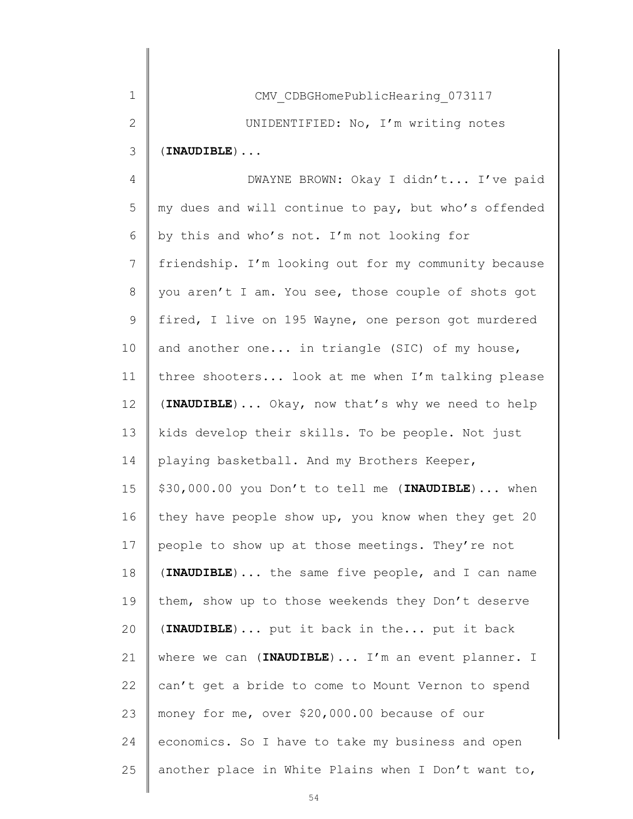| 1            | CMV CDBGHomePublicHearing 073117                     |
|--------------|------------------------------------------------------|
| $\mathbf{2}$ | UNIDENTIFIED: No, I'm writing notes                  |
| 3            | $(INAUDIBLE)$                                        |
| 4            | DWAYNE BROWN: Okay I didn't I've paid                |
| 5            | my dues and will continue to pay, but who's offended |
| 6            | by this and who's not. I'm not looking for           |
| 7            | friendship. I'm looking out for my community because |
| $\,8\,$      | you aren't I am. You see, those couple of shots got  |
| $\mathsf 9$  | fired, I live on 195 Wayne, one person got murdered  |
| 10           | and another one in triangle (SIC) of my house,       |
| 11           | three shooters look at me when I'm talking please    |
| 12           | (INAUDIBLE)  Okay, now that's why we need to help    |
| 13           | kids develop their skills. To be people. Not just    |
| 14           | playing basketball. And my Brothers Keeper,          |
| 15           | \$30,000.00 you Don't to tell me (INAUDIBLE) when    |
| 16           | they have people show up, you know when they get 20  |
| 17           | people to show up at those meetings. They're not     |
| 18           | (INAUDIBLE) the same five people, and I can name     |
| 19           | them, show up to those weekends they Don't deserve   |
| 20           | (INAUDIBLE) put it back in the put it back           |
| 21           | where we can (INAUDIBLE)  I'm an event planner. I    |
| 22           | can't get a bride to come to Mount Vernon to spend   |
| 23           | money for me, over \$20,000.00 because of our        |
| 24           | economics. So I have to take my business and open    |
| 25           | another place in White Plains when I Don't want to,  |

 $\Big\|$ 

 $\parallel$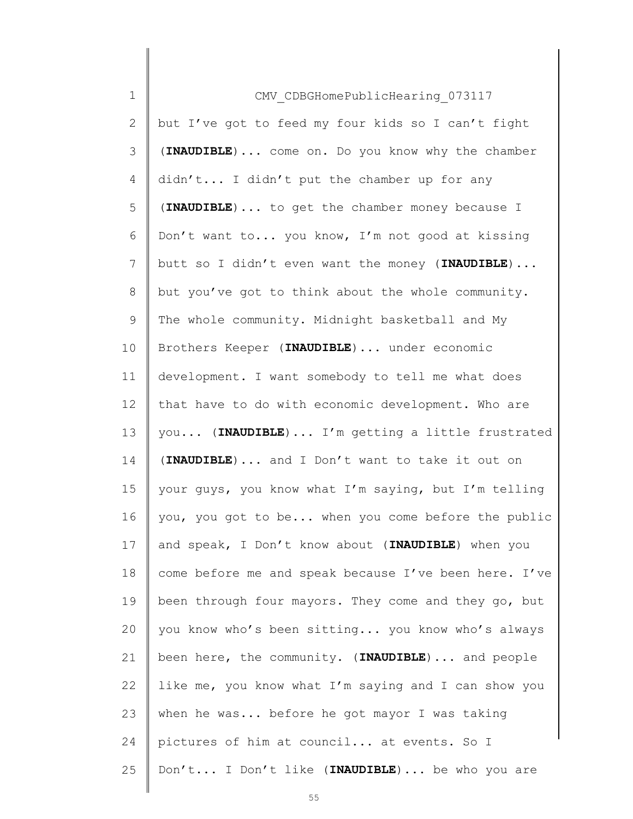| $\mathbf 1$    | CMV CDBGHomePublicHearing 073117                      |
|----------------|-------------------------------------------------------|
| 2              | but I've got to feed my four kids so I can't fight    |
| 3              | (INAUDIBLE)  come on. Do you know why the chamber     |
| 4              | didn't I didn't put the chamber up for any            |
| 5              | (INAUDIBLE)  to get the chamber money because I       |
| 6              | Don't want to you know, I'm not good at kissing       |
| $7\phantom{.}$ | butt so I didn't even want the money (INAUDIBLE)      |
| 8              | but you've got to think about the whole community.    |
| 9              | The whole community. Midnight basketball and My       |
| 10             | Brothers Keeper (INAUDIBLE)  under economic           |
| 11             | development. I want somebody to tell me what does     |
| 12             | that have to do with economic development. Who are    |
| 13             | you (INAUDIBLE)  I'm getting a little frustrated      |
| 14             | (INAUDIBLE) and I Don't want to take it out on        |
| 15             | your guys, you know what I'm saying, but I'm telling  |
| 16             | you, you got to be when you come before the public    |
| 17             | and speak, I Don't know about (INAUDIBLE) when you    |
| 18             | come before me and speak because I've been here. I've |
| 19             | been through four mayors. They come and they go, but  |
| 20             | you know who's been sitting you know who's always     |
| 21             | been here, the community. (INAUDIBLE)  and people     |
| 22             | like me, you know what I'm saying and I can show you  |
| 23             | when he was before he got mayor I was taking          |
| 24             | pictures of him at council at events. So I            |
| 25             | Don't I Don't like (INAUDIBLE) be who you are         |
|                |                                                       |

 $\begin{array}{c} \hline \end{array}$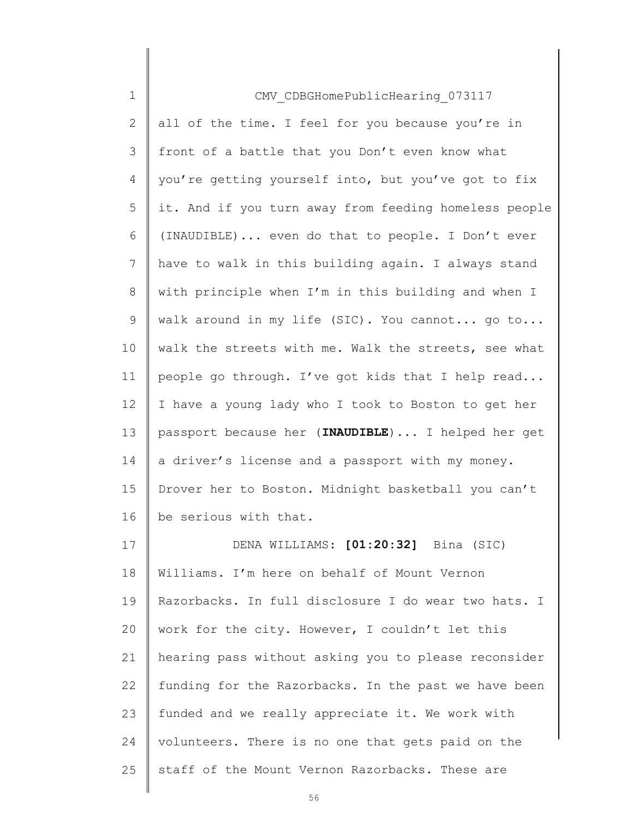| $\mathbf 1$ | CMV CDBGHomePublicHearing 073117                      |
|-------------|-------------------------------------------------------|
| 2           | all of the time. I feel for you because you're in     |
| 3           | front of a battle that you Don't even know what       |
| 4           | you're getting yourself into, but you've got to fix   |
| 5           | it. And if you turn away from feeding homeless people |
| 6           | (INAUDIBLE) even do that to people. I Don't ever      |
| 7           | have to walk in this building again. I always stand   |
| 8           | with principle when I'm in this building and when I   |
| 9           | walk around in my life (SIC). You cannot go to        |
| 10          | walk the streets with me. Walk the streets, see what  |
| 11          | people go through. I've got kids that I help read     |
| 12          | I have a young lady who I took to Boston to get her   |
| 13          | passport because her (INAUDIBLE)  I helped her get    |
| 14          | a driver's license and a passport with my money.      |
| 15          | Drover her to Boston. Midnight basketball you can't   |
| 16          | be serious with that.                                 |
| 17          | DENA WILLIAMS: [01:20:32] Bina (SIC)                  |
| 18          | Williams. I'm here on behalf of Mount Vernon          |
| 19          | Razorbacks. In full disclosure I do wear two hats. I  |
| 20          | work for the city. However, I couldn't let this       |
| 21          | hearing pass without asking you to please reconsider  |
| 22          | funding for the Razorbacks. In the past we have been  |
| 23          | funded and we really appreciate it. We work with      |
| 24          | volunteers. There is no one that gets paid on the     |
| 25          | staff of the Mount Vernon Razorbacks. These are       |
|             |                                                       |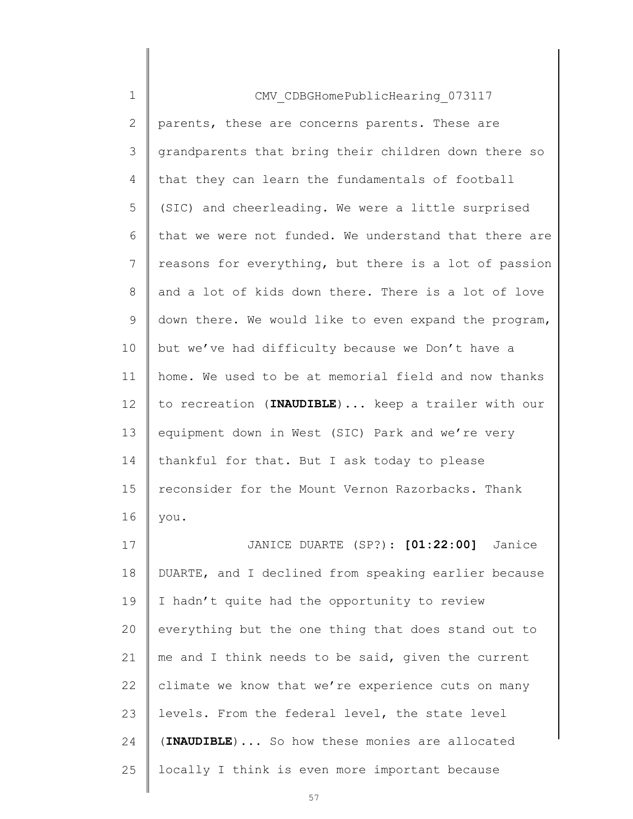| $\mathbf 1$   | CMV CDBGHomePublicHearing 073117                      |
|---------------|-------------------------------------------------------|
| $\mathbf{2}$  | parents, these are concerns parents. These are        |
| 3             | grandparents that bring their children down there so  |
| 4             | that they can learn the fundamentals of football      |
| 5             | (SIC) and cheerleading. We were a little surprised    |
| 6             | that we were not funded. We understand that there are |
| 7             | reasons for everything, but there is a lot of passion |
| 8             | and a lot of kids down there. There is a lot of love  |
| $\mathcal{G}$ | down there. We would like to even expand the program, |
| 10            | but we've had difficulty because we Don't have a      |
| 11            | home. We used to be at memorial field and now thanks  |
| 12            | to recreation (INAUDIBLE)  keep a trailer with our    |
| 13            | equipment down in West (SIC) Park and we're very      |
| 14            | thankful for that. But I ask today to please          |
| 15            | reconsider for the Mount Vernon Razorbacks. Thank     |
| 16            | you.                                                  |
| 17            | JANICE DUARTE (SP?): [01:22:00] Janice                |
| 18            | DUARTE, and I declined from speaking earlier because  |
| 19            | I hadn't quite had the opportunity to review          |
| 20            | everything but the one thing that does stand out to   |
| 21            | me and I think needs to be said, given the current    |
| 22            | climate we know that we're experience cuts on many    |
| 23            | levels. From the federal level, the state level       |
| 24            | (INAUDIBLE)  So how these monies are allocated        |
| 25            | locally I think is even more important because        |
|               |                                                       |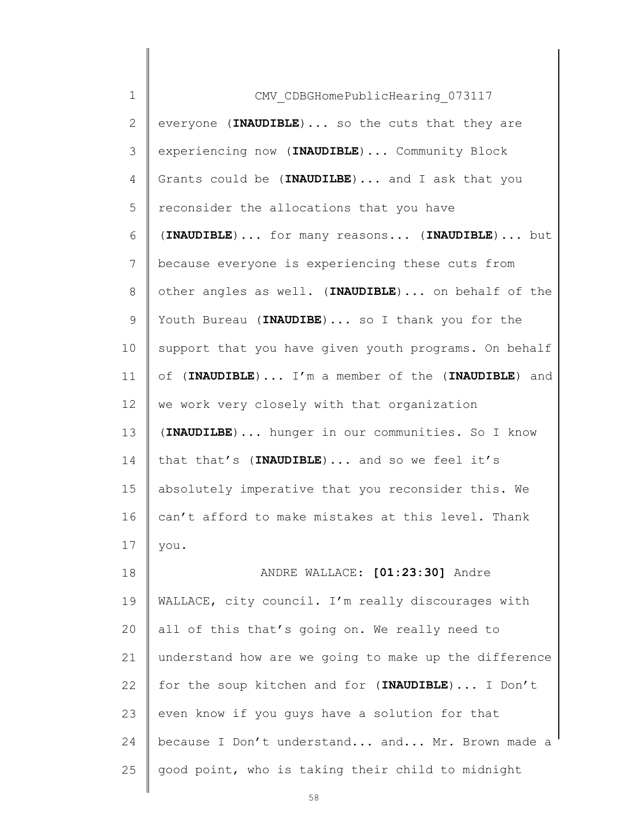| $\mathbf 1$                                                          | CMV CDBGHomePublicHearing 073117                      |
|----------------------------------------------------------------------|-------------------------------------------------------|
| 2                                                                    | everyone (INAUDIBLE)  so the cuts that they are       |
| 3                                                                    | experiencing now (INAUDIBLE)  Community Block         |
| 4                                                                    | Grants could be (INAUDILBE)  and I ask that you       |
| 5                                                                    | reconsider the allocations that you have              |
| 6                                                                    | (INAUDIBLE)  for many reasons (INAUDIBLE)  but        |
| 7                                                                    | because everyone is experiencing these cuts from      |
| 8                                                                    | other angles as well. (INAUDIBLE) on behalf of the    |
| 9                                                                    | Youth Bureau (INAUDIBE)  so I thank you for the       |
| 10                                                                   | support that you have given youth programs. On behalf |
| 11                                                                   | of (INAUDIBLE) I'm a member of the (INAUDIBLE) and    |
| 12                                                                   | we work very closely with that organization           |
| 13                                                                   | (INAUDILBE)  hunger in our communities. So I know     |
|                                                                      |                                                       |
|                                                                      | that that's (INAUDIBLE)  and so we feel it's          |
|                                                                      | absolutely imperative that you reconsider this. We    |
|                                                                      | can't afford to make mistakes at this level. Thank    |
|                                                                      | you.                                                  |
|                                                                      | ANDRE WALLACE: [01:23:30] Andre                       |
|                                                                      | WALLACE, city council. I'm really discourages with    |
|                                                                      | all of this that's going on. We really need to        |
|                                                                      | understand how are we going to make up the difference |
|                                                                      | for the soup kitchen and for (INAUDIBLE) I Don't      |
|                                                                      | even know if you guys have a solution for that        |
|                                                                      | because I Don't understand and Mr. Brown made a       |
| 14<br>15<br>16<br>17<br>18<br>19<br>20<br>21<br>22<br>23<br>24<br>25 | good point, who is taking their child to midnight     |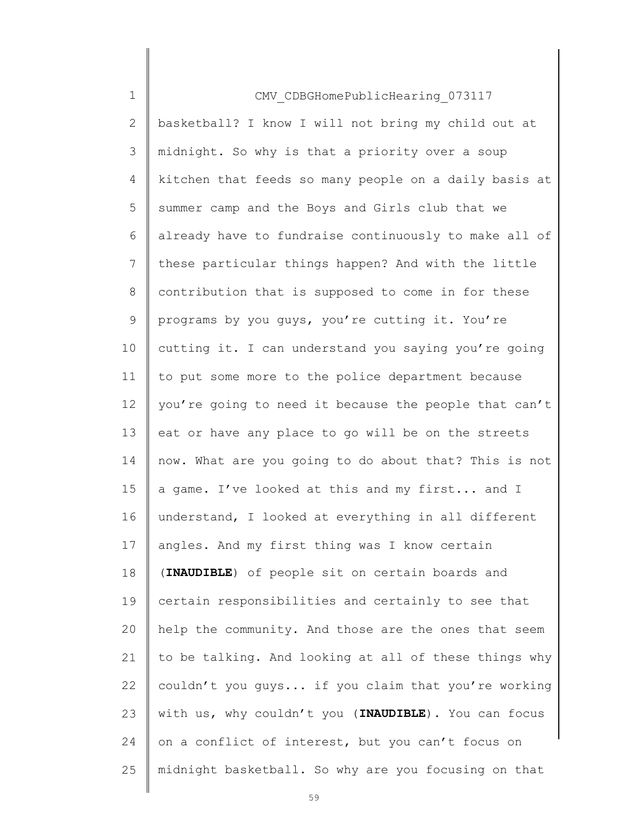1 2 3 4 5 6 7 8 9 10 11 12 13 14 15 16 17 18 19 20 21 22 23 24 25 CMV\_CDBGHomePublicHearing\_073117 basketball? I know I will not bring my child out at midnight. So why is that a priority over a soup kitchen that feeds so many people on a daily basis at summer camp and the Boys and Girls club that we already have to fundraise continuously to make all of these particular things happen? And with the little contribution that is supposed to come in for these programs by you guys, you're cutting it. You're cutting it. I can understand you saying you're going to put some more to the police department because you're going to need it because the people that can't eat or have any place to go will be on the streets now. What are you going to do about that? This is not a game. I've looked at this and my first... and I understand, I looked at everything in all different angles. And my first thing was I know certain (INAUDIBLE) of people sit on certain boards and certain responsibilities and certainly to see that help the community. And those are the ones that seem to be talking. And looking at all of these things why couldn't you guys... if you claim that you're working with us, why couldn't you (INAUDIBLE). You can focus on a conflict of interest, but you can't focus on midnight basketball. So why are you focusing on that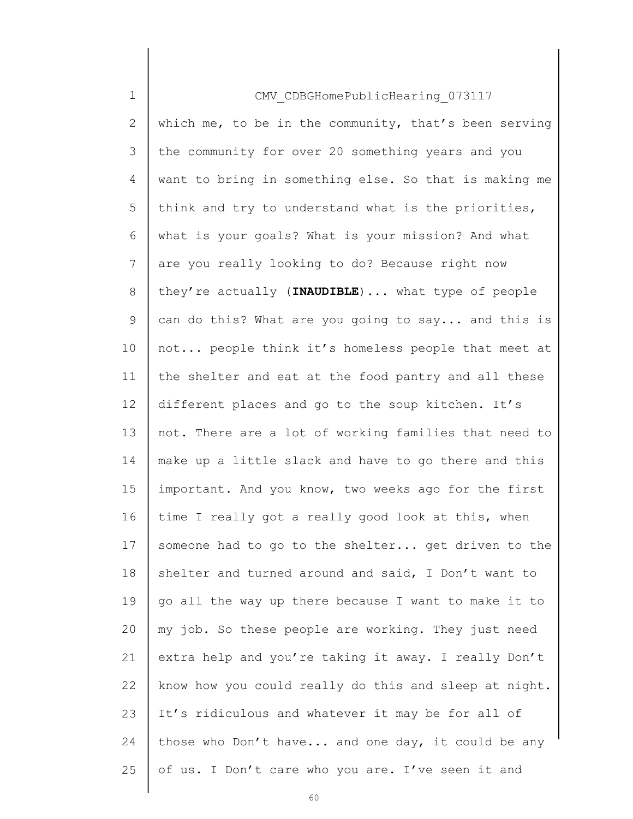| $\mathbf 1$  | CMV CDBGHomePublicHearing 073117                      |
|--------------|-------------------------------------------------------|
| $\mathbf{2}$ | which me, to be in the community, that's been serving |
| 3            | the community for over 20 something years and you     |
| 4            | want to bring in something else. So that is making me |
| 5            | think and try to understand what is the priorities,   |
| 6            | what is your goals? What is your mission? And what    |
| 7            | are you really looking to do? Because right now       |
| 8            | they're actually (INAUDIBLE)  what type of people     |
| 9            | can do this? What are you going to say and this is    |
| 10           | not people think it's homeless people that meet at    |
| 11           | the shelter and eat at the food pantry and all these  |
| 12           | different places and go to the soup kitchen. It's     |
| 13           | not. There are a lot of working families that need to |
| 14           | make up a little slack and have to go there and this  |
| 15           | important. And you know, two weeks ago for the first  |
| 16           | time I really got a really good look at this, when    |
| 17           | someone had to go to the shelter get driven to the    |
| 18           | shelter and turned around and said, I Don't want to   |
| 19           | go all the way up there because I want to make it to  |
| 20           | my job. So these people are working. They just need   |
| 21           | extra help and you're taking it away. I really Don't  |
| 22           | know how you could really do this and sleep at night. |
| 23           | It's ridiculous and whatever it may be for all of     |
| 24           | those who Don't have and one day, it could be any     |
| 25           | of us. I Don't care who you are. I've seen it and     |
|              |                                                       |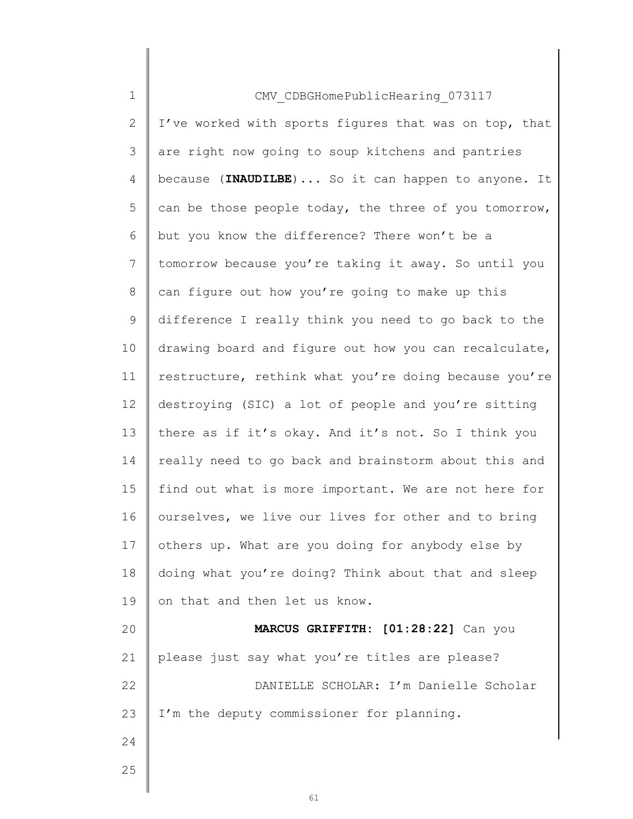| $\mathbf 1$    | CMV CDBGHomePublicHearing 073117                      |
|----------------|-------------------------------------------------------|
| 2              | I've worked with sports figures that was on top, that |
| 3              | are right now going to soup kitchens and pantries     |
| 4              | because (INAUDILBE)  So it can happen to anyone. It   |
| 5              | can be those people today, the three of you tomorrow, |
| 6              | but you know the difference? There won't be a         |
| $\overline{7}$ | tomorrow because you're taking it away. So until you  |
| 8              | can figure out how you're going to make up this       |
| 9              | difference I really think you need to go back to the  |
| 10             | drawing board and figure out how you can recalculate, |
| 11             | restructure, rethink what you're doing because you're |
| 12             | destroying (SIC) a lot of people and you're sitting   |
| 13             | there as if it's okay. And it's not. So I think you   |
| 14             | really need to go back and brainstorm about this and  |
| 15             | find out what is more important. We are not here for  |
| 16             | ourselves, we live our lives for other and to bring   |
| 17             | others up. What are you doing for anybody else by     |
| 18             | doing what you're doing? Think about that and sleep   |
| 19             | on that and then let us know.                         |
| 20             | MARCUS GRIFFITH: [01:28:22] Can you                   |
| 21             | please just say what you're titles are please?        |
| 22             | DANIELLE SCHOLAR: I'm Danielle Scholar                |
| 23             | I'm the deputy commissioner for planning.             |
| 24             |                                                       |
| 25             |                                                       |
|                |                                                       |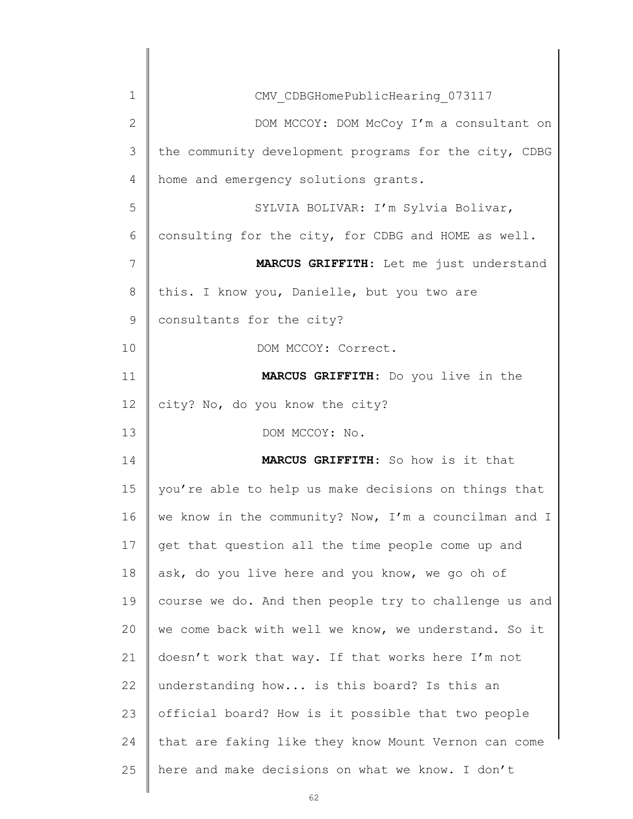| 1            | CMV CDBGHomePublicHearing 073117                      |
|--------------|-------------------------------------------------------|
| $\mathbf{2}$ | DOM MCCOY: DOM McCoy I'm a consultant on              |
| 3            | the community development programs for the city, CDBG |
| 4            | home and emergency solutions grants.                  |
| 5            | SYLVIA BOLIVAR: I'm Sylvia Bolivar,                   |
| 6            | consulting for the city, for CDBG and HOME as well.   |
| 7            | MARCUS GRIFFITH: Let me just understand               |
| 8            | this. I know you, Danielle, but you two are           |
| 9            | consultants for the city?                             |
| 10           | DOM MCCOY: Correct.                                   |
| 11           | MARCUS GRIFFITH: Do you live in the                   |
| 12           | city? No, do you know the city?                       |
| 13           | DOM MCCOY: No.                                        |
|              |                                                       |
| 14           | MARCUS GRIFFITH: So how is it that                    |
| 15           | you're able to help us make decisions on things that  |
| 16           | we know in the community? Now, I'm a councilman and I |
| 17           | get that question all the time people come up and     |
| 18           | ask, do you live here and you know, we go oh of       |
| 19           | course we do. And then people try to challenge us and |
| 20           | we come back with well we know, we understand. So it  |
| 21           | doesn't work that way. If that works here I'm not     |
| 22           | understanding how is this board? Is this an           |
| 23           | official board? How is it possible that two people    |
| 24           | that are faking like they know Mount Vernon can come  |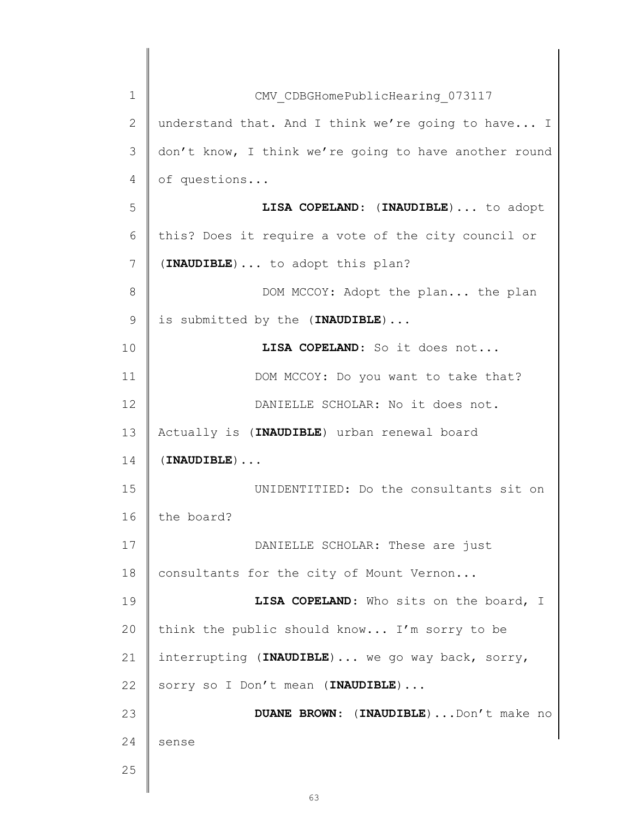| $\mathbf{1}$   | CMV CDBGHomePublicHearing 073117                      |
|----------------|-------------------------------------------------------|
| $\mathbf{2}$   | understand that. And I think we're going to have I    |
| 3              | don't know, I think we're going to have another round |
| $\overline{4}$ | of questions                                          |
| 5              | LISA COPELAND: (INAUDIBLE)  to adopt                  |
| 6              | this? Does it require a vote of the city council or   |
| $\overline{7}$ | (INAUDIBLE)  to adopt this plan?                      |
| 8              | DOM MCCOY: Adopt the plan the plan                    |
| $\mathsf 9$    | is submitted by the (INAUDIBLE)                       |
| 10             | LISA COPELAND: So it does not                         |
| 11             | DOM MCCOY: Do you want to take that?                  |
| 12             | DANIELLE SCHOLAR: No it does not.                     |
| 13             | Actually is (INAUDIBLE) urban renewal board           |
| 14             | $(INAUDIBLE)$                                         |
| 15             | UNIDENTITIED: Do the consultants sit on               |
| 16             | the board?                                            |
| 17             | DANIELLE SCHOLAR: These are just                      |
| 18             | consultants for the city of Mount Vernon              |
| 19             | LISA COPELAND: Who sits on the board, I               |
| 20             | think the public should know I'm sorry to be          |
| 21             | interrupting (INAUDIBLE)  we go way back, sorry,      |
| 22             | sorry so I Don't mean (INAUDIBLE)                     |
| 23             | DUANE BROWN: (INAUDIBLE)  Don't make no               |
| 24             | sense                                                 |
| 25             |                                                       |
|                |                                                       |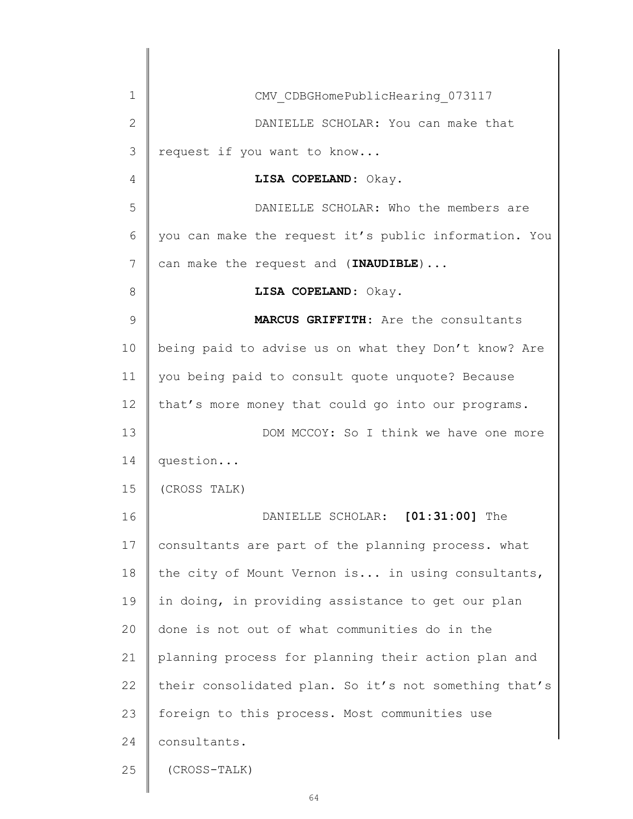| $\mathbf 1$    | CMV CDBGHomePublicHearing 073117                      |
|----------------|-------------------------------------------------------|
| $\overline{2}$ | DANIELLE SCHOLAR: You can make that                   |
| 3              | request if you want to know                           |
| 4              | LISA COPELAND: Okay.                                  |
| 5              | DANIELLE SCHOLAR: Who the members are                 |
| 6              | you can make the request it's public information. You |
| 7              | can make the request and (INAUDIBLE)                  |
| 8              | LISA COPELAND: Okay.                                  |
| $\mathcal{G}$  | MARCUS GRIFFITH: Are the consultants                  |
| 10             | being paid to advise us on what they Don't know? Are  |
| 11             | you being paid to consult quote unquote? Because      |
| 12             | that's more money that could go into our programs.    |
| 13             | DOM MCCOY: So I think we have one more                |
| 14             | question                                              |
| 15             | (CROSS TALK)                                          |
| 16             | $[01:31:00]$ The<br>DANIELLE SCHOLAR:                 |
| 17             | consultants are part of the planning process. what    |
| 18             | the city of Mount Vernon is in using consultants,     |
| 19             | in doing, in providing assistance to get our plan     |
| 20             | done is not out of what communities do in the         |
| 21             | planning process for planning their action plan and   |
| 22             | their consolidated plan. So it's not something that's |
| 23             | foreign to this process. Most communities use         |
| 24             | consultants.                                          |
| 25             | (CROSS-TALK)                                          |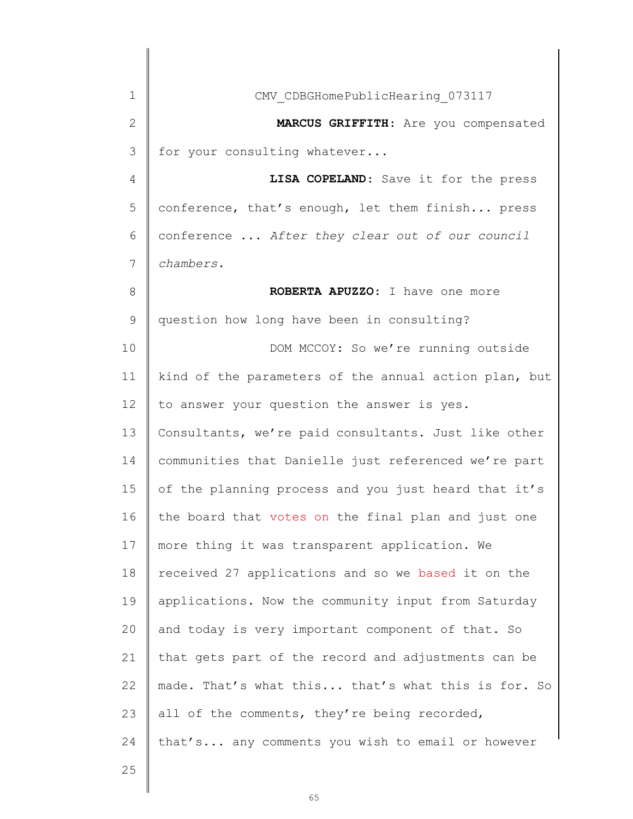| 1  | CMV CDBGHomePublicHearing 073117                      |
|----|-------------------------------------------------------|
| 2  | MARCUS GRIFFITH: Are you compensated                  |
| 3  | for your consulting whatever                          |
| 4  | LISA COPELAND: Save it for the press                  |
| 5  | conference, that's enough, let them finish press      |
| 6  | conference  After they clear out of our council       |
| 7  | chambers.                                             |
| 8  | ROBERTA APUZZO: I have one more                       |
| 9  | question how long have been in consulting?            |
| 10 | DOM MCCOY: So we're running outside                   |
| 11 | kind of the parameters of the annual action plan, but |
| 12 | to answer your question the answer is yes.            |
| 13 | Consultants, we're paid consultants. Just like other  |
| 14 | communities that Danielle just referenced we're part  |
| 15 | of the planning process and you just heard that it's  |
| 16 | the board that votes on the final plan and just one   |
| 17 | more thing it was transparent application. We         |
| 18 | received 27 applications and so we based it on the    |
| 19 | applications. Now the community input from Saturday   |
| 20 | and today is very important component of that. So     |
| 21 | that gets part of the record and adjustments can be   |
| 22 | made. That's what this that's what this is for. So    |
| 23 | all of the comments, they're being recorded,          |
| 24 | that's any comments you wish to email or however      |
| 25 |                                                       |
|    |                                                       |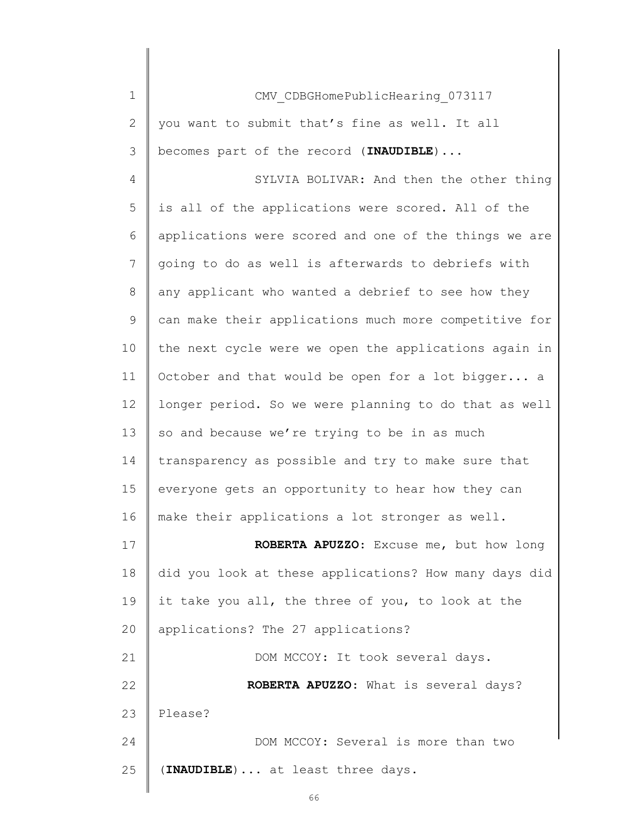| $\mathbf 1$    | CMV CDBGHomePublicHearing 073117                      |
|----------------|-------------------------------------------------------|
| $\mathbf{2}$   | you want to submit that's fine as well. It all        |
| 3              | becomes part of the record (INAUDIBLE)                |
| 4              | SYLVIA BOLIVAR: And then the other thing              |
| 5              | is all of the applications were scored. All of the    |
| 6              | applications were scored and one of the things we are |
| $\overline{7}$ | going to do as well is afterwards to debriefs with    |
| 8              | any applicant who wanted a debrief to see how they    |
| $\mathcal{G}$  | can make their applications much more competitive for |
| 10             | the next cycle were we open the applications again in |
| 11             | October and that would be open for a lot bigger a     |
| 12             | longer period. So we were planning to do that as well |
| 13             | so and because we're trying to be in as much          |
| 14             | transparency as possible and try to make sure that    |
| 15             | everyone gets an opportunity to hear how they can     |
| 16             | make their applications a lot stronger as well.       |
| 17             | ROBERTA APUZZO: Excuse me, but how long               |
| 18             | did you look at these applications? How many days did |
| 19             | it take you all, the three of you, to look at the     |
| 20             | applications? The 27 applications?                    |
| 21             | DOM MCCOY: It took several days.                      |
| 22             | ROBERTA APUZZO: What is several days?                 |
| 23             | Please?                                               |
| 24             | DOM MCCOY: Several is more than two                   |
| 25             | (INAUDIBLE)  at least three days.                     |
|                |                                                       |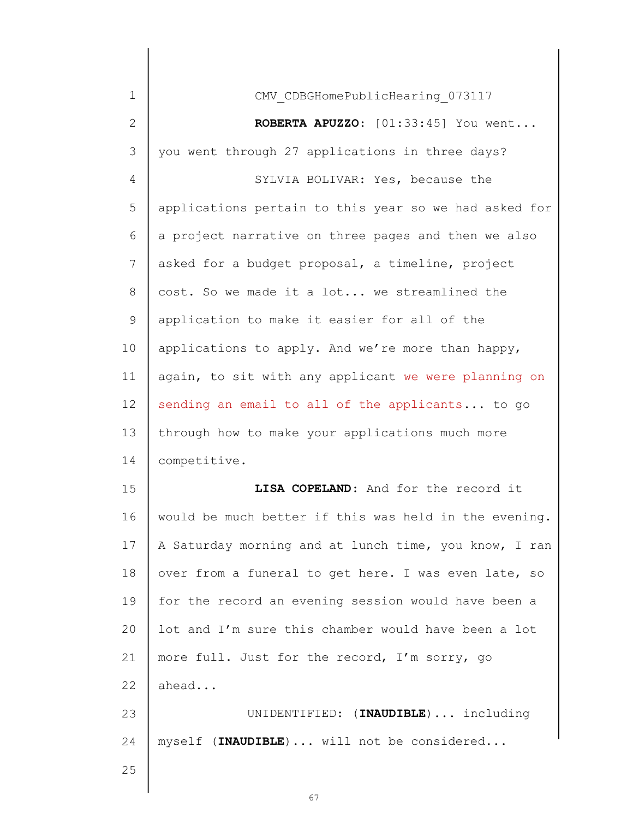| 1            | CMV CDBGHomePublicHearing 073117                      |
|--------------|-------------------------------------------------------|
| $\mathbf{2}$ | ROBERTA APUZZO: [01:33:45] You went                   |
| 3            | you went through 27 applications in three days?       |
| 4            | SYLVIA BOLIVAR: Yes, because the                      |
| 5            | applications pertain to this year so we had asked for |
| 6            | a project narrative on three pages and then we also   |
| 7            | asked for a budget proposal, a timeline, project      |
| 8            | cost. So we made it a lot we streamlined the          |
| $\mathsf 9$  | application to make it easier for all of the          |
| 10           | applications to apply. And we're more than happy,     |
| 11           | again, to sit with any applicant we were planning on  |
| 12           | sending an email to all of the applicants to go       |
| 13           | through how to make your applications much more       |
| 14           | competitive.                                          |
| 15           | LISA COPELAND: And for the record it                  |
| 16           | would be much better if this was held in the evening. |
| 17           | A Saturday morning and at lunch time, you know, I ran |
| 18           | over from a funeral to get here. I was even late, so  |
| 19           | for the record an evening session would have been a   |
| 20           | lot and I'm sure this chamber would have been a lot   |
| 21           | more full. Just for the record, I'm sorry, go         |
| 22           | ahead                                                 |
| 23           | UNIDENTIFIED: (INAUDIBLE)  including                  |
| 24           | myself (INAUDIBLE)  will not be considered            |
| 25           |                                                       |
|              |                                                       |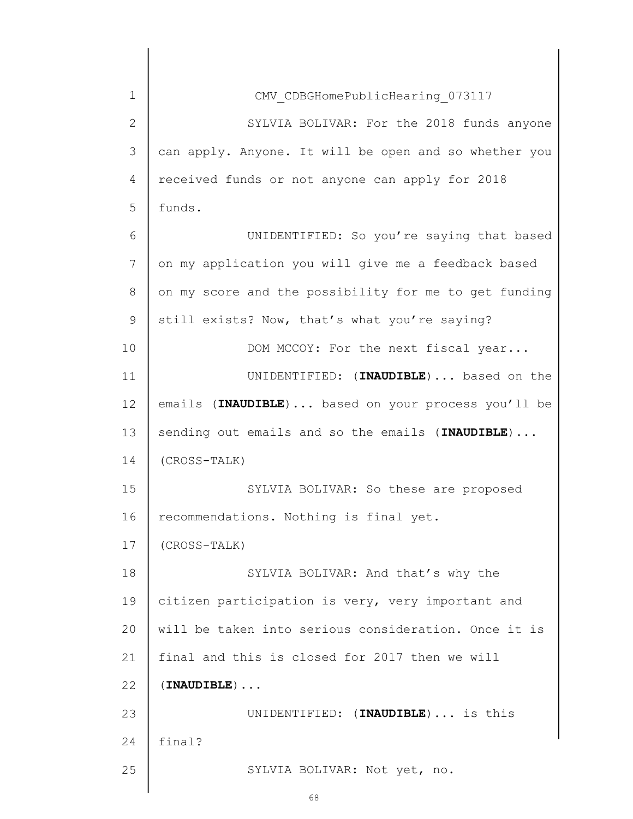| $\mathbf 1$    | CMV CDBGHomePublicHearing 073117                      |
|----------------|-------------------------------------------------------|
| $\mathbf{2}$   | SYLVIA BOLIVAR: For the 2018 funds anyone             |
| 3              | can apply. Anyone. It will be open and so whether you |
| $\overline{4}$ | received funds or not anyone can apply for 2018       |
| 5              | funds.                                                |
| 6              | UNIDENTIFIED: So you're saying that based             |
| 7              | on my application you will give me a feedback based   |
| 8              | on my score and the possibility for me to get funding |
| 9              | still exists? Now, that's what you're saying?         |
| 10             | DOM MCCOY: For the next fiscal year                   |
| 11             | UNIDENTIFIED: (INAUDIBLE)  based on the               |
| 12             | emails (INAUDIBLE)  based on your process you'll be   |
| 13             | sending out emails and so the emails (INAUDIBLE)      |
| 14             | (CROSS-TALK)                                          |
| 15             | SYLVIA BOLIVAR: So these are proposed                 |
| 16             | recommendations. Nothing is final yet.                |
| 17             | (CROSS-TALK)                                          |
| 18             | SYLVIA BOLIVAR: And that's why the                    |
| 19             | citizen participation is very, very important and     |
| 20             | will be taken into serious consideration. Once it is  |
| 21             | final and this is closed for 2017 then we will        |
| 22             | $(INAUDIBLE) \ldots$                                  |
| 23             | UNIDENTIFIED: (INAUDIBLE) is this                     |
| 24             | final?                                                |
|                |                                                       |
| 25             | SYLVIA BOLIVAR: Not yet, no.                          |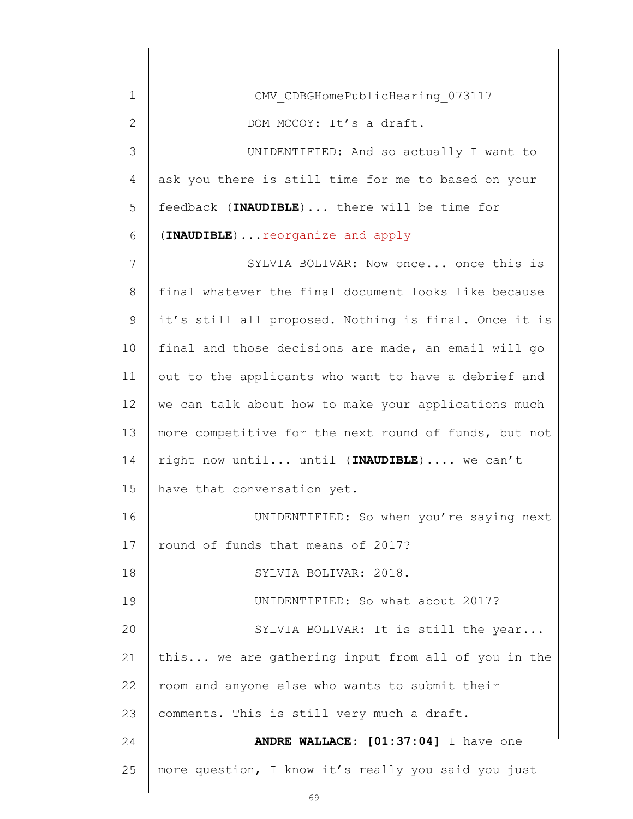| 1            | CMV CDBGHomePublicHearing 073117                      |
|--------------|-------------------------------------------------------|
| $\mathbf{2}$ | DOM MCCOY: It's a draft.                              |
| 3            | UNIDENTIFIED: And so actually I want to               |
| 4            | ask you there is still time for me to based on your   |
| 5            | feedback (INAUDIBLE)  there will be time for          |
| 6            | (INAUDIBLE)  reorganize and apply                     |
| 7            | SYLVIA BOLIVAR: Now once once this is                 |
| 8            | final whatever the final document looks like because  |
| 9            | it's still all proposed. Nothing is final. Once it is |
| 10           | final and those decisions are made, an email will go  |
| 11           | out to the applicants who want to have a debrief and  |
| 12           | we can talk about how to make your applications much  |
| 13           | more competitive for the next round of funds, but not |
| 14           | right now until until (INAUDIBLE)  we can't           |
| 15           | have that conversation yet.                           |
| 16           | UNIDENTIFIED: So when you're saying next              |
| 17           | round of funds that means of 2017?                    |
| 18           | SYLVIA BOLIVAR: 2018.                                 |
| 19           | UNIDENTIFIED: So what about 2017?                     |
| 20           | SYLVIA BOLIVAR: It is still the year                  |
| 21           | this we are gathering input from all of you in the    |
| 22           | room and anyone else who wants to submit their        |
| 23           | comments. This is still very much a draft.            |
| 24           | ANDRE WALLACE: [01:37:04] I have one                  |
| 25           | more question, I know it's really you said you just   |
|              |                                                       |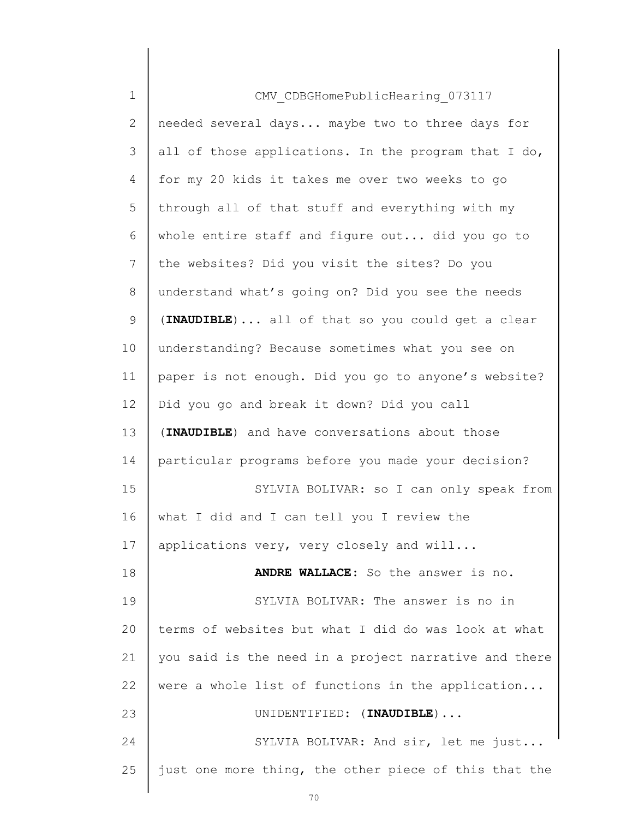| $\mathbf 1$    | CMV CDBGHomePublicHearing 073117                      |
|----------------|-------------------------------------------------------|
| $\overline{2}$ | needed several days maybe two to three days for       |
| 3              | all of those applications. In the program that I do,  |
| 4              | for my 20 kids it takes me over two weeks to go       |
| 5              | through all of that stuff and everything with my      |
| 6              | whole entire staff and figure out did you go to       |
| $7\phantom{.}$ | the websites? Did you visit the sites? Do you         |
| 8              | understand what's going on? Did you see the needs     |
| 9              | (INAUDIBLE)  all of that so you could get a clear     |
| 10             | understanding? Because sometimes what you see on      |
| 11             | paper is not enough. Did you go to anyone's website?  |
| 12             | Did you go and break it down? Did you call            |
| 13             | (INAUDIBLE) and have conversations about those        |
| 14             | particular programs before you made your decision?    |
| 15             | SYLVIA BOLIVAR: so I can only speak from              |
| 16             | what I did and I can tell you I review the            |
| 17             | applications very, very closely and will              |
| 18             | ANDRE WALLACE: So the answer is no.                   |
| 19             | SYLVIA BOLIVAR: The answer is no in                   |
| 20             | terms of websites but what I did do was look at what  |
| 21             | you said is the need in a project narrative and there |
| 22             | were a whole list of functions in the application     |
| 23             | UNIDENTIFIED: (INAUDIBLE)                             |
| 24             | SYLVIA BOLIVAR: And sir, let me just                  |
| 25             | just one more thing, the other piece of this that the |
|                |                                                       |

 $\begin{array}{c} \hline \end{array}$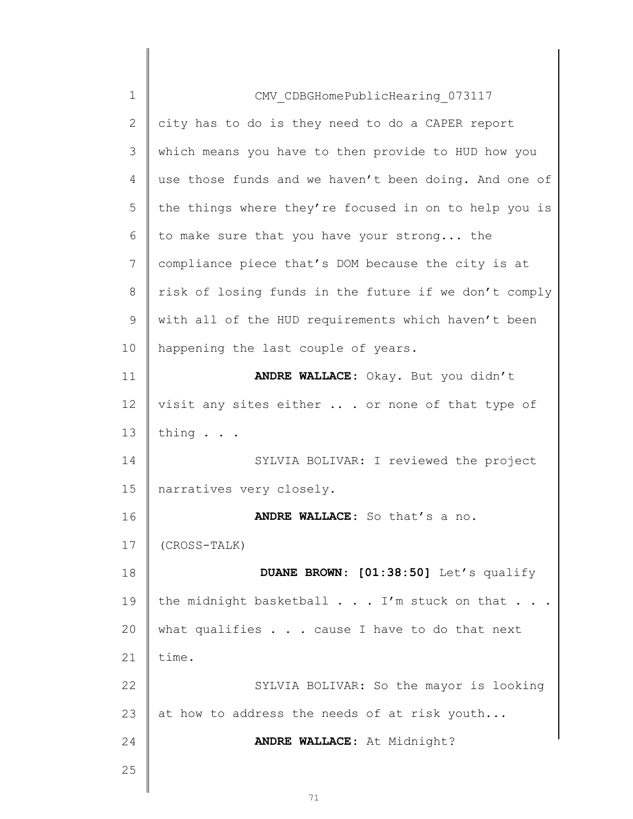| $\mathbf 1$  | CMV CDBGHomePublicHearing 073117                      |
|--------------|-------------------------------------------------------|
| $\mathbf{2}$ | city has to do is they need to do a CAPER report      |
| 3            | which means you have to then provide to HUD how you   |
| 4            | use those funds and we haven't been doing. And one of |
| 5            | the things where they're focused in on to help you is |
| 6            | to make sure that you have your strong the            |
| 7            | compliance piece that's DOM because the city is at    |
| 8            | risk of losing funds in the future if we don't comply |
| 9            | with all of the HUD requirements which haven't been   |
| 10           | happening the last couple of years.                   |
| 11           | ANDRE WALLACE: Okay. But you didn't                   |
| 12           | visit any sites either  . or none of that type of     |
| 13           | thing                                                 |
| 14           | SYLVIA BOLIVAR: I reviewed the project                |
| 15           | narratives very closely.                              |
| 16           | ANDRE WALLACE: So that's a no.                        |
| 17           | (CROSS-TALK)                                          |
| 18           | DUANE BROWN: [01:38:50] Let's qualify                 |
| 19           | the midnight basketball I'm stuck on that             |
| 20           | what qualifies $\ldots$ cause I have to do that next  |
| 21           | time.                                                 |
| 22           | SYLVIA BOLIVAR: So the mayor is looking               |
| 23           | at how to address the needs of at risk youth          |
| 24           | ANDRE WALLACE: At Midnight?                           |
| 25           |                                                       |
|              |                                                       |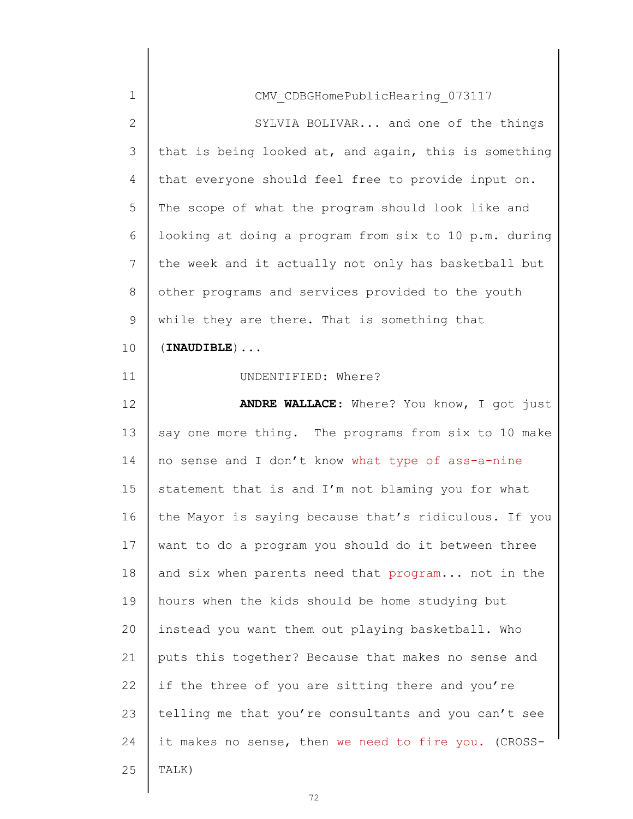| $\mathbf 1$  | CMV CDBGHomePublicHearing 073117                      |
|--------------|-------------------------------------------------------|
| $\mathbf{2}$ | SYLVIA BOLIVAR and one of the things                  |
| 3            | that is being looked at, and again, this is something |
| 4            | that everyone should feel free to provide input on.   |
| 5            | The scope of what the program should look like and    |
| 6            | looking at doing a program from six to 10 p.m. during |
| 7            | the week and it actually not only has basketball but  |
| 8            | other programs and services provided to the youth     |
| 9            | while they are there. That is something that          |
| 10           | $(INAUDIBLE) \ldots$                                  |
| 11           | UNDENTIFIED: Where?                                   |
| 12           | ANDRE WALLACE: Where? You know, I got just            |
| 13           | say one more thing. The programs from six to 10 make  |
|              |                                                       |
| 14           | no sense and I don't know what type of ass-a-nine     |
|              | statement that is and I'm not blaming you for what    |
| 15<br>16     | the Mayor is saying because that's ridiculous. If you |
| 17           | want to do a program you should do it between three   |
|              | and six when parents need that program not in the     |
| 18<br>19     | hours when the kids should be home studying but       |
| 20           | instead you want them out playing basketball. Who     |
| 21           | puts this together? Because that makes no sense and   |
| 22           | if the three of you are sitting there and you're      |
| 23           | telling me that you're consultants and you can't see  |
| 24           | it makes no sense, then we need to fire you. (CROSS-  |
| 25           | TALK)                                                 |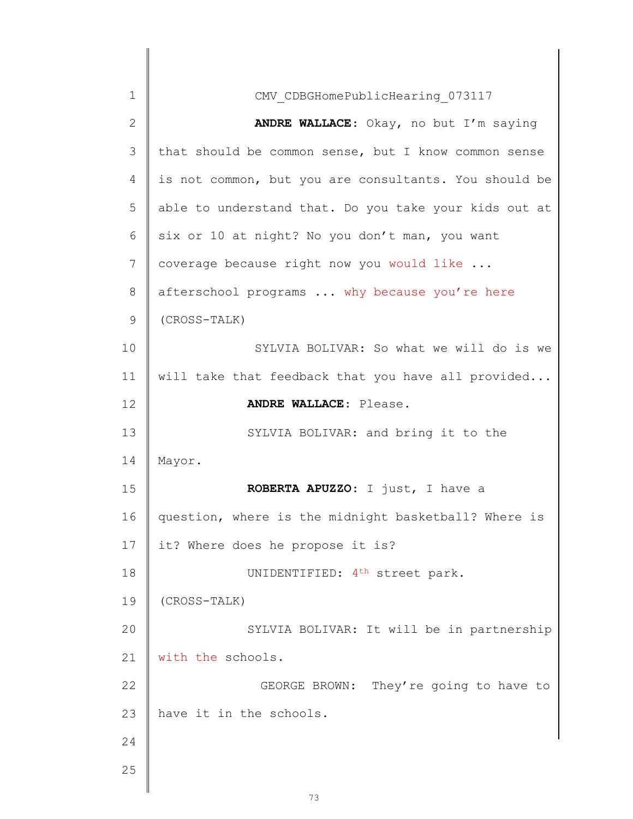| 1  | CMV CDBGHomePublicHearing 073117                      |
|----|-------------------------------------------------------|
| 2  | ANDRE WALLACE: Okay, no but I'm saying                |
| 3  | that should be common sense, but I know common sense  |
| 4  | is not common, but you are consultants. You should be |
| 5  | able to understand that. Do you take your kids out at |
| 6  | six or 10 at night? No you don't man, you want        |
| 7  | coverage because right now you would like             |
| 8  | afterschool programs  why because you're here         |
| 9  | (CROSS-TALK)                                          |
| 10 | SYLVIA BOLIVAR: So what we will do is we              |
| 11 | will take that feedback that you have all provided    |
| 12 | ANDRE WALLACE: Please.                                |
| 13 | SYLVIA BOLIVAR: and bring it to the                   |
| 14 | Mayor.                                                |
| 15 | ROBERTA APUZZO: I just, I have a                      |
| 16 | question, where is the midnight basketball? Where is  |
| 17 | it? Where does he propose it is?                      |
| 18 | UNIDENTIFIED: 4 <sup>th</sup> street park.            |
| 19 | (CROSS-TALK)                                          |
| 20 | SYLVIA BOLIVAR: It will be in partnership             |
| 21 | with the schools.                                     |
| 22 | GEORGE BROWN: They're going to have to                |
| 23 | have it in the schools.                               |
| 24 |                                                       |
| 25 |                                                       |
|    |                                                       |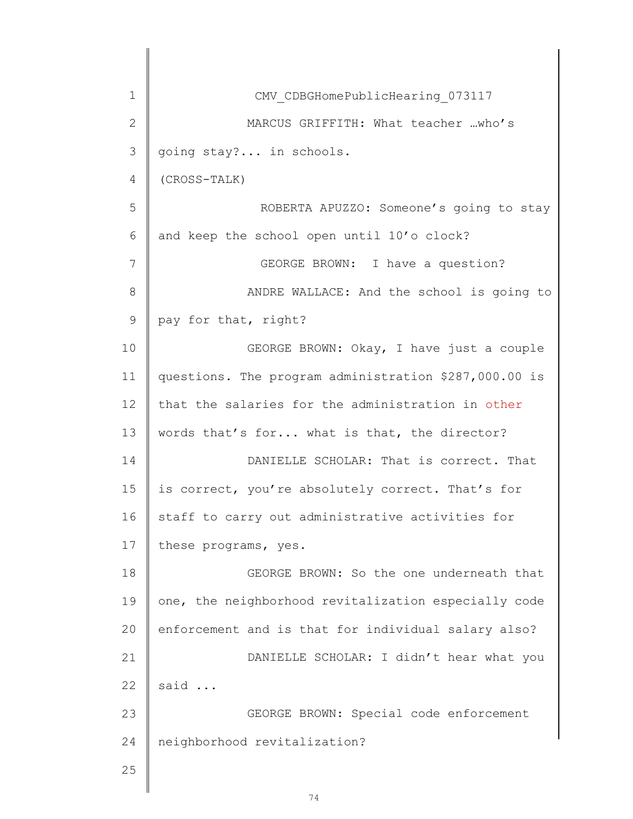| 1             | CMV CDBGHomePublicHearing 073117                      |
|---------------|-------------------------------------------------------|
| $\mathbf{2}$  | MARCUS GRIFFITH: What teacher who's                   |
| 3             | going stay? in schools.                               |
| 4             | (CROSS-TALK)                                          |
| 5             | ROBERTA APUZZO: Someone's going to stay               |
| 6             | and keep the school open until 10'o clock?            |
| 7             | GEORGE BROWN: I have a question?                      |
| 8             | ANDRE WALLACE: And the school is going to             |
| $\mathcal{G}$ | pay for that, right?                                  |
| 10            | GEORGE BROWN: Okay, I have just a couple              |
| 11            | questions. The program administration \$287,000.00 is |
| 12            | that the salaries for the administration in other     |
| 13            | words that's for what is that, the director?          |
| 14            | DANIELLE SCHOLAR: That is correct. That               |
| 15            | is correct, you're absolutely correct. That's for     |
| 16            | staff to carry out administrative activities for      |
| 17            | these programs, yes.                                  |
| 18            | GEORGE BROWN: So the one underneath that              |
| 19            | one, the neighborhood revitalization especially code  |
| 20            | enforcement and is that for individual salary also?   |
| 21            | DANIELLE SCHOLAR: I didn't hear what you              |
| 22            | said                                                  |
| 23            | GEORGE BROWN: Special code enforcement                |
| 24            | neighborhood revitalization?                          |
| 25            |                                                       |
|               |                                                       |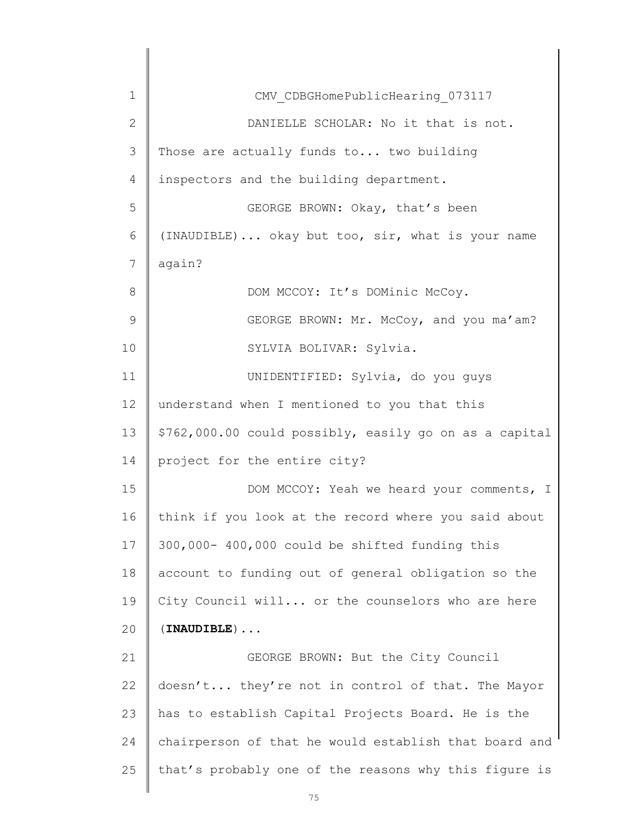| $\mathbf 1$    | CMV CDBGHomePublicHearing 073117                       |
|----------------|--------------------------------------------------------|
| $\mathbf{2}$   | DANIELLE SCHOLAR: No it that is not.                   |
| 3              | Those are actually funds to two building               |
| $\overline{4}$ | inspectors and the building department.                |
| 5              | GEORGE BROWN: Okay, that's been                        |
| 6              | (INAUDIBLE) okay but too, sir, what is your name       |
| $\overline{7}$ | again?                                                 |
| 8              | DOM MCCOY: It's DOMinic McCoy.                         |
| $\mathcal{G}$  | GEORGE BROWN: Mr. McCoy, and you ma'am?                |
| 10             | SYLVIA BOLIVAR: Sylvia.                                |
| 11             | UNIDENTIFIED: Sylvia, do you guys                      |
| 12             | understand when I mentioned to you that this           |
| 13             | \$762,000.00 could possibly, easily go on as a capital |
| 14             | project for the entire city?                           |
| 15             | DOM MCCOY: Yeah we heard your comments, I              |
| 16             | think if you look at the record where you said about   |
| 17             | 300,000- 400,000 could be shifted funding this         |
| 18             | account to funding out of general obligation so the    |
| 19             | City Council will or the counselors who are here       |
| 20             | $(INAUDIBLE) \ldots$                                   |
| 21             | GEORGE BROWN: But the City Council                     |
| 22             | doesn't they're not in control of that. The Mayor      |
| 23             | has to establish Capital Projects Board. He is the     |
| 24             | chairperson of that he would establish that board and  |
| 25             | that's probably one of the reasons why this figure is  |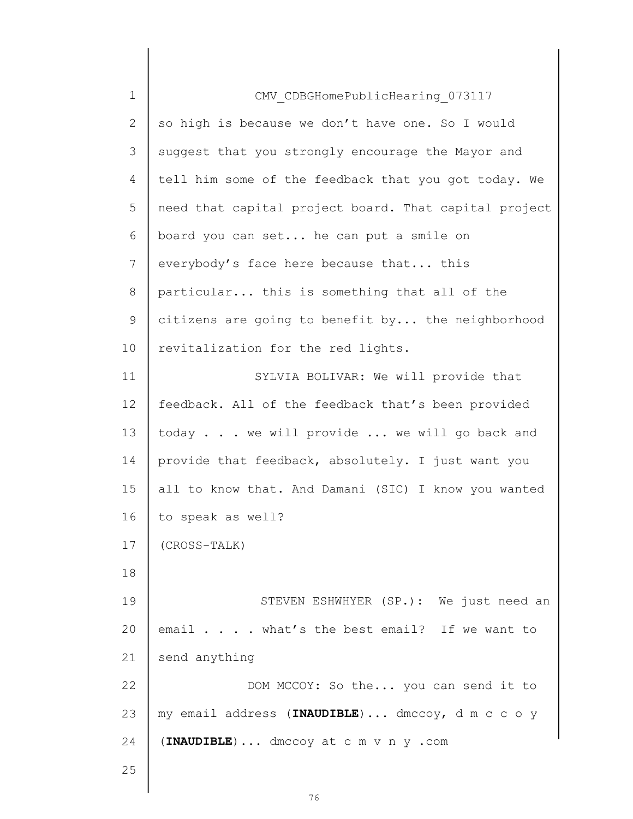| $1\,$        | CMV CDBGHomePublicHearing 073117                      |
|--------------|-------------------------------------------------------|
| $\mathbf{2}$ | so high is because we don't have one. So I would      |
| 3            | suggest that you strongly encourage the Mayor and     |
| 4            | tell him some of the feedback that you got today. We  |
| 5            | need that capital project board. That capital project |
| 6            | board you can set he can put a smile on               |
| 7            | everybody's face here because that this               |
| 8            | particular this is something that all of the          |
| 9            | citizens are going to benefit by the neighborhood     |
| 10           | revitalization for the red lights.                    |
| 11           | SYLVIA BOLIVAR: We will provide that                  |
| 12           | feedback. All of the feedback that's been provided    |
| 13           | today we will provide  we will go back and            |
| 14           | provide that feedback, absolutely. I just want you    |
| 15           | all to know that. And Damani (SIC) I know you wanted  |
| 16           | to speak as well?                                     |
| 17           | (CROSS-TALK)                                          |
| 18           |                                                       |
| 19           | STEVEN ESHWHYER (SP.): We just need an                |
| 20           | email what's the best email? If we want to            |
| 21           | send anything                                         |
| 22           | DOM MCCOY: So the you can send it to                  |
| 23           | my email address (INAUDIBLE) dmccoy, d m c c o y      |
| 24           | $(\texttt{INAUDIBLE}) \dots$ dmccoy at c m v n y .com |
| 25           |                                                       |
|              |                                                       |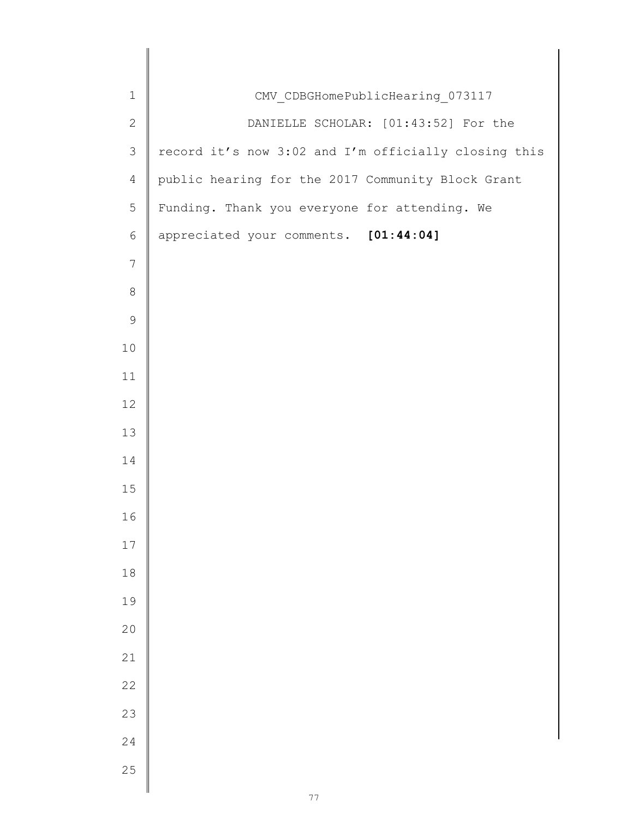| $\mathbf 1$    | CMV_CDBGHomePublicHearing_073117                     |
|----------------|------------------------------------------------------|
| $\mathbf{2}$   | DANIELLE SCHOLAR: [01:43:52] For the                 |
| $\mathfrak{Z}$ | record it's now 3:02 and I'm officially closing this |
| $\overline{4}$ | public hearing for the 2017 Community Block Grant    |
| 5              | Funding. Thank you everyone for attending. We        |
| $\epsilon$     | appreciated your comments. [01:44:04]                |
| $\overline{7}$ |                                                      |
| $\,8\,$        |                                                      |
| $\mathsf 9$    |                                                      |
| 10             |                                                      |
| 11             |                                                      |
| 12             |                                                      |
| 13             |                                                      |
| 14             |                                                      |
| 15             |                                                      |
| 16             |                                                      |
| 17             |                                                      |
| $1\,8$         |                                                      |
| 19             |                                                      |
| 20             |                                                      |
| 21             |                                                      |
| 22             |                                                      |
| 23             |                                                      |
| 24             |                                                      |
| 25             |                                                      |
|                |                                                      |